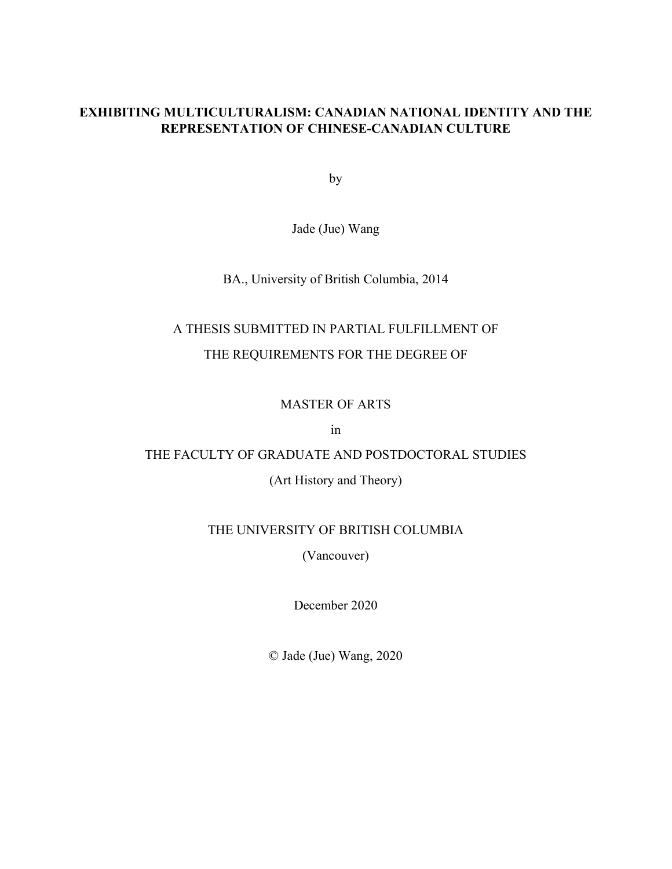### **EXHIBITING MULTICULTURALISM: CANADIAN NATIONAL IDENTITY AND THE REPRESENTATION OF CHINESE-CANADIAN CULTURE**

by

Jade (Jue) Wang

BA., University of British Columbia, 2014

# A THESIS SUBMITTED IN PARTIAL FULFILLMENT OF THE REQUIREMENTS FOR THE DEGREE OF

### MASTER OF ARTS

in

## THE FACULTY OF GRADUATE AND POSTDOCTORAL STUDIES

(Art History and Theory)

### THE UNIVERSITY OF BRITISH COLUMBIA

(Vancouver)

December 2020

© Jade (Jue) Wang, 2020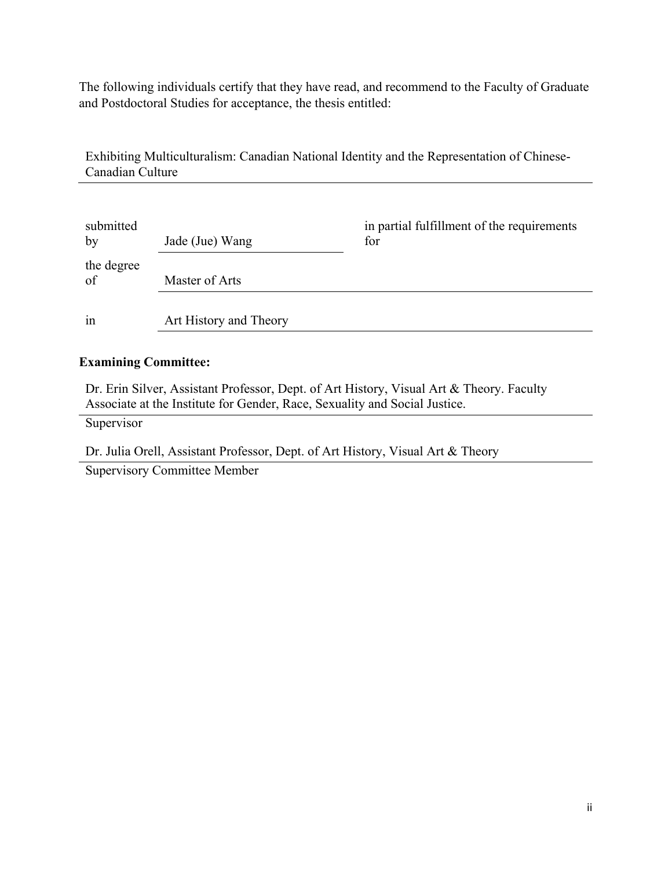The following individuals certify that they have read, and recommend to the Faculty of Graduate and Postdoctoral Studies for acceptance, the thesis entitled:

Exhibiting Multiculturalism: Canadian National Identity and the Representation of Chinese-Canadian Culture

| submitted<br>by  | Jade (Jue) Wang        | in partial fulfillment of the requirements<br>for |
|------------------|------------------------|---------------------------------------------------|
| the degree<br>of | Master of Arts         |                                                   |
| in               | Art History and Theory |                                                   |

### **Examining Committee:**

Dr. Erin Silver, Assistant Professor, Dept. of Art History, Visual Art & Theory. Faculty Associate at the Institute for Gender, Race, Sexuality and Social Justice.

Supervisor

Dr. Julia Orell, Assistant Professor, Dept. of Art History, Visual Art & Theory

Supervisory Committee Member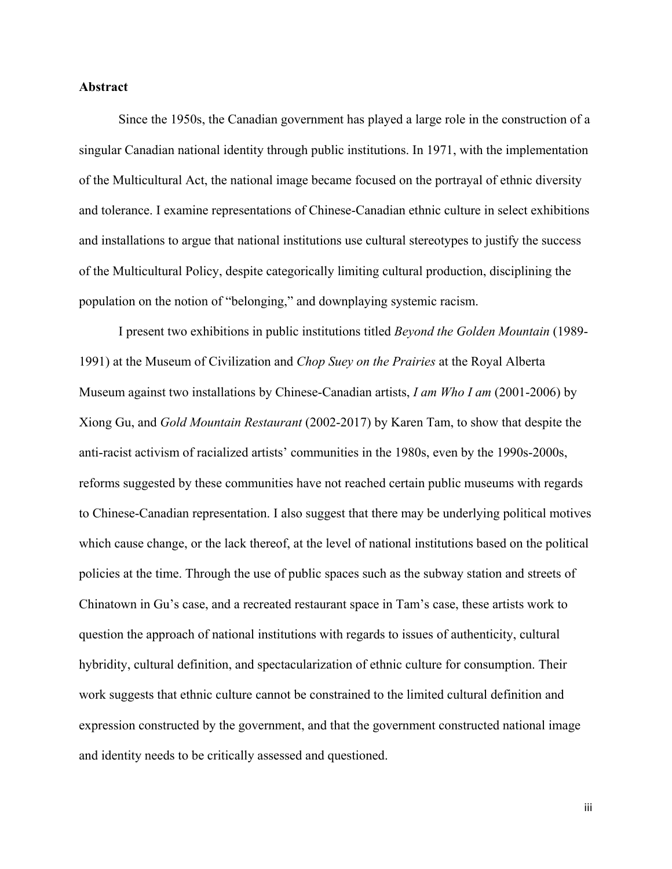### <span id="page-2-0"></span>**Abstract**

Since the 1950s, the Canadian government has played a large role in the construction of a singular Canadian national identity through public institutions. In 1971, with the implementation of the Multicultural Act, the national image became focused on the portrayal of ethnic diversity and tolerance. I examine representations of Chinese-Canadian ethnic culture in select exhibitions and installations to argue that national institutions use cultural stereotypes to justify the success of the Multicultural Policy, despite categorically limiting cultural production, disciplining the population on the notion of "belonging," and downplaying systemic racism.

I present two exhibitions in public institutions titled *Beyond the Golden Mountain* (1989- 1991) at the Museum of Civilization and *Chop Suey on the Prairies* at the Royal Alberta Museum against two installations by Chinese-Canadian artists, *I am Who I am* (2001-2006) by Xiong Gu, and *Gold Mountain Restaurant* (2002-2017) by Karen Tam, to show that despite the anti-racist activism of racialized artists' communities in the 1980s, even by the 1990s-2000s, reforms suggested by these communities have not reached certain public museums with regards to Chinese-Canadian representation. I also suggest that there may be underlying political motives which cause change, or the lack thereof, at the level of national institutions based on the political policies at the time. Through the use of public spaces such as the subway station and streets of Chinatown in Gu's case, and a recreated restaurant space in Tam's case, these artists work to question the approach of national institutions with regards to issues of authenticity, cultural hybridity, cultural definition, and spectacularization of ethnic culture for consumption. Their work suggests that ethnic culture cannot be constrained to the limited cultural definition and expression constructed by the government, and that the government constructed national image and identity needs to be critically assessed and questioned.

iii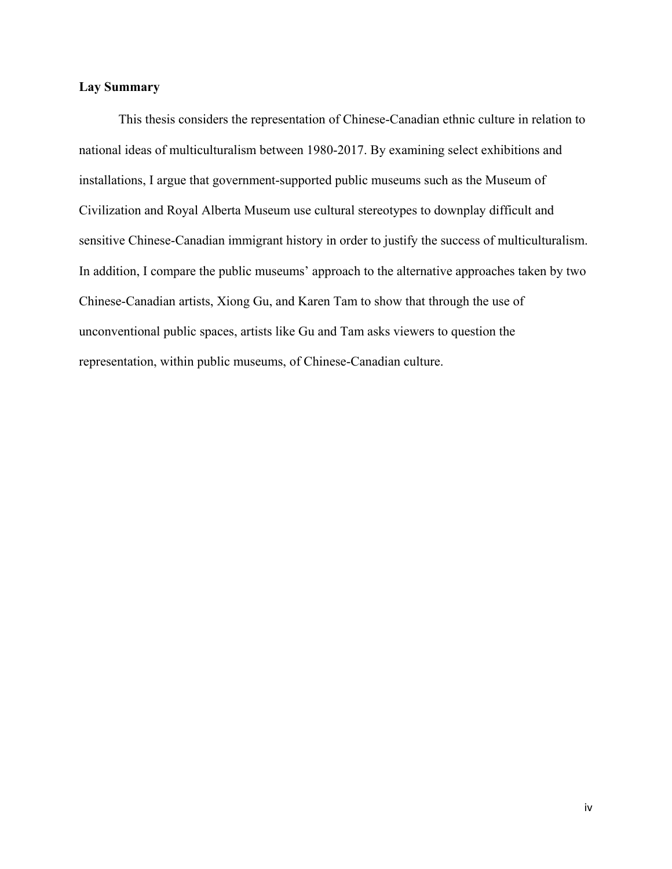### <span id="page-3-0"></span>**Lay Summary**

This thesis considers the representation of Chinese-Canadian ethnic culture in relation to national ideas of multiculturalism between 1980-2017. By examining select exhibitions and installations, I argue that government-supported public museums such as the Museum of Civilization and Royal Alberta Museum use cultural stereotypes to downplay difficult and sensitive Chinese-Canadian immigrant history in order to justify the success of multiculturalism. In addition, I compare the public museums' approach to the alternative approaches taken by two Chinese-Canadian artists, Xiong Gu, and Karen Tam to show that through the use of unconventional public spaces, artists like Gu and Tam asks viewers to question the representation, within public museums, of Chinese-Canadian culture.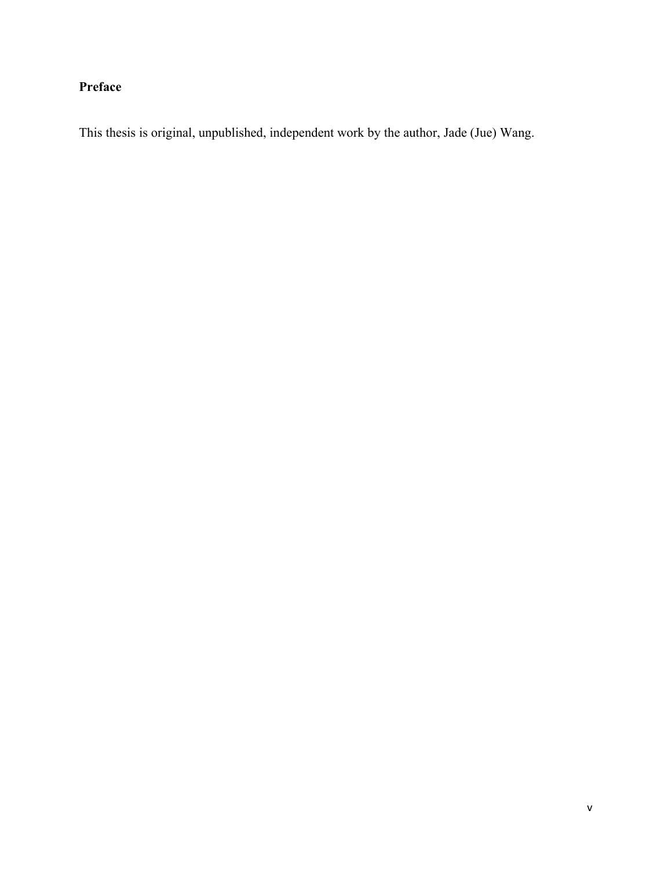## <span id="page-4-0"></span>**Preface**

This thesis is original, unpublished, independent work by the author, Jade (Jue) Wang.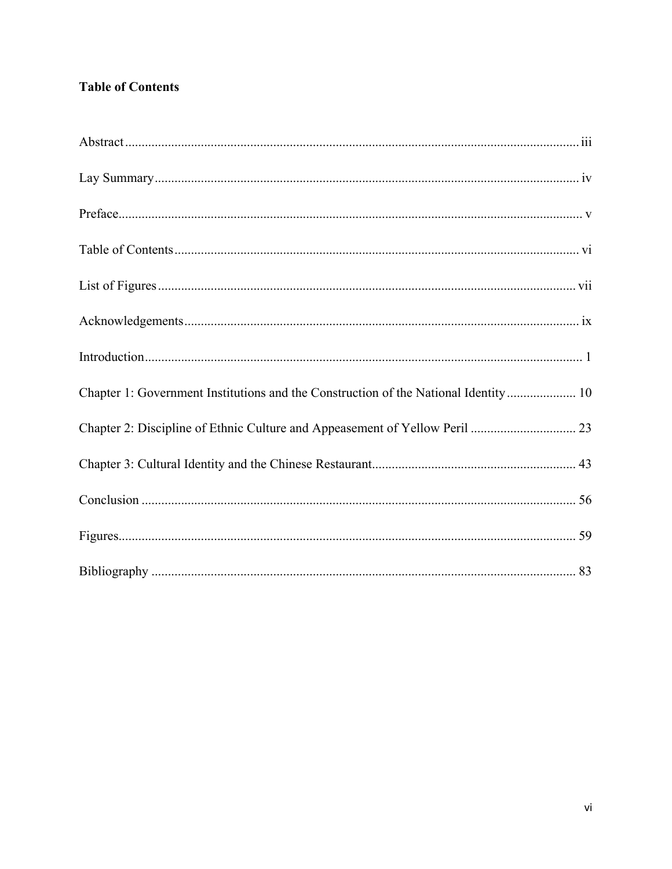## <span id="page-5-0"></span>**Table of Contents**

| Chapter 1: Government Institutions and the Construction of the National Identity  10 |
|--------------------------------------------------------------------------------------|
|                                                                                      |
|                                                                                      |
|                                                                                      |
|                                                                                      |
|                                                                                      |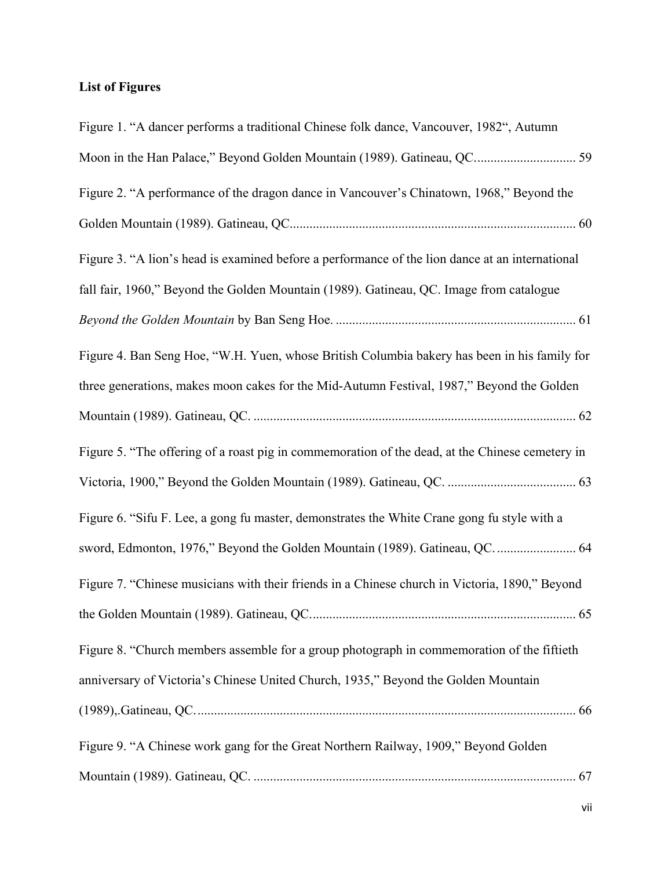## <span id="page-6-0"></span>**List of Figures**

| Figure 1. "A dancer performs a traditional Chinese folk dance, Vancouver, 1982", Autumn         |
|-------------------------------------------------------------------------------------------------|
| Moon in the Han Palace," Beyond Golden Mountain (1989). Gatineau, QC 59                         |
| Figure 2. "A performance of the dragon dance in Vancouver's Chinatown, 1968," Beyond the        |
|                                                                                                 |
| Figure 3. "A lion's head is examined before a performance of the lion dance at an international |
| fall fair, 1960," Beyond the Golden Mountain (1989). Gatineau, QC. Image from catalogue         |
|                                                                                                 |
| Figure 4. Ban Seng Hoe, "W.H. Yuen, whose British Columbia bakery has been in his family for    |
| three generations, makes moon cakes for the Mid-Autumn Festival, 1987," Beyond the Golden       |
|                                                                                                 |
| Figure 5. "The offering of a roast pig in commemoration of the dead, at the Chinese cemetery in |
|                                                                                                 |
| Figure 6. "Sifu F. Lee, a gong fu master, demonstrates the White Crane gong fu style with a     |
| sword, Edmonton, 1976," Beyond the Golden Mountain (1989). Gatineau, QC.  64                    |
| Figure 7. "Chinese musicians with their friends in a Chinese church in Victoria, 1890," Beyond  |
|                                                                                                 |
| Figure 8. "Church members assemble for a group photograph in commemoration of the fiftieth      |
| anniversary of Victoria's Chinese United Church, 1935," Beyond the Golden Mountain              |
|                                                                                                 |
| Figure 9. "A Chinese work gang for the Great Northern Railway, 1909," Beyond Golden             |
|                                                                                                 |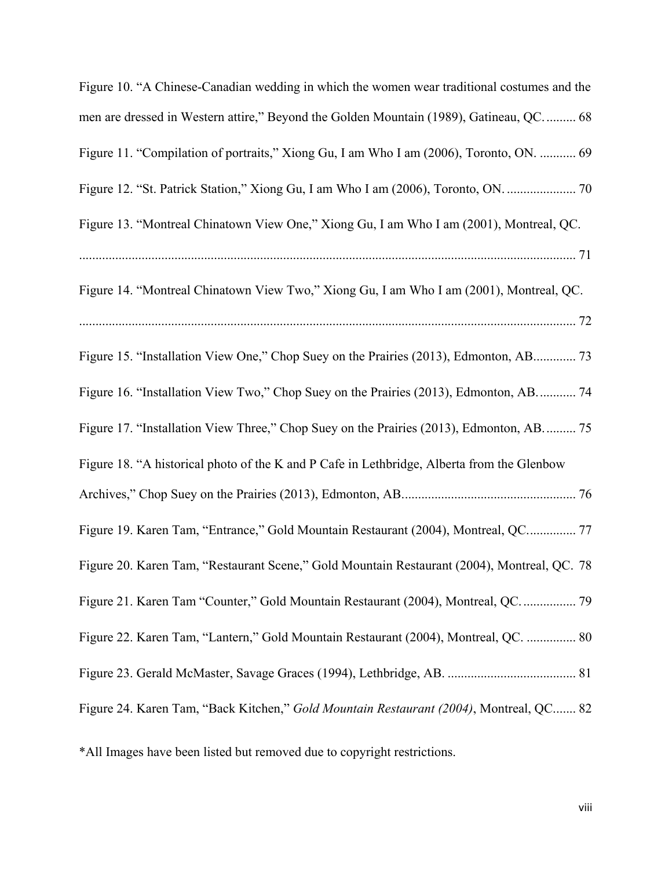| Figure 10. "A Chinese-Canadian wedding in which the women wear traditional costumes and the |
|---------------------------------------------------------------------------------------------|
| men are dressed in Western attire," Beyond the Golden Mountain (1989), Gatineau, QC.  68    |
| Figure 11. "Compilation of portraits," Xiong Gu, I am Who I am (2006), Toronto, ON.  69     |
| Figure 12. "St. Patrick Station," Xiong Gu, I am Who I am (2006), Toronto, ON.  70          |
| Figure 13. "Montreal Chinatown View One," Xiong Gu, I am Who I am (2001), Montreal, QC.     |
|                                                                                             |
| Figure 14. "Montreal Chinatown View Two," Xiong Gu, I am Who I am (2001), Montreal, QC.     |
|                                                                                             |
| Figure 15. "Installation View One," Chop Suey on the Prairies (2013), Edmonton, AB 73       |
| Figure 16. "Installation View Two," Chop Suey on the Prairies (2013), Edmonton, AB 74       |
| Figure 17. "Installation View Three," Chop Suey on the Prairies (2013), Edmonton, AB 75     |
| Figure 18. "A historical photo of the K and P Cafe in Lethbridge, Alberta from the Glenbow  |
|                                                                                             |
| Figure 19. Karen Tam, "Entrance," Gold Mountain Restaurant (2004), Montreal, QC 77          |
| Figure 20. Karen Tam, "Restaurant Scene," Gold Mountain Restaurant (2004), Montreal, QC. 78 |
| Figure 21. Karen Tam "Counter," Gold Mountain Restaurant (2004), Montreal, QC.  79          |
| Figure 22. Karen Tam, "Lantern," Gold Mountain Restaurant (2004), Montreal, QC.  80         |
|                                                                                             |
| Figure 24. Karen Tam, "Back Kitchen," Gold Mountain Restaurant (2004), Montreal, QC 82      |
| *All Images have been listed but removed due to copyright restrictions.                     |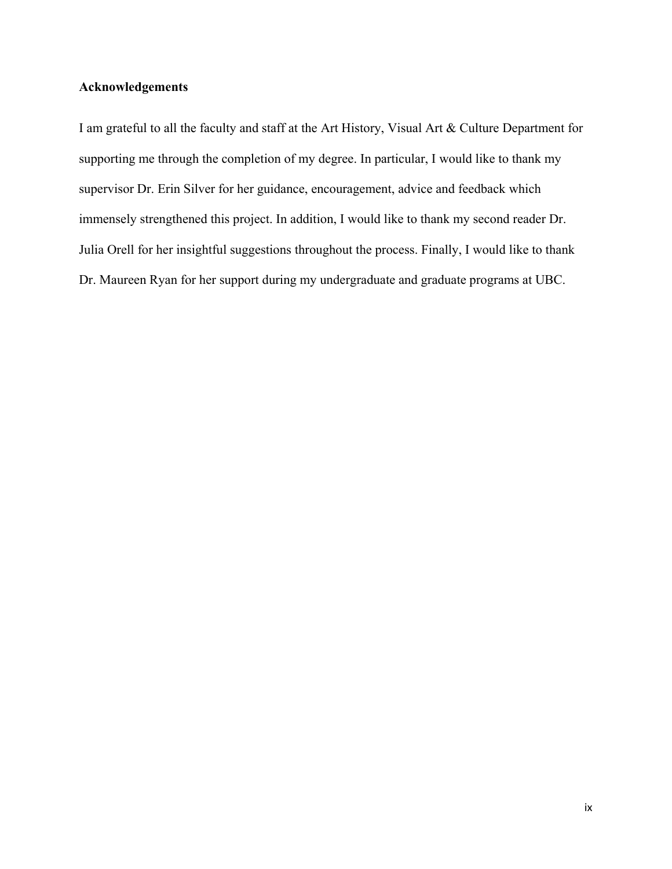## <span id="page-8-0"></span>**Acknowledgements**

I am grateful to all the faculty and staff at the Art History, Visual Art & Culture Department for supporting me through the completion of my degree. In particular, I would like to thank my supervisor Dr. Erin Silver for her guidance, encouragement, advice and feedback which immensely strengthened this project. In addition, I would like to thank my second reader Dr. Julia Orell for her insightful suggestions throughout the process. Finally, I would like to thank Dr. Maureen Ryan for her support during my undergraduate and graduate programs at UBC.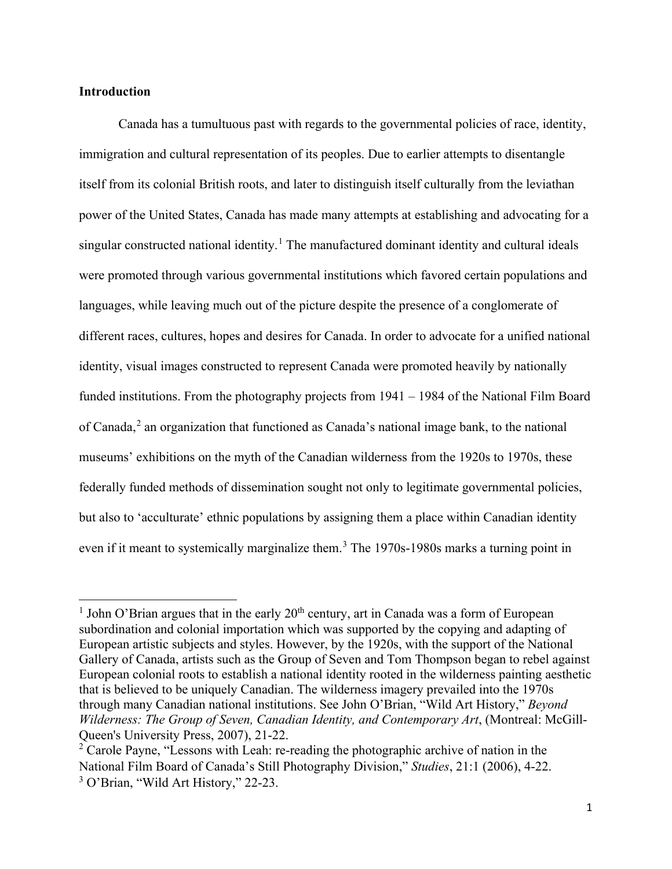### <span id="page-9-0"></span>**Introduction**

 $\overline{\phantom{a}}$ 

Canada has a tumultuous past with regards to the governmental policies of race, identity, immigration and cultural representation of its peoples. Due to earlier attempts to disentangle itself from its colonial British roots, and later to distinguish itself culturally from the leviathan power of the United States, Canada has made many attempts at establishing and advocating for a singular constructed national identity.<sup>[1](#page-9-1)</sup> The manufactured dominant identity and cultural ideals were promoted through various governmental institutions which favored certain populations and languages, while leaving much out of the picture despite the presence of a conglomerate of different races, cultures, hopes and desires for Canada. In order to advocate for a unified national identity, visual images constructed to represent Canada were promoted heavily by nationally funded institutions. From the photography projects from 1941 – 1984 of the National Film Board of Canada, $^2$  $^2$  an organization that functioned as Canada's national image bank, to the national museums' exhibitions on the myth of the Canadian wilderness from the 1920s to 1970s, these federally funded methods of dissemination sought not only to legitimate governmental policies, but also to 'acculturate' ethnic populations by assigning them a place within Canadian identity even if it meant to systemically marginalize them.<sup>[3](#page-9-3)</sup> The 1970s-1980s marks a turning point in

<span id="page-9-1"></span><sup>&</sup>lt;sup>1</sup> John O'Brian argues that in the early  $20<sup>th</sup>$  century, art in Canada was a form of European subordination and colonial importation which was supported by the copying and adapting of European artistic subjects and styles. However, by the 1920s, with the support of the National Gallery of Canada, artists such as the Group of Seven and Tom Thompson began to rebel against European colonial roots to establish a national identity rooted in the wilderness painting aesthetic that is believed to be uniquely Canadian. The wilderness imagery prevailed into the 1970s through many Canadian national institutions. See John O'Brian, "Wild Art History," *Beyond Wilderness: The Group of Seven, Canadian Identity, and Contemporary Art*, (Montreal: McGill-Queen's University Press, 2007), 21-22.

<span id="page-9-3"></span><span id="page-9-2"></span> $2$  Carole Payne, "Lessons with Leah: re-reading the photographic archive of nation in the National Film Board of Canada's Still Photography Division," *Studies*, 21:1 (2006), 4-22. <sup>3</sup> O'Brian, "Wild Art History," 22-23.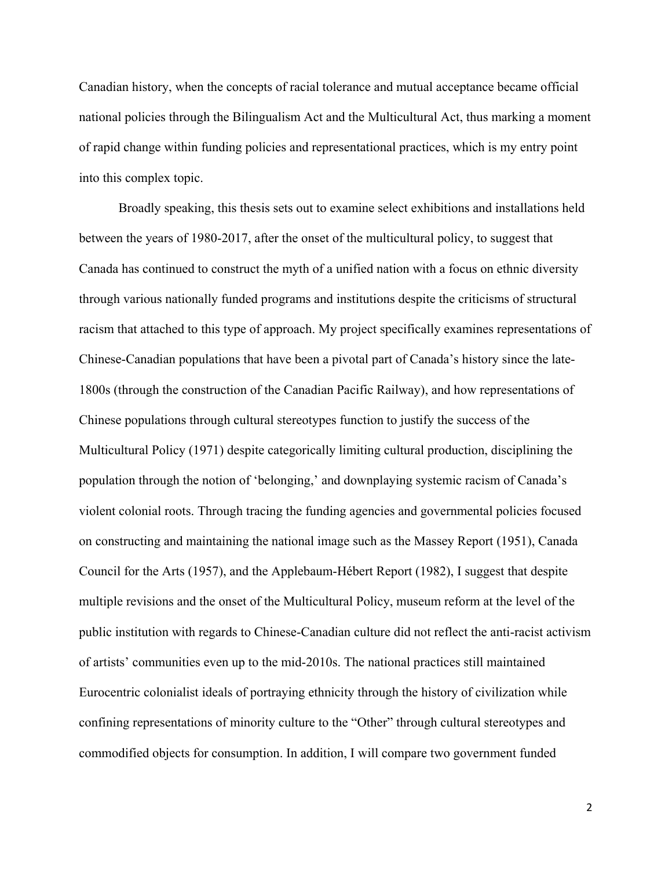Canadian history, when the concepts of racial tolerance and mutual acceptance became official national policies through the Bilingualism Act and the Multicultural Act, thus marking a moment of rapid change within funding policies and representational practices, which is my entry point into this complex topic.

Broadly speaking, this thesis sets out to examine select exhibitions and installations held between the years of 1980-2017, after the onset of the multicultural policy, to suggest that Canada has continued to construct the myth of a unified nation with a focus on ethnic diversity through various nationally funded programs and institutions despite the criticisms of structural racism that attached to this type of approach. My project specifically examines representations of Chinese-Canadian populations that have been a pivotal part of Canada's history since the late-1800s (through the construction of the Canadian Pacific Railway), and how representations of Chinese populations through cultural stereotypes function to justify the success of the Multicultural Policy (1971) despite categorically limiting cultural production, disciplining the population through the notion of 'belonging,' and downplaying systemic racism of Canada's violent colonial roots. Through tracing the funding agencies and governmental policies focused on constructing and maintaining the national image such as the Massey Report (1951), Canada Council for the Arts (1957), and the Applebaum-Hébert Report (1982), I suggest that despite multiple revisions and the onset of the Multicultural Policy, museum reform at the level of the public institution with regards to Chinese-Canadian culture did not reflect the anti-racist activism of artists' communities even up to the mid-2010s. The national practices still maintained Eurocentric colonialist ideals of portraying ethnicity through the history of civilization while confining representations of minority culture to the "Other" through cultural stereotypes and commodified objects for consumption. In addition, I will compare two government funded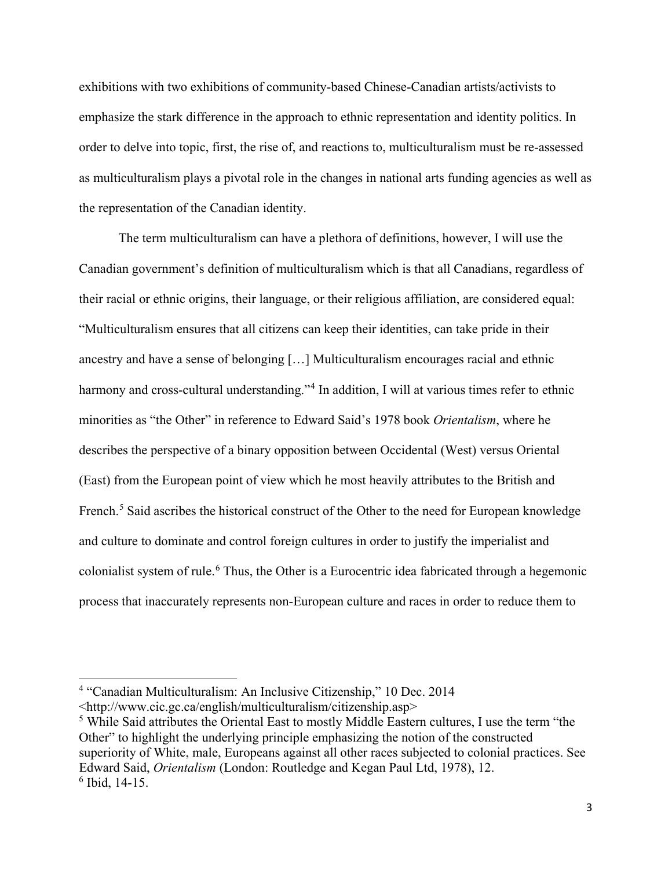exhibitions with two exhibitions of community-based Chinese-Canadian artists/activists to emphasize the stark difference in the approach to ethnic representation and identity politics. In order to delve into topic, first, the rise of, and reactions to, multiculturalism must be re-assessed as multiculturalism plays a pivotal role in the changes in national arts funding agencies as well as the representation of the Canadian identity.

The term multiculturalism can have a plethora of definitions, however, I will use the Canadian government's definition of multiculturalism which is that all Canadians, regardless of their racial or ethnic origins, their language, or their religious affiliation, are considered equal: "Multiculturalism ensures that all citizens can keep their identities, can take pride in their ancestry and have a sense of belonging […] Multiculturalism encourages racial and ethnic harmony and cross-cultural understanding."<sup>[4](#page-11-0)</sup> In addition, I will at various times refer to ethnic minorities as "the Other" in reference to Edward Said's 1978 book *Orientalism*, where he describes the perspective of a binary opposition between Occidental (West) versus Oriental (East) from the European point of view which he most heavily attributes to the British and French.<sup>[5](#page-11-1)</sup> Said ascribes the historical construct of the Other to the need for European knowledge and culture to dominate and control foreign cultures in order to justify the imperialist and colonialist system of rule.<sup>[6](#page-11-2)</sup> Thus, the Other is a Eurocentric idea fabricated through a hegemonic process that inaccurately represents non-European culture and races in order to reduce them to

 $\overline{\phantom{a}}$ 

<span id="page-11-0"></span><sup>4</sup> "Canadian Multiculturalism: An Inclusive Citizenship," 10 Dec. 2014

<sup>&</sup>lt;http://www.cic.gc.ca/english/multiculturalism/citizenship.asp>

<span id="page-11-2"></span><span id="page-11-1"></span><sup>5</sup> While Said attributes the Oriental East to mostly Middle Eastern cultures, I use the term "the Other" to highlight the underlying principle emphasizing the notion of the constructed superiority of White, male, Europeans against all other races subjected to colonial practices. See Edward Said, *Orientalism* (London: Routledge and Kegan Paul Ltd, 1978), 12.  $6$  Ibid, 14-15.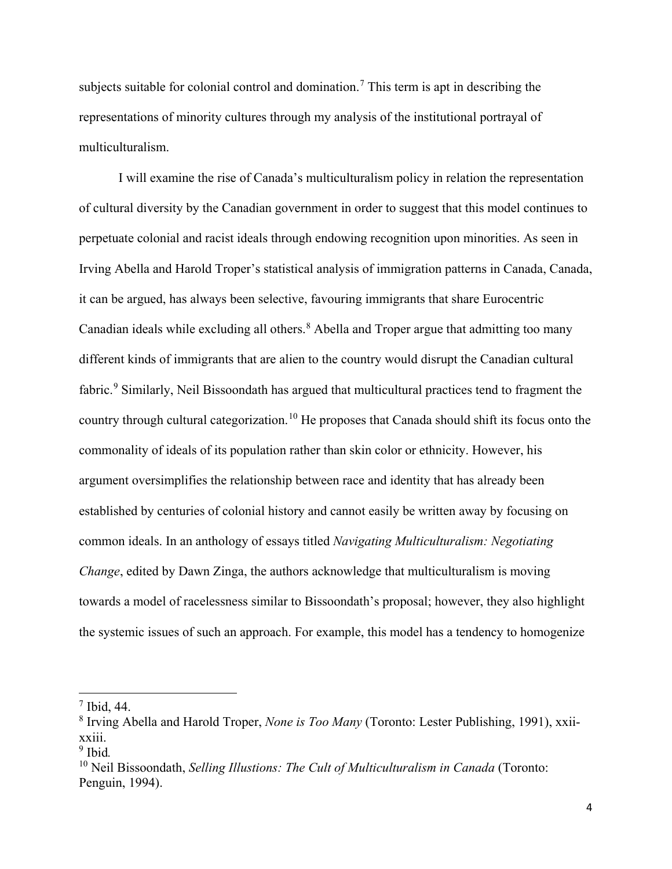subjects suitable for colonial control and domination.<sup>[7](#page-12-0)</sup> This term is apt in describing the representations of minority cultures through my analysis of the institutional portrayal of multiculturalism.

I will examine the rise of Canada's multiculturalism policy in relation the representation of cultural diversity by the Canadian government in order to suggest that this model continues to perpetuate colonial and racist ideals through endowing recognition upon minorities. As seen in Irving Abella and Harold Troper's statistical analysis of immigration patterns in Canada, Canada, it can be argued, has always been selective, favouring immigrants that share Eurocentric Canadian ideals while excluding all others. $8$  Abella and Troper argue that admitting too many different kinds of immigrants that are alien to the country would disrupt the Canadian cultural fabric.<sup>[9](#page-12-2)</sup> Similarly, Neil Bissoondath has argued that multicultural practices tend to fragment the country through cultural categorization.<sup>[10](#page-12-3)</sup> He proposes that Canada should shift its focus onto the commonality of ideals of its population rather than skin color or ethnicity. However, his argument oversimplifies the relationship between race and identity that has already been established by centuries of colonial history and cannot easily be written away by focusing on common ideals. In an anthology of essays titled *Navigating Multiculturalism: Negotiating Change*, edited by Dawn Zinga, the authors acknowledge that multiculturalism is moving towards a model of racelessness similar to Bissoondath's proposal; however, they also highlight the systemic issues of such an approach. For example, this model has a tendency to homogenize

l

<span id="page-12-0"></span> $<sup>7</sup>$  Ibid, 44.</sup>

<span id="page-12-1"></span><sup>8</sup> Irving Abella and Harold Troper, *None is Too Many* (Toronto: Lester Publishing, 1991), xxiixxiii.

<span id="page-12-2"></span><sup>9</sup> Ibid*.*

<span id="page-12-3"></span><sup>10</sup> Neil Bissoondath, *Selling Illustions: The Cult of Multiculturalism in Canada* (Toronto: Penguin, 1994).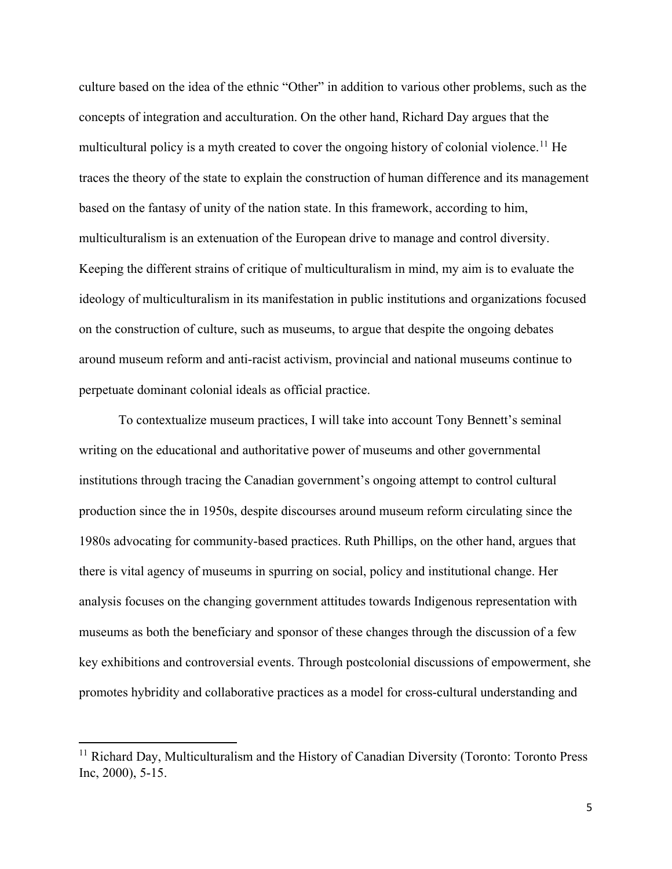culture based on the idea of the ethnic "Other" in addition to various other problems, such as the concepts of integration and acculturation. On the other hand, Richard Day argues that the multicultural policy is a myth created to cover the ongoing history of colonial violence.<sup>[11](#page-13-0)</sup> He traces the theory of the state to explain the construction of human difference and its management based on the fantasy of unity of the nation state. In this framework, according to him, multiculturalism is an extenuation of the European drive to manage and control diversity. Keeping the different strains of critique of multiculturalism in mind, my aim is to evaluate the ideology of multiculturalism in its manifestation in public institutions and organizations focused on the construction of culture, such as museums, to argue that despite the ongoing debates around museum reform and anti-racist activism, provincial and national museums continue to perpetuate dominant colonial ideals as official practice.

To contextualize museum practices, I will take into account Tony Bennett's seminal writing on the educational and authoritative power of museums and other governmental institutions through tracing the Canadian government's ongoing attempt to control cultural production since the in 1950s, despite discourses around museum reform circulating since the 1980s advocating for community-based practices. Ruth Phillips, on the other hand, argues that there is vital agency of museums in spurring on social, policy and institutional change. Her analysis focuses on the changing government attitudes towards Indigenous representation with museums as both the beneficiary and sponsor of these changes through the discussion of a few key exhibitions and controversial events. Through postcolonial discussions of empowerment, she promotes hybridity and collaborative practices as a model for cross-cultural understanding and

l

<span id="page-13-0"></span><sup>&</sup>lt;sup>11</sup> Richard Day, Multiculturalism and the History of Canadian Diversity (Toronto: Toronto Press) Inc, 2000), 5-15.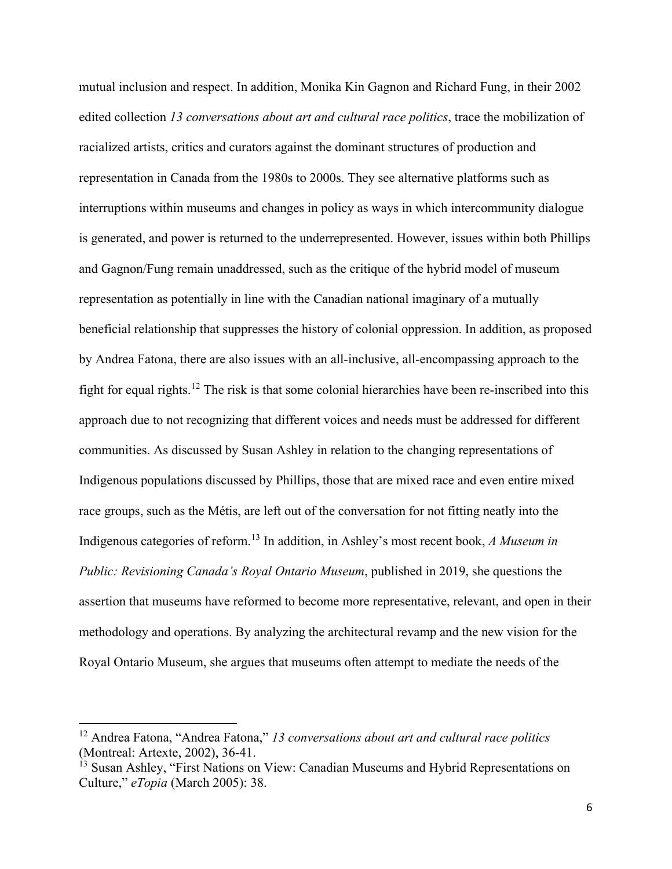mutual inclusion and respect. In addition, Monika Kin Gagnon and Richard Fung, in their 2002 edited collection *13 conversations about art and cultural race politics*, trace the mobilization of racialized artists, critics and curators against the dominant structures of production and representation in Canada from the 1980s to 2000s. They see alternative platforms such as interruptions within museums and changes in policy as ways in which intercommunity dialogue is generated, and power is returned to the underrepresented. However, issues within both Phillips and Gagnon/Fung remain unaddressed, such as the critique of the hybrid model of museum representation as potentially in line with the Canadian national imaginary of a mutually beneficial relationship that suppresses the history of colonial oppression. In addition, as proposed by Andrea Fatona, there are also issues with an all-inclusive, all-encompassing approach to the fight for equal rights.<sup>[12](#page-14-0)</sup> The risk is that some colonial hierarchies have been re-inscribed into this approach due to not recognizing that different voices and needs must be addressed for different communities. As discussed by Susan Ashley in relation to the changing representations of Indigenous populations discussed by Phillips, those that are mixed race and even entire mixed race groups, such as the Métis, are left out of the conversation for not fitting neatly into the Indigenous categories of reform.[13](#page-14-1) In addition, in Ashley's most recent book, *A Museum in Public: Revisioning Canada's Royal Ontario Museum*, published in 2019, she questions the assertion that museums have reformed to become more representative, relevant, and open in their methodology and operations. By analyzing the architectural revamp and the new vision for the Royal Ontario Museum, she argues that museums often attempt to mediate the needs of the

<span id="page-14-0"></span><sup>12</sup> Andrea Fatona, "Andrea Fatona," *13 conversations about art and cultural race politics*  (Montreal: Artexte, 2002), 36-41.

<span id="page-14-1"></span><sup>&</sup>lt;sup>13</sup> Susan Ashley, "First Nations on View: Canadian Museums and Hybrid Representations on Culture," *eTopia* (March 2005): 38.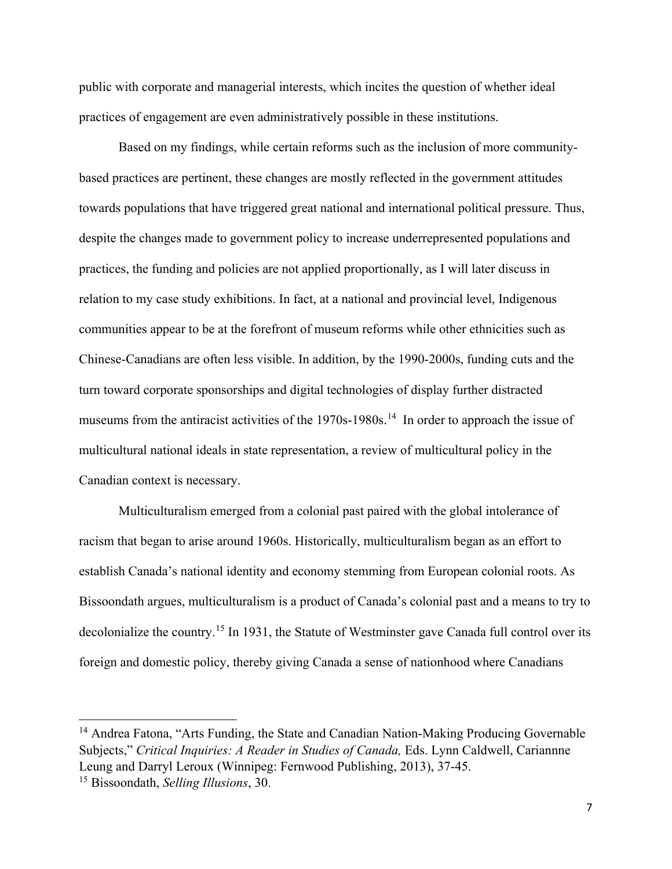public with corporate and managerial interests, which incites the question of whether ideal practices of engagement are even administratively possible in these institutions.

Based on my findings, while certain reforms such as the inclusion of more communitybased practices are pertinent, these changes are mostly reflected in the government attitudes towards populations that have triggered great national and international political pressure. Thus, despite the changes made to government policy to increase underrepresented populations and practices, the funding and policies are not applied proportionally, as I will later discuss in relation to my case study exhibitions. In fact, at a national and provincial level, Indigenous communities appear to be at the forefront of museum reforms while other ethnicities such as Chinese-Canadians are often less visible. In addition, by the 1990-2000s, funding cuts and the turn toward corporate sponsorships and digital technologies of display further distracted museums from the antiracist activities of the 1970s-1980s.<sup>[14](#page-15-0)</sup> In order to approach the issue of multicultural national ideals in state representation, a review of multicultural policy in the Canadian context is necessary.

Multiculturalism emerged from a colonial past paired with the global intolerance of racism that began to arise around 1960s. Historically, multiculturalism began as an effort to establish Canada's national identity and economy stemming from European colonial roots. As Bissoondath argues, multiculturalism is a product of Canada's colonial past and a means to try to decolonialize the country.<sup>[15](#page-15-1)</sup> In 1931, the Statute of Westminster gave Canada full control over its foreign and domestic policy, thereby giving Canada a sense of nationhood where Canadians

<span id="page-15-0"></span><sup>&</sup>lt;sup>14</sup> Andrea Fatona, "Arts Funding, the State and Canadian Nation-Making Producing Governable Subjects," *Critical Inquiries: A Reader in Studies of Canada,* Eds. Lynn Caldwell, Cariannne Leung and Darryl Leroux (Winnipeg: Fernwood Publishing, 2013), 37-45.

<span id="page-15-1"></span><sup>15</sup> Bissoondath, *Selling Illusions*, 30.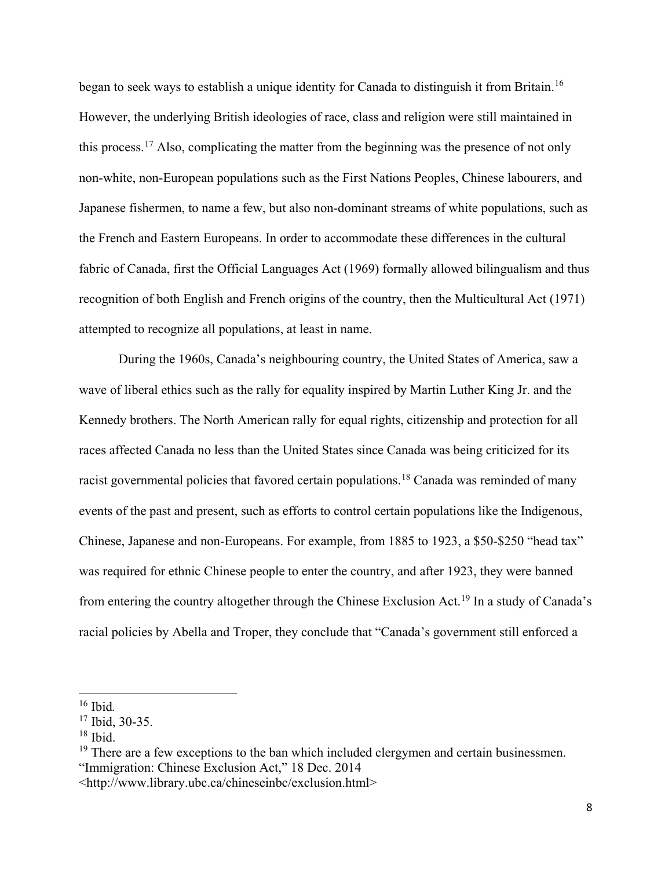began to seek ways to establish a unique identity for Canada to distinguish it from Britain.<sup>[16](#page-16-0)</sup> However, the underlying British ideologies of race, class and religion were still maintained in this process.<sup>[17](#page-16-1)</sup> Also, complicating the matter from the beginning was the presence of not only non-white, non-European populations such as the First Nations Peoples, Chinese labourers, and Japanese fishermen, to name a few, but also non-dominant streams of white populations, such as the French and Eastern Europeans. In order to accommodate these differences in the cultural fabric of Canada, first the Official Languages Act (1969) formally allowed bilingualism and thus recognition of both English and French origins of the country, then the Multicultural Act (1971) attempted to recognize all populations, at least in name.

During the 1960s, Canada's neighbouring country, the United States of America, saw a wave of liberal ethics such as the rally for equality inspired by Martin Luther King Jr. and the Kennedy brothers. The North American rally for equal rights, citizenship and protection for all races affected Canada no less than the United States since Canada was being criticized for its racist governmental policies that favored certain populations.<sup>[18](#page-16-2)</sup> Canada was reminded of many events of the past and present, such as efforts to control certain populations like the Indigenous, Chinese, Japanese and non-Europeans. For example, from 1885 to 1923, a \$50-\$250 "head tax" was required for ethnic Chinese people to enter the country, and after 1923, they were banned from entering the country altogether through the Chinese Exclusion Act.[19](#page-16-3) In a study of Canada's racial policies by Abella and Troper, they conclude that "Canada's government still enforced a

l

<span id="page-16-0"></span><sup>16</sup> Ibid*.*

<span id="page-16-1"></span><sup>17</sup> Ibid, 30-35.

<span id="page-16-2"></span> $18$  Ibid.

<span id="page-16-3"></span> $19$  There are a few exceptions to the ban which included clergymen and certain businessmen. "Immigration: Chinese Exclusion Act," 18 Dec. 2014

<sup>&</sup>lt;http://www.library.ubc.ca/chineseinbc/exclusion.html>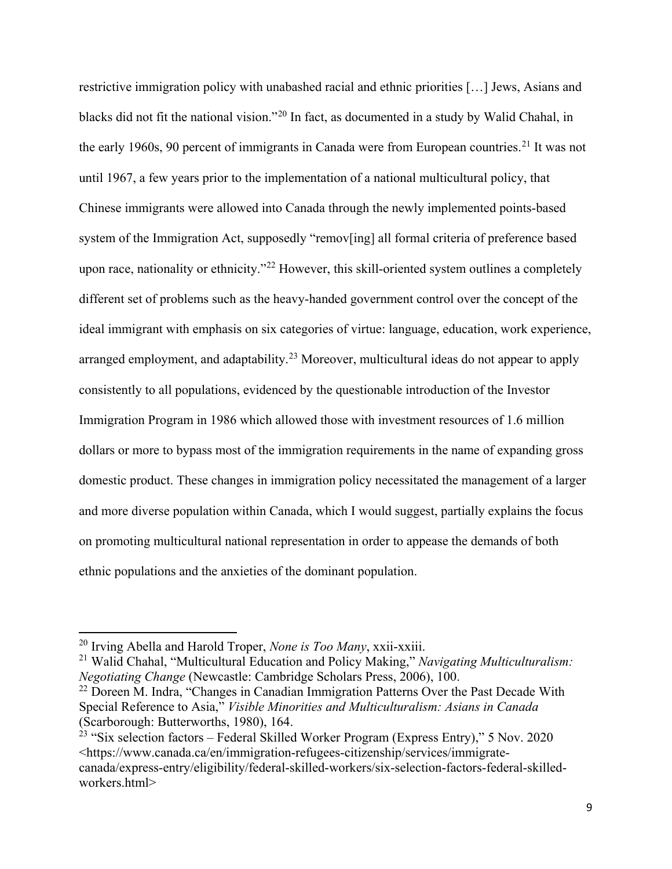restrictive immigration policy with unabashed racial and ethnic priorities […] Jews, Asians and blacks did not fit the national vision."[20](#page-17-0) In fact, as documented in a study by Walid Chahal, in the early 1960s, 90 percent of immigrants in Canada were from European countries.<sup>[21](#page-17-1)</sup> It was not until 1967, a few years prior to the implementation of a national multicultural policy, that Chinese immigrants were allowed into Canada through the newly implemented points-based system of the Immigration Act, supposedly "remov[ing] all formal criteria of preference based upon race, nationality or ethnicity."<sup>[22](#page-17-2)</sup> However, this skill-oriented system outlines a completely different set of problems such as the heavy-handed government control over the concept of the ideal immigrant with emphasis on six categories of virtue: language, education, work experience, arranged employment, and adaptability.<sup>[23](#page-17-3)</sup> Moreover, multicultural ideas do not appear to apply consistently to all populations, evidenced by the questionable introduction of the Investor Immigration Program in 1986 which allowed those with investment resources of 1.6 million dollars or more to bypass most of the immigration requirements in the name of expanding gross domestic product. These changes in immigration policy necessitated the management of a larger and more diverse population within Canada, which I would suggest, partially explains the focus on promoting multicultural national representation in order to appease the demands of both ethnic populations and the anxieties of the dominant population.

 $\overline{a}$ 

<span id="page-17-1"></span><sup>21</sup> Walid Chahal, "Multicultural Education and Policy Making," *Navigating Multiculturalism: Negotiating Change* (Newcastle: Cambridge Scholars Press, 2006), 100.

<span id="page-17-2"></span> $22$  Doreen M. Indra, "Changes in Canadian Immigration Patterns Over the Past Decade With Special Reference to Asia," *Visible Minorities and Multiculturalism: Asians in Canada* (Scarborough: Butterworths, 1980), 164.

<span id="page-17-3"></span><sup>23</sup> "Six selection factors – Federal Skilled Worker Program (Express Entry)," 5 Nov. 2020 <https://www.canada.ca/en/immigration-refugees-citizenship/services/immigratecanada/express-entry/eligibility/federal-skilled-workers/six-selection-factors-federal-skilledworkers.html>

<span id="page-17-0"></span><sup>20</sup> Irving Abella and Harold Troper, *None is Too Many*, xxii-xxiii.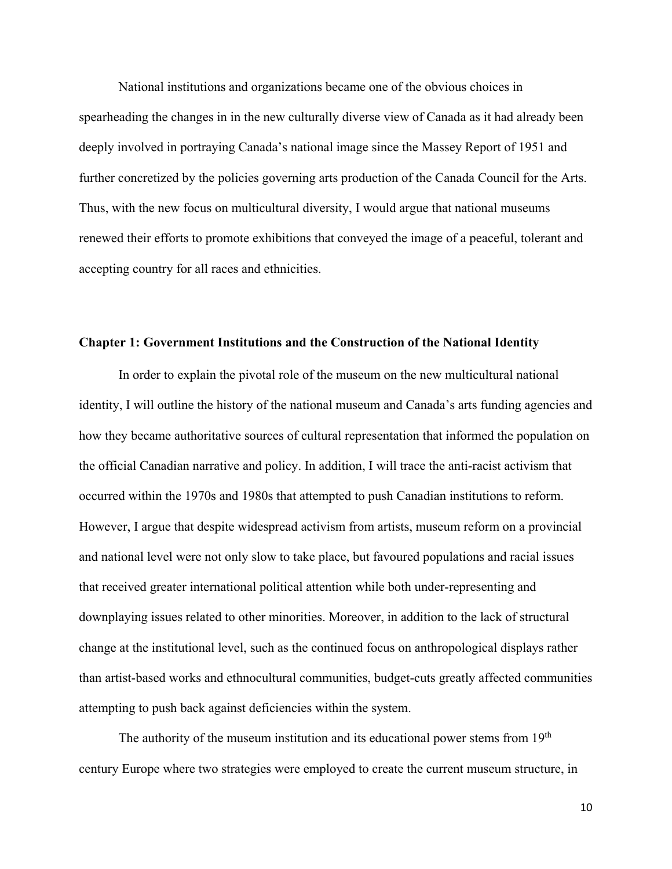National institutions and organizations became one of the obvious choices in spearheading the changes in in the new culturally diverse view of Canada as it had already been deeply involved in portraying Canada's national image since the Massey Report of 1951 and further concretized by the policies governing arts production of the Canada Council for the Arts. Thus, with the new focus on multicultural diversity, I would argue that national museums renewed their efforts to promote exhibitions that conveyed the image of a peaceful, tolerant and accepting country for all races and ethnicities.

#### <span id="page-18-0"></span>**Chapter 1: Government Institutions and the Construction of the National Identity**

In order to explain the pivotal role of the museum on the new multicultural national identity, I will outline the history of the national museum and Canada's arts funding agencies and how they became authoritative sources of cultural representation that informed the population on the official Canadian narrative and policy. In addition, I will trace the anti-racist activism that occurred within the 1970s and 1980s that attempted to push Canadian institutions to reform. However, I argue that despite widespread activism from artists, museum reform on a provincial and national level were not only slow to take place, but favoured populations and racial issues that received greater international political attention while both under-representing and downplaying issues related to other minorities. Moreover, in addition to the lack of structural change at the institutional level, such as the continued focus on anthropological displays rather than artist-based works and ethnocultural communities, budget-cuts greatly affected communities attempting to push back against deficiencies within the system.

The authority of the museum institution and its educational power stems from  $19<sup>th</sup>$ century Europe where two strategies were employed to create the current museum structure, in

10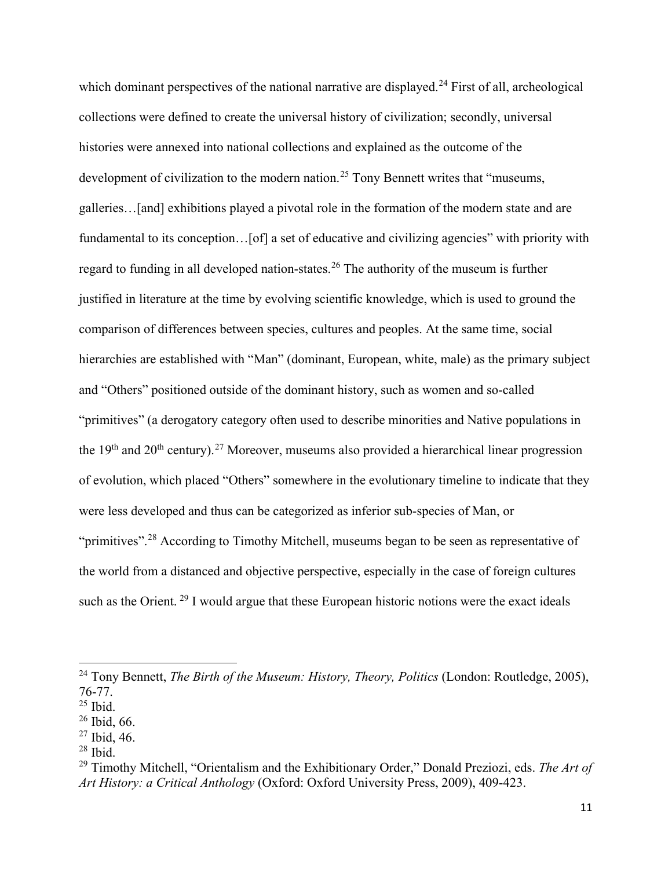which dominant perspectives of the national narrative are displayed.<sup>[24](#page-19-0)</sup> First of all, archeological collections were defined to create the universal history of civilization; secondly, universal histories were annexed into national collections and explained as the outcome of the development of civilization to the modern nation.<sup>[25](#page-19-1)</sup> Tony Bennett writes that "museums, galleries…[and] exhibitions played a pivotal role in the formation of the modern state and are fundamental to its conception... [of] a set of educative and civilizing agencies" with priority with regard to funding in all developed nation-states.[26](#page-19-2) The authority of the museum is further justified in literature at the time by evolving scientific knowledge, which is used to ground the comparison of differences between species, cultures and peoples. At the same time, social hierarchies are established with "Man" (dominant, European, white, male) as the primary subject and "Others" positioned outside of the dominant history, such as women and so-called "primitives" (a derogatory category often used to describe minorities and Native populations in the 19<sup>th</sup> and 20<sup>th</sup> century).<sup>[27](#page-19-3)</sup> Moreover, museums also provided a hierarchical linear progression of evolution, which placed "Others" somewhere in the evolutionary timeline to indicate that they were less developed and thus can be categorized as inferior sub-species of Man, or "primitives".<sup>[28](#page-19-4)</sup> According to Timothy Mitchell, museums began to be seen as representative of the world from a distanced and objective perspective, especially in the case of foreign cultures such as the Orient.<sup>[29](#page-19-5)</sup> I would argue that these European historic notions were the exact ideals

 $\overline{\phantom{a}}$ 

<span id="page-19-4"></span> $28$  Ibid.

<span id="page-19-0"></span><sup>&</sup>lt;sup>24</sup> Tony Bennett, *The Birth of the Museum: History, Theory, Politics* (London: Routledge, 2005), 76-77.

<span id="page-19-1"></span> $25$  Ibid.

<span id="page-19-2"></span><sup>26</sup> Ibid, 66.

<span id="page-19-3"></span> $27$  Ibid, 46.

<span id="page-19-5"></span><sup>29</sup> Timothy Mitchell, "Orientalism and the Exhibitionary Order," Donald Preziozi, eds. *The Art of Art History: a Critical Anthology* (Oxford: Oxford University Press, 2009), 409-423.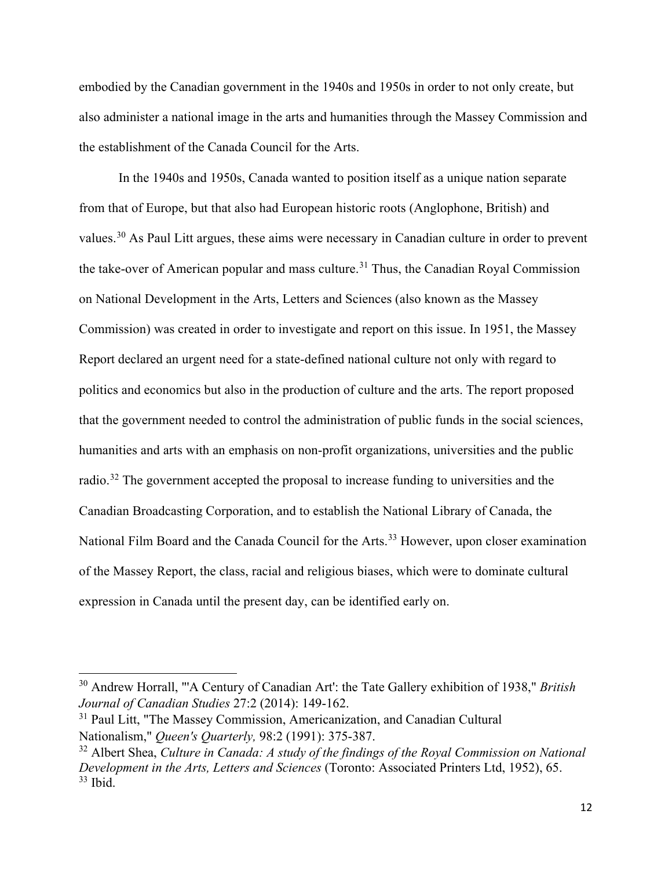embodied by the Canadian government in the 1940s and 1950s in order to not only create, but also administer a national image in the arts and humanities through the Massey Commission and the establishment of the Canada Council for the Arts.

In the 1940s and 1950s, Canada wanted to position itself as a unique nation separate from that of Europe, but that also had European historic roots (Anglophone, British) and values.[30](#page-20-0) As Paul Litt argues, these aims were necessary in Canadian culture in order to prevent the take-over of American popular and mass culture.<sup>[31](#page-20-1)</sup> Thus, the Canadian Royal Commission on National Development in the Arts, Letters and Sciences (also known as the Massey Commission) was created in order to investigate and report on this issue. In 1951, the Massey Report declared an urgent need for a state-defined national culture not only with regard to politics and economics but also in the production of culture and the arts. The report proposed that the government needed to control the administration of public funds in the social sciences, humanities and arts with an emphasis on non-profit organizations, universities and the public radio.<sup>[32](#page-20-2)</sup> The government accepted the proposal to increase funding to universities and the Canadian Broadcasting Corporation, and to establish the National Library of Canada, the National Film Board and the Canada Council for the Arts.<sup>[33](#page-20-3)</sup> However, upon closer examination of the Massey Report, the class, racial and religious biases, which were to dominate cultural expression in Canada until the present day, can be identified early on.

 $\overline{\phantom{a}}$ 

<span id="page-20-0"></span><sup>30</sup> Andrew Horrall, "'A Century of Canadian Art': the Tate Gallery exhibition of 1938," *British Journal of Canadian Studies* 27:2 (2014): 149-162.

<span id="page-20-1"></span><sup>&</sup>lt;sup>31</sup> Paul Litt, "The Massey Commission, Americanization, and Canadian Cultural Nationalism," *[Queen's Quarterly,](https://en.wikipedia.org/wiki/Queen%27s_Quarterly)* 98:2 (1991): 375-387.

<span id="page-20-3"></span><span id="page-20-2"></span><sup>32</sup> Albert Shea, *Culture in Canada: A study of the findings of the Royal Commission on National Development in the Arts, Letters and Sciences* (Toronto: Associated Printers Ltd, 1952), 65.  $33$  Ibid.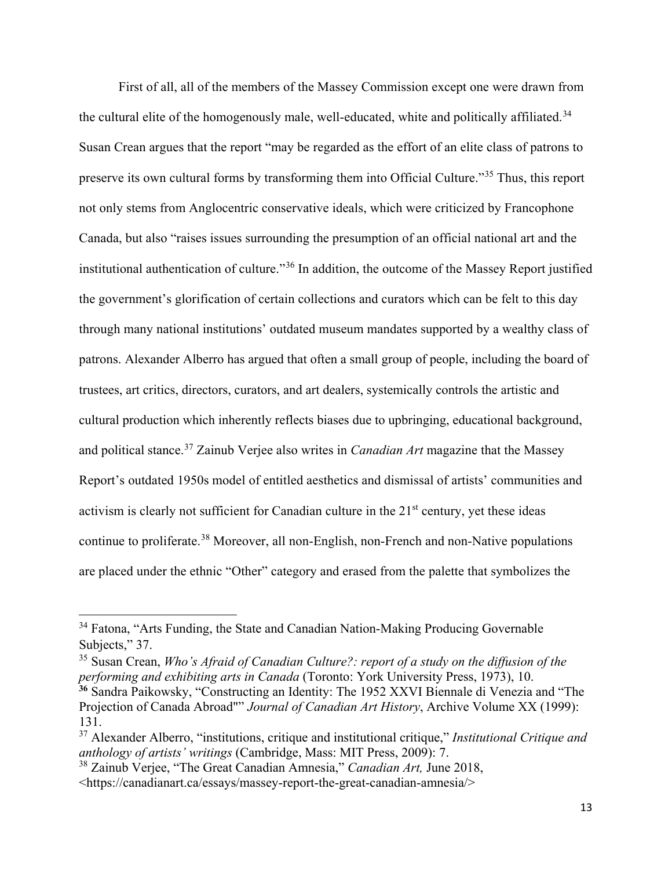First of all, all of the members of the Massey Commission except one were drawn from the cultural elite of the homogenously male, well-educated, white and politically affiliated.<sup>[34](#page-21-0)</sup> Susan Crean argues that the report "may be regarded as the effort of an elite class of patrons to preserve its own cultural forms by transforming them into Official Culture."[35](#page-21-1) Thus, this report not only stems from Anglocentric conservative ideals, which were criticized by Francophone Canada, but also "raises issues surrounding the presumption of an official national art and the institutional authentication of culture."[36](#page-21-2) In addition, the outcome of the Massey Report justified the government's glorification of certain collections and curators which can be felt to this day through many national institutions' outdated museum mandates supported by a wealthy class of patrons. Alexander Alberro has argued that often a small group of people, including the board of trustees, art critics, directors, curators, and art dealers, systemically controls the artistic and cultural production which inherently reflects biases due to upbringing, educational background, and political stance.[37](#page-21-3) Zainub Verjee also writes in *Canadian Art* magazine that the Massey Report's outdated 1950s model of entitled aesthetics and dismissal of artists' communities and activism is clearly not sufficient for Canadian culture in the  $21<sup>st</sup>$  century, yet these ideas continue to proliferate.[38](#page-21-4) Moreover, all non-English, non-French and non-Native populations are placed under the ethnic "Other" category and erased from the palette that symbolizes the

<span id="page-21-1"></span><sup>35</sup> Susan Crean, *Who's Afraid of Canadian Culture?: report of a study on the diffusion of the performing and exhibiting arts in Canada* (Toronto: York University Press, 1973), 10. **<sup>36</sup>** Sandra Paikowsky, "Constructing an Identity: The 1952 XXVI Biennale di Venezia and "The

<span id="page-21-0"></span><sup>&</sup>lt;sup>34</sup> Fatona, "Arts Funding, the State and Canadian Nation-Making Producing Governable Subjects," 37.

<span id="page-21-2"></span>Projection of Canada Abroad"" *Journal of Canadian Art History*, Archive Volume XX (1999): 131.

<span id="page-21-3"></span><sup>37</sup> Alexander Alberro, "institutions, critique and institutional critique," *Institutional Critique and anthology of artists' writings* (Cambridge, Mass: MIT Press, 2009): 7.

<span id="page-21-4"></span><sup>38</sup> Zainub Verjee, "The Great Canadian Amnesia," *Canadian Art,* June 2018, <https://canadianart.ca/essays/massey-report-the-great-canadian-amnesia/>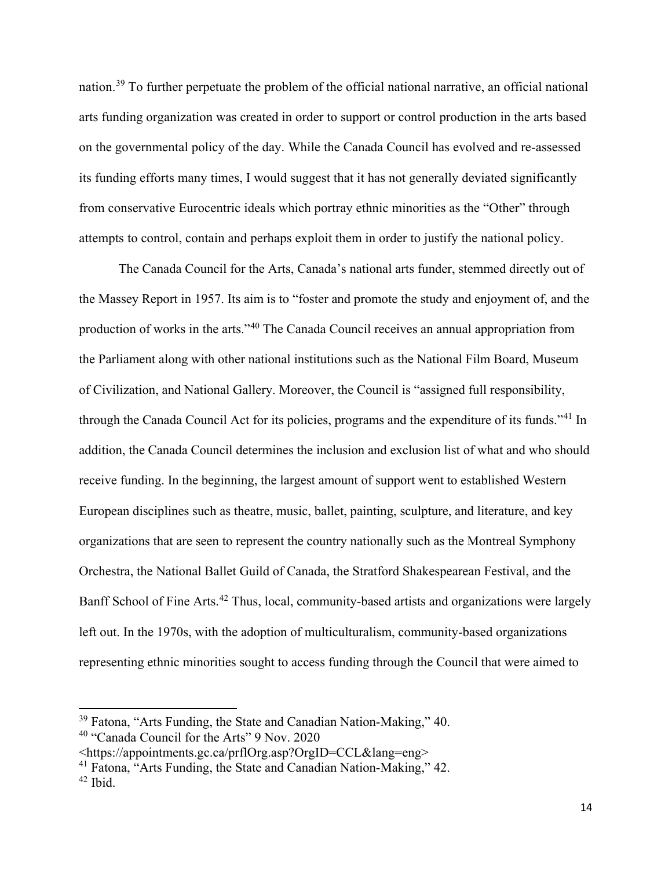nation.[39](#page-22-0) To further perpetuate the problem of the official national narrative, an official national arts funding organization was created in order to support or control production in the arts based on the governmental policy of the day. While the Canada Council has evolved and re-assessed its funding efforts many times, I would suggest that it has not generally deviated significantly from conservative Eurocentric ideals which portray ethnic minorities as the "Other" through attempts to control, contain and perhaps exploit them in order to justify the national policy.

The Canada Council for the Arts, Canada's national arts funder, stemmed directly out of the Massey Report in 1957. Its aim is to "foster and promote the study and enjoyment of, and the production of works in the arts."[40](#page-22-1) The Canada Council receives an annual appropriation from the Parliament along with other national institutions such as the National Film Board, Museum of Civilization, and National Gallery. Moreover, the Council is "assigned full responsibility, through the Canada Council Act for its policies, programs and the expenditure of its funds."[41](#page-22-2) In addition, the Canada Council determines the inclusion and exclusion list of what and who should receive funding. In the beginning, the largest amount of support went to established Western European disciplines such as theatre, music, ballet, painting, sculpture, and literature, and key organizations that are seen to represent the country nationally such as the Montreal Symphony Orchestra, the National Ballet Guild of Canada, the Stratford Shakespearean Festival, and the Banff School of Fine Arts.<sup>[42](#page-22-3)</sup> Thus, local, community-based artists and organizations were largely left out. In the 1970s, with the adoption of multiculturalism, community-based organizations representing ethnic minorities sought to access funding through the Council that were aimed to

<span id="page-22-0"></span><sup>&</sup>lt;sup>39</sup> Fatona, "Arts Funding, the State and Canadian Nation-Making," 40.

<span id="page-22-1"></span><sup>40</sup> "Canada Council for the Arts" 9 Nov. 2020

<sup>&</sup>lt;https://appointments.gc.ca/prflOrg.asp?OrgID=CCL&lang=eng>

<span id="page-22-3"></span><span id="page-22-2"></span><sup>41</sup> Fatona, "Arts Funding, the State and Canadian Nation-Making," 42.  $42$  Ibid.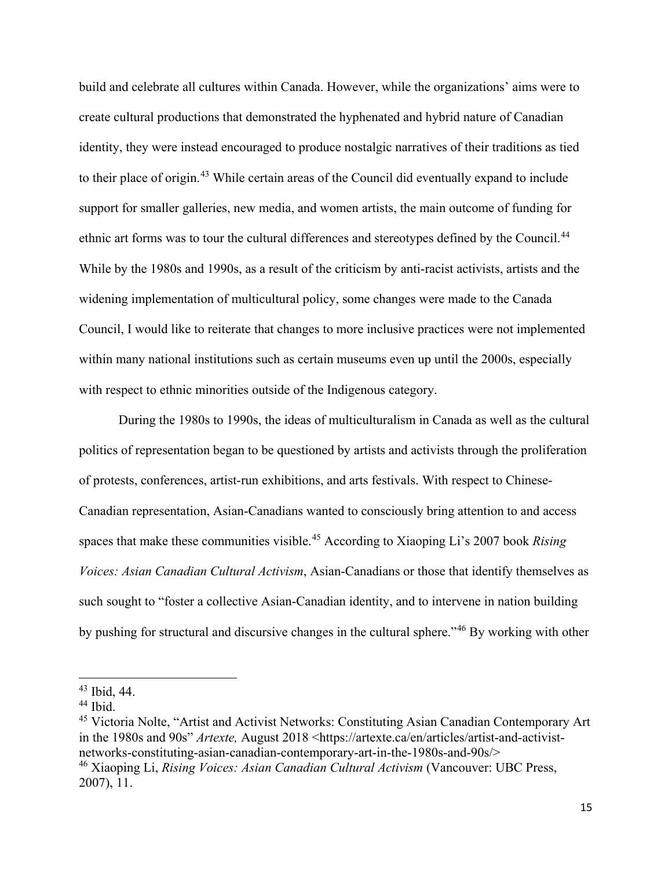build and celebrate all cultures within Canada. However, while the organizations' aims were to create cultural productions that demonstrated the hyphenated and hybrid nature of Canadian identity, they were instead encouraged to produce nostalgic narratives of their traditions as tied to their place of origin.[43](#page-23-0) While certain areas of the Council did eventually expand to include support for smaller galleries, new media, and women artists, the main outcome of funding for ethnic art forms was to tour the cultural differences and stereotypes defined by the Council.<sup>[44](#page-23-1)</sup> While by the 1980s and 1990s, as a result of the criticism by anti-racist activists, artists and the widening implementation of multicultural policy, some changes were made to the Canada Council, I would like to reiterate that changes to more inclusive practices were not implemented within many national institutions such as certain museums even up until the 2000s, especially with respect to ethnic minorities outside of the Indigenous category.

During the 1980s to 1990s, the ideas of multiculturalism in Canada as well as the cultural politics of representation began to be questioned by artists and activists through the proliferation of protests, conferences, artist-run exhibitions, and arts festivals. With respect to Chinese-Canadian representation, Asian-Canadians wanted to consciously bring attention to and access spaces that make these communities visible.[45](#page-23-2) According to Xiaoping Li's 2007 book *Rising Voices: Asian Canadian Cultural Activism*, Asian-Canadians or those that identify themselves as such sought to "foster a collective Asian-Canadian identity, and to intervene in nation building by pushing for structural and discursive changes in the cultural sphere."[46](#page-23-3) By working with other

 $\overline{\phantom{a}}$ 

<span id="page-23-3"></span><span id="page-23-2"></span><sup>45</sup> Victoria Nolte, "Artist and Activist Networks: Constituting Asian Canadian Contemporary Art in the 1980s and 90s" *Artexte,* August 2018 <https://artexte.ca/en/articles/artist-and-activistnetworks-constituting-asian-canadian-contemporary-art-in-the-1980s-and-90s/> <sup>46</sup> Xiaoping Li, *Rising Voices: Asian Canadian Cultural Activism* (Vancouver: UBC Press,

<span id="page-23-0"></span><sup>43</sup> Ibid, 44.

<span id="page-23-1"></span> $44$  Ibid.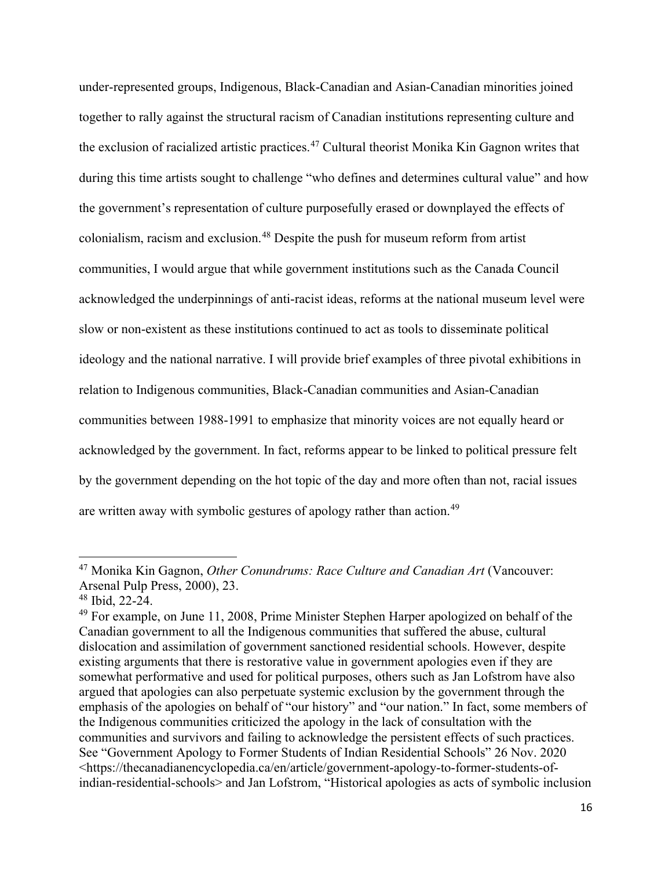under-represented groups, Indigenous, Black-Canadian and Asian-Canadian minorities joined together to rally against the structural racism of Canadian institutions representing culture and the exclusion of racialized artistic practices.<sup>[47](#page-24-0)</sup> Cultural theorist Monika Kin Gagnon writes that during this time artists sought to challenge "who defines and determines cultural value" and how the government's representation of culture purposefully erased or downplayed the effects of colonialism, racism and exclusion.[48](#page-24-1) Despite the push for museum reform from artist communities, I would argue that while government institutions such as the Canada Council acknowledged the underpinnings of anti-racist ideas, reforms at the national museum level were slow or non-existent as these institutions continued to act as tools to disseminate political ideology and the national narrative. I will provide brief examples of three pivotal exhibitions in relation to Indigenous communities, Black-Canadian communities and Asian-Canadian communities between 1988-1991 to emphasize that minority voices are not equally heard or acknowledged by the government. In fact, reforms appear to be linked to political pressure felt by the government depending on the hot topic of the day and more often than not, racial issues are written away with symbolic gestures of apology rather than action.<sup>[49](#page-24-2)</sup>

<span id="page-24-0"></span><sup>47</sup> Monika Kin Gagnon, *Other Conundrums: Race Culture and Canadian Art* (Vancouver: Arsenal Pulp Press, 2000), 23.

<span id="page-24-1"></span> $48$  Ibid, 22-24.

<span id="page-24-2"></span><sup>&</sup>lt;sup>49</sup> For example, on June 11, 2008, Prime Minister Stephen Harper apologized on behalf of the Canadian government to all the Indigenous communities that suffered the abuse, cultural dislocation and assimilation of government sanctioned residential schools. However, despite existing arguments that there is restorative value in government apologies even if they are somewhat performative and used for political purposes, others such as Jan Lofstrom have also argued that apologies can also perpetuate systemic exclusion by the government through the emphasis of the apologies on behalf of "our history" and "our nation." In fact, some members of the Indigenous communities criticized the apology in the lack of consultation with the communities and survivors and failing to acknowledge the persistent effects of such practices. See "Government Apology to Former Students of Indian Residential Schools" 26 Nov. 2020 <https://thecanadianencyclopedia.ca/en/article/government-apology-to-former-students-ofindian-residential-schools> and Jan Lofstrom, "Historical apologies as acts of symbolic inclusion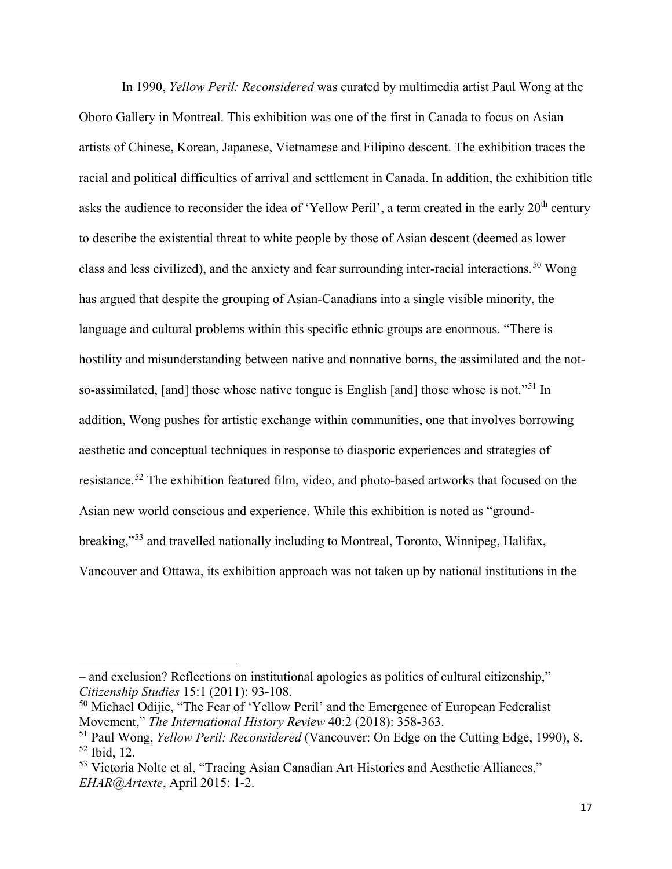In 1990, *Yellow Peril: Reconsidered* was curated by multimedia artist Paul Wong at the Oboro Gallery in Montreal. This exhibition was one of the first in Canada to focus on Asian artists of Chinese, Korean, Japanese, Vietnamese and Filipino descent. The exhibition traces the racial and political difficulties of arrival and settlement in Canada. In addition, the exhibition title asks the audience to reconsider the idea of 'Yellow Peril', a term created in the early 20<sup>th</sup> century to describe the existential threat to white people by those of Asian descent (deemed as lower class and less civilized), and the anxiety and fear surrounding inter-racial interactions.<sup>[50](#page-25-0)</sup> Wong has argued that despite the grouping of Asian-Canadians into a single visible minority, the language and cultural problems within this specific ethnic groups are enormous. "There is hostility and misunderstanding between native and nonnative borns, the assimilated and the not-so-assimilated, [and] those whose native tongue is English [and] those whose is not."<sup>[51](#page-25-1)</sup> In addition, Wong pushes for artistic exchange within communities, one that involves borrowing aesthetic and conceptual techniques in response to diasporic experiences and strategies of resistance.[52](#page-25-2) The exhibition featured film, video, and photo-based artworks that focused on the Asian new world conscious and experience. While this exhibition is noted as "ground-breaking,"<sup>[53](#page-25-3)</sup> and travelled nationally including to Montreal, Toronto, Winnipeg, Halifax, Vancouver and Ottawa, its exhibition approach was not taken up by national institutions in the

 $\overline{\phantom{a}}$ 

<sup>–</sup> and exclusion? Reflections on institutional apologies as politics of cultural citizenship," *Citizenship Studies* 15:1 (2011): 93-108.

<span id="page-25-0"></span><sup>&</sup>lt;sup>50</sup> Michael Odijie, "The Fear of 'Yellow Peril' and the Emergence of European Federalist Movement," *The International History Review* 40:2 (2018): 358-363.

<span id="page-25-2"></span><span id="page-25-1"></span><sup>51</sup> Paul Wong, *Yellow Peril: Reconsidered* (Vancouver: On Edge on the Cutting Edge, 1990), 8. <sup>52</sup> Ibid, 12.

<span id="page-25-3"></span><sup>53</sup> Victoria Nolte et al, "Tracing Asian Canadian Art Histories and Aesthetic Alliances," *EHAR@Artexte*, April 2015: 1-2.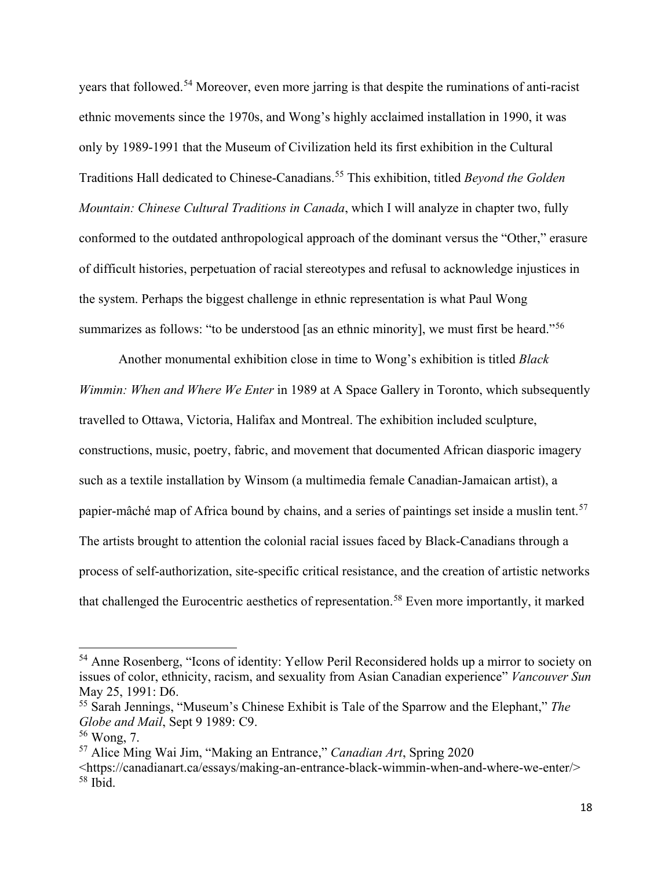years that followed.[54](#page-26-0) Moreover, even more jarring is that despite the ruminations of anti-racist ethnic movements since the 1970s, and Wong's highly acclaimed installation in 1990, it was only by 1989-1991 that the Museum of Civilization held its first exhibition in the Cultural Traditions Hall dedicated to Chinese-Canadians.[55](#page-26-1) This exhibition, titled *Beyond the Golden Mountain: Chinese Cultural Traditions in Canada*, which I will analyze in chapter two, fully conformed to the outdated anthropological approach of the dominant versus the "Other," erasure of difficult histories, perpetuation of racial stereotypes and refusal to acknowledge injustices in the system. Perhaps the biggest challenge in ethnic representation is what Paul Wong summarizes as follows: "to be understood [as an ethnic minority], we must first be heard."<sup>[56](#page-26-2)</sup>

Another monumental exhibition close in time to Wong's exhibition is titled *Black Wimmin: When and Where We Enter* in 1989 at A Space Gallery in Toronto, which subsequently travelled to Ottawa, Victoria, Halifax and Montreal. The exhibition included sculpture, constructions, music, poetry, fabric, and movement that documented African diasporic imagery such as a textile installation by Winsom (a multimedia female Canadian-Jamaican artist), a papier-mâché map of Africa bound by chains, and a series of paintings set inside a muslin tent.<sup>[57](#page-26-3)</sup> The artists brought to attention the colonial racial issues faced by Black-Canadians through a process of self-authorization, site-specific critical resistance, and the creation of artistic networks that challenged the Eurocentric aesthetics of representation.<sup>[58](#page-26-4)</sup> Even more importantly, it marked

<span id="page-26-0"></span><sup>&</sup>lt;sup>54</sup> Anne Rosenberg, "Icons of identity: Yellow Peril Reconsidered holds up a mirror to society on issues of color, ethnicity, racism, and sexuality from Asian Canadian experience" *Vancouver Sun*  May 25, 1991: D6.

<span id="page-26-1"></span><sup>55</sup> Sarah Jennings, "Museum's Chinese Exhibit is Tale of the Sparrow and the Elephant," *The Globe and Mail*, Sept 9 1989: C9.

<span id="page-26-2"></span> $56$  Wong, 7.

<span id="page-26-3"></span><sup>57</sup> Alice Ming Wai Jim, "Making an Entrance," *Canadian Art*, Spring 2020

<span id="page-26-4"></span><sup>&</sup>lt;https://canadianart.ca/essays/making-an-entrance-black-wimmin-when-and-where-we-enter/>  $58$  Ibid.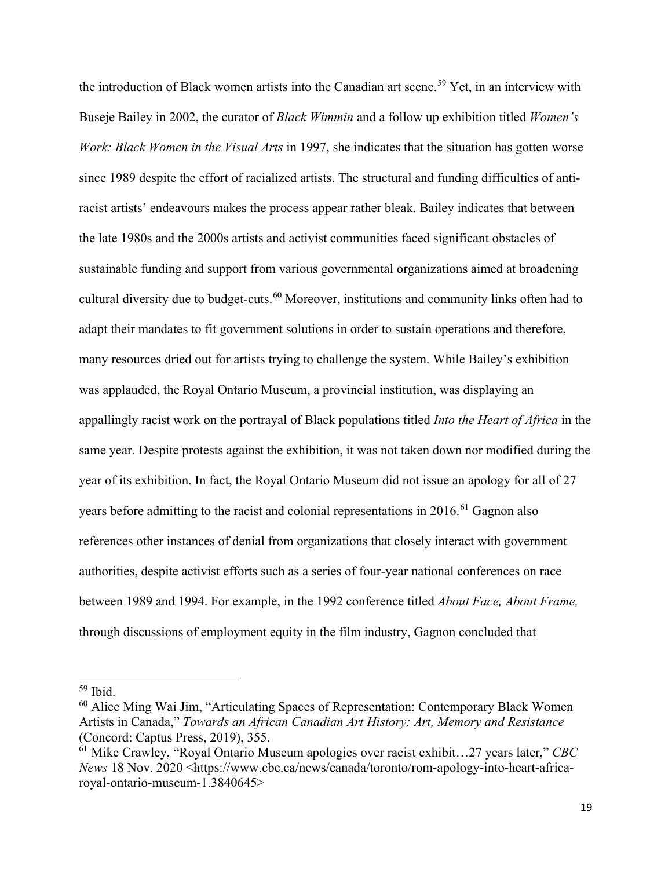the introduction of Black women artists into the Canadian art scene.<sup>[59](#page-27-0)</sup> Yet, in an interview with Buseje Bailey in 2002, the curator of *Black Wimmin* and a follow up exhibition titled *Women's Work: Black Women in the Visual Arts* in 1997, she indicates that the situation has gotten worse since 1989 despite the effort of racialized artists. The structural and funding difficulties of antiracist artists' endeavours makes the process appear rather bleak. Bailey indicates that between the late 1980s and the 2000s artists and activist communities faced significant obstacles of sustainable funding and support from various governmental organizations aimed at broadening cultural diversity due to budget-cuts.<sup>[60](#page-27-1)</sup> Moreover, institutions and community links often had to adapt their mandates to fit government solutions in order to sustain operations and therefore, many resources dried out for artists trying to challenge the system. While Bailey's exhibition was applauded, the Royal Ontario Museum, a provincial institution, was displaying an appallingly racist work on the portrayal of Black populations titled *Into the Heart of Africa* in the same year. Despite protests against the exhibition, it was not taken down nor modified during the year of its exhibition. In fact, the Royal Ontario Museum did not issue an apology for all of 27 years before admitting to the racist and colonial representations in 2016.<sup>[61](#page-27-2)</sup> Gagnon also references other instances of denial from organizations that closely interact with government authorities, despite activist efforts such as a series of four-year national conferences on race between 1989 and 1994. For example, in the 1992 conference titled *About Face, About Frame,*  through discussions of employment equity in the film industry, Gagnon concluded that

 $\overline{\phantom{a}}$ 

<span id="page-27-0"></span> $59$  Ibid.

<span id="page-27-1"></span><sup>60</sup> Alice Ming Wai Jim, "Articulating Spaces of Representation: Contemporary Black Women Artists in Canada," *Towards an African Canadian Art History: Art, Memory and Resistance*  (Concord: Captus Press, 2019), 355.

<span id="page-27-2"></span><sup>61</sup> Mike Crawley, "Royal Ontario Museum apologies over racist exhibit…27 years later," *CBC News* 18 Nov. 2020 <https://www.cbc.ca/news/canada/toronto/rom-apology-into-heart-africaroyal-ontario-museum-1.3840645>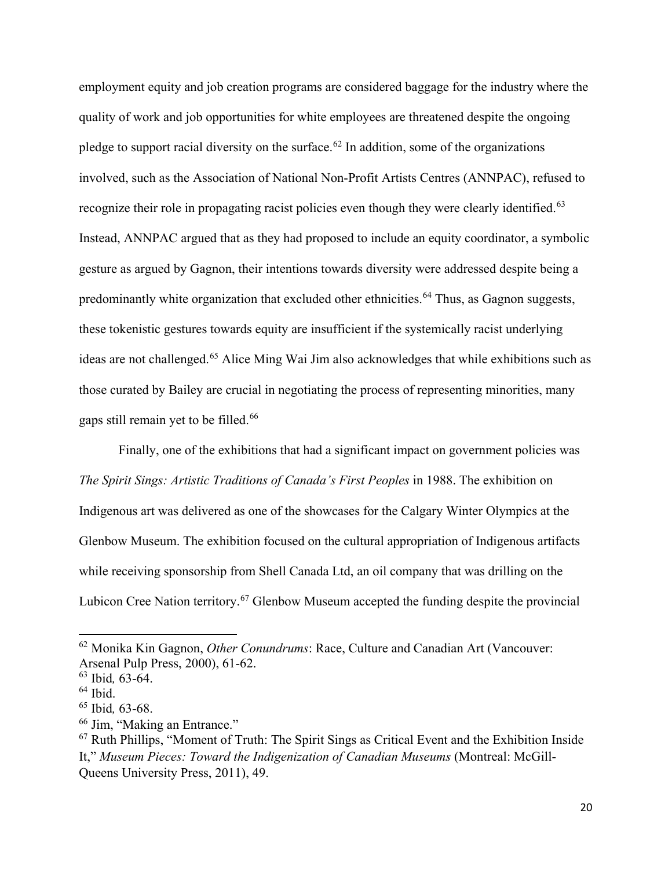employment equity and job creation programs are considered baggage for the industry where the quality of work and job opportunities for white employees are threatened despite the ongoing pledge to support racial diversity on the surface.<sup>[62](#page-28-0)</sup> In addition, some of the organizations involved, such as the Association of National Non-Profit Artists Centres (ANNPAC), refused to recognize their role in propagating racist policies even though they were clearly identified.<sup>[63](#page-28-1)</sup> Instead, ANNPAC argued that as they had proposed to include an equity coordinator, a symbolic gesture as argued by Gagnon, their intentions towards diversity were addressed despite being a predominantly white organization that excluded other ethnicities.<sup>[64](#page-28-2)</sup> Thus, as Gagnon suggests, these tokenistic gestures towards equity are insufficient if the systemically racist underlying ideas are not challenged.[65](#page-28-3) Alice Ming Wai Jim also acknowledges that while exhibitions such as those curated by Bailey are crucial in negotiating the process of representing minorities, many gaps still remain yet to be filled.<sup>[66](#page-28-4)</sup>

Finally, one of the exhibitions that had a significant impact on government policies was *The Spirit Sings: Artistic Traditions of Canada's First Peoples* in 1988. The exhibition on Indigenous art was delivered as one of the showcases for the Calgary Winter Olympics at the Glenbow Museum. The exhibition focused on the cultural appropriation of Indigenous artifacts while receiving sponsorship from Shell Canada Ltd, an oil company that was drilling on the Lubicon Cree Nation territory.<sup>[67](#page-28-5)</sup> Glenbow Museum accepted the funding despite the provincial

<span id="page-28-0"></span><sup>62</sup> Monika Kin Gagnon, *Other Conundrums*: Race, Culture and Canadian Art (Vancouver: Arsenal Pulp Press, 2000), 61-62.

<span id="page-28-1"></span><sup>63</sup> Ibid*,* 63-64.

<span id="page-28-2"></span> $64$  Ibid.

<span id="page-28-3"></span><sup>65</sup> Ibid*,* 63-68.

<span id="page-28-4"></span><sup>66</sup> Jim, "Making an Entrance."

<span id="page-28-5"></span><sup>67</sup> Ruth Phillips, "Moment of Truth: The Spirit Sings as Critical Event and the Exhibition Inside It," *Museum Pieces: Toward the Indigenization of Canadian Museums* (Montreal: McGill-Queens University Press, 2011), 49.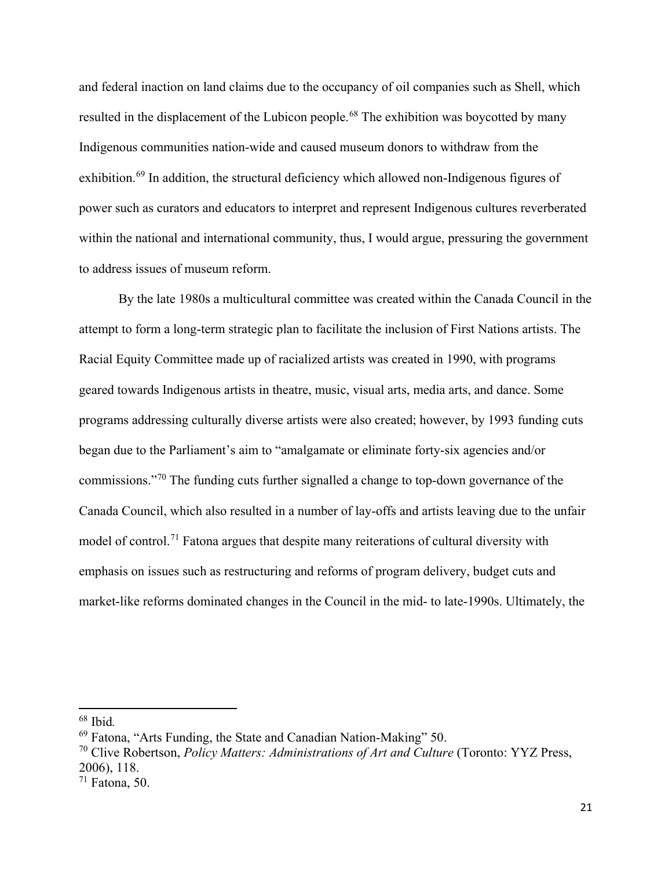and federal inaction on land claims due to the occupancy of oil companies such as Shell, which resulted in the displacement of the Lubicon people.<sup>[68](#page-29-0)</sup> The exhibition was boycotted by many Indigenous communities nation-wide and caused museum donors to withdraw from the exhibition.<sup>[69](#page-29-1)</sup> In addition, the structural deficiency which allowed non-Indigenous figures of power such as curators and educators to interpret and represent Indigenous cultures reverberated within the national and international community, thus, I would argue, pressuring the government to address issues of museum reform.

By the late 1980s a multicultural committee was created within the Canada Council in the attempt to form a long-term strategic plan to facilitate the inclusion of First Nations artists. The Racial Equity Committee made up of racialized artists was created in 1990, with programs geared towards Indigenous artists in theatre, music, visual arts, media arts, and dance. Some programs addressing culturally diverse artists were also created; however, by 1993 funding cuts began due to the Parliament's aim to "amalgamate or eliminate forty-six agencies and/or commissions."[70](#page-29-2) The funding cuts further signalled a change to top-down governance of the Canada Council, which also resulted in a number of lay-offs and artists leaving due to the unfair model of control.<sup>[71](#page-29-3)</sup> Fatona argues that despite many reiterations of cultural diversity with emphasis on issues such as restructuring and reforms of program delivery, budget cuts and market-like reforms dominated changes in the Council in the mid- to late-1990s. Ultimately, the

<span id="page-29-0"></span><sup>68</sup> Ibid*.*

<span id="page-29-1"></span><sup>69</sup> Fatona, "Arts Funding, the State and Canadian Nation-Making" 50.

<span id="page-29-2"></span><sup>70</sup> Clive Robertson, *Policy Matters: Administrations of Art and Culture* (Toronto: YYZ Press, 2006), 118.

<span id="page-29-3"></span> $71$  Fatona, 50.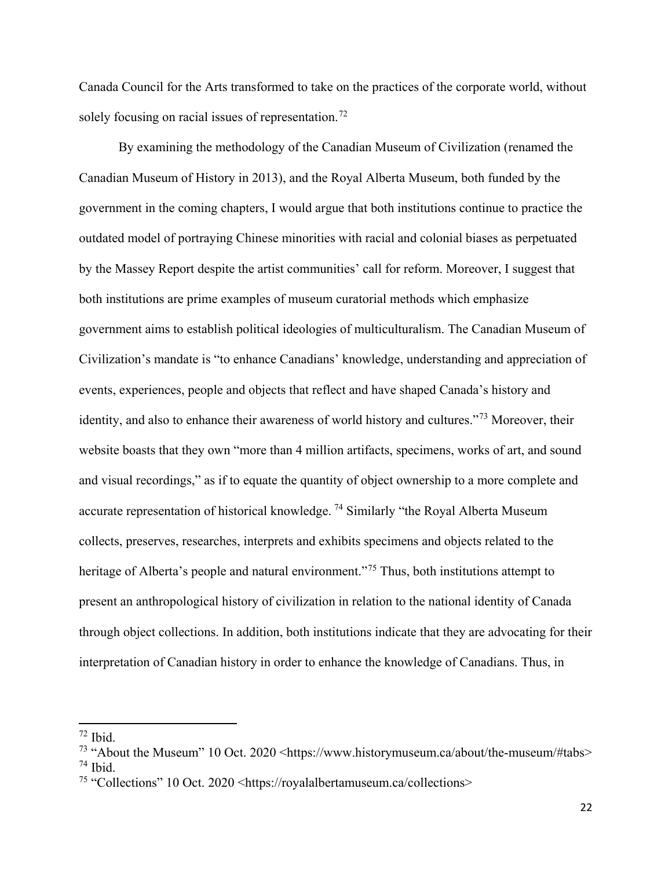Canada Council for the Arts transformed to take on the practices of the corporate world, without solely focusing on racial issues of representation.<sup>[72](#page-30-0)</sup>

By examining the methodology of the Canadian Museum of Civilization (renamed the Canadian Museum of History in 2013), and the Royal Alberta Museum, both funded by the government in the coming chapters, I would argue that both institutions continue to practice the outdated model of portraying Chinese minorities with racial and colonial biases as perpetuated by the Massey Report despite the artist communities' call for reform. Moreover, I suggest that both institutions are prime examples of museum curatorial methods which emphasize government aims to establish political ideologies of multiculturalism. The Canadian Museum of Civilization's mandate is "to enhance Canadians' knowledge, understanding and appreciation of events, experiences, people and objects that reflect and have shaped Canada's history and identity, and also to enhance their awareness of world history and cultures."[73](#page-30-1) Moreover, their website boasts that they own "more than 4 million artifacts, specimens, works of art, and sound and visual recordings," as if to equate the quantity of object ownership to a more complete and accurate representation of historical knowledge.<sup>[74](#page-30-2)</sup> Similarly "the Royal Alberta Museum collects, preserves, researches, interprets and exhibits specimens and objects related to the heritage of Alberta's people and natural environment."<sup>[75](#page-30-3)</sup> Thus, both institutions attempt to present an anthropological history of civilization in relation to the national identity of Canada through object collections. In addition, both institutions indicate that they are advocating for their interpretation of Canadian history in order to enhance the knowledge of Canadians. Thus, in

<span id="page-30-0"></span><sup>72</sup> Ibid.

<span id="page-30-2"></span><span id="page-30-1"></span><sup>&</sup>lt;sup>73</sup> "About the Museum" 10 Oct. 2020 <https://www.historymuseum.ca/about/the-museum/#tabs> <sup>74</sup> Ibid.

<span id="page-30-3"></span><sup>75</sup> "Collections" 10 Oct. 2020 <https://royalalbertamuseum.ca/collections>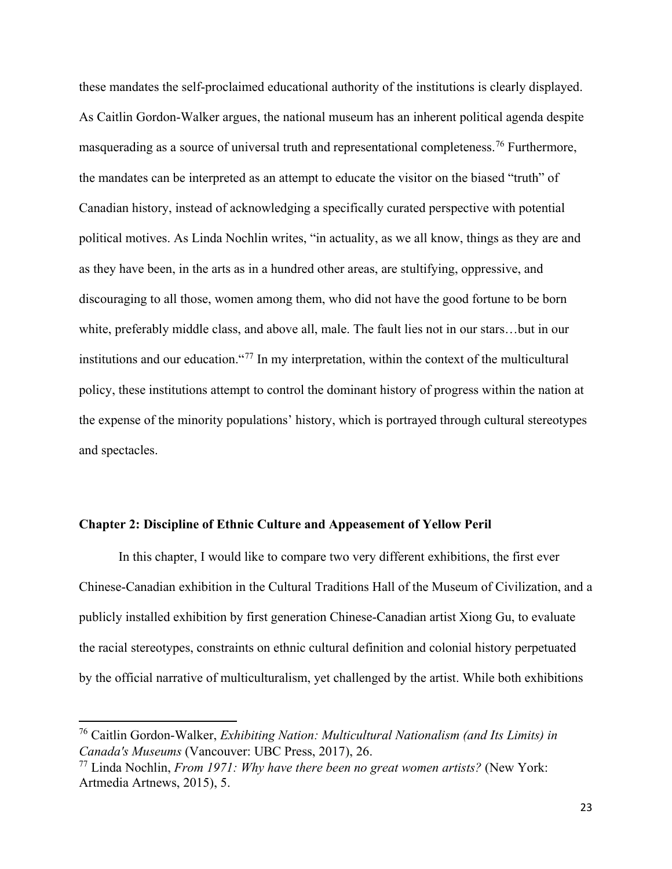these mandates the self-proclaimed educational authority of the institutions is clearly displayed. As Caitlin Gordon-Walker argues, the national museum has an inherent political agenda despite masquerading as a source of universal truth and representational completeness.<sup>[76](#page-31-1)</sup> Furthermore, the mandates can be interpreted as an attempt to educate the visitor on the biased "truth" of Canadian history, instead of acknowledging a specifically curated perspective with potential political motives. As Linda Nochlin writes, "in actuality, as we all know, things as they are and as they have been, in the arts as in a hundred other areas, are stultifying, oppressive, and discouraging to all those, women among them, who did not have the good fortune to be born white, preferably middle class, and above all, male. The fault lies not in our stars…but in our institutions and our education."[77](#page-31-2) In my interpretation, within the context of the multicultural policy, these institutions attempt to control the dominant history of progress within the nation at the expense of the minority populations' history, which is portrayed through cultural stereotypes and spectacles.

#### <span id="page-31-0"></span>**Chapter 2: Discipline of Ethnic Culture and Appeasement of Yellow Peril**

In this chapter, I would like to compare two very different exhibitions, the first ever Chinese-Canadian exhibition in the Cultural Traditions Hall of the Museum of Civilization, and a publicly installed exhibition by first generation Chinese-Canadian artist Xiong Gu, to evaluate the racial stereotypes, constraints on ethnic cultural definition and colonial history perpetuated by the official narrative of multiculturalism, yet challenged by the artist. While both exhibitions

l

<span id="page-31-1"></span><sup>76</sup> Caitlin Gordon-Walker, *Exhibiting Nation: Multicultural Nationalism (and Its Limits) in Canada's Museums* (Vancouver: UBC Press, 2017), 26.

<span id="page-31-2"></span><sup>77</sup> Linda Nochlin, *From 1971: Why have there been no great women artists?* (New York: Artmedia Artnews, 2015), 5.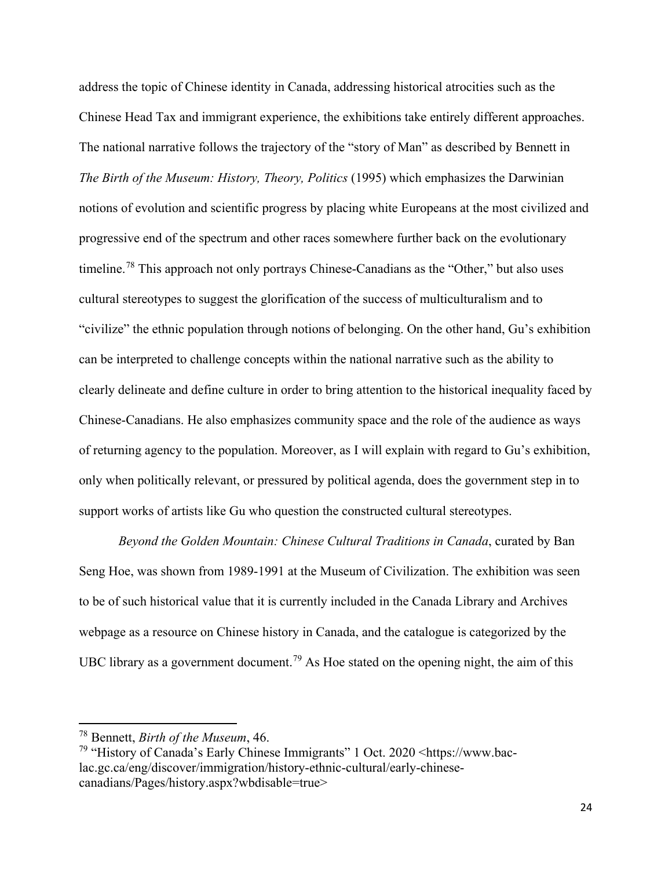address the topic of Chinese identity in Canada, addressing historical atrocities such as the Chinese Head Tax and immigrant experience, the exhibitions take entirely different approaches. The national narrative follows the trajectory of the "story of Man" as described by Bennett in *The Birth of the Museum: History, Theory, Politics* (1995) which emphasizes the Darwinian notions of evolution and scientific progress by placing white Europeans at the most civilized and progressive end of the spectrum and other races somewhere further back on the evolutionary timeline.<sup>[78](#page-32-0)</sup> This approach not only portrays Chinese-Canadians as the "Other," but also uses cultural stereotypes to suggest the glorification of the success of multiculturalism and to "civilize" the ethnic population through notions of belonging. On the other hand, Gu's exhibition can be interpreted to challenge concepts within the national narrative such as the ability to clearly delineate and define culture in order to bring attention to the historical inequality faced by Chinese-Canadians. He also emphasizes community space and the role of the audience as ways of returning agency to the population. Moreover, as I will explain with regard to Gu's exhibition, only when politically relevant, or pressured by political agenda, does the government step in to support works of artists like Gu who question the constructed cultural stereotypes.

*Beyond the Golden Mountain: Chinese Cultural Traditions in Canada*, curated by Ban Seng Hoe, was shown from 1989-1991 at the Museum of Civilization. The exhibition was seen to be of such historical value that it is currently included in the Canada Library and Archives webpage as a resource on Chinese history in Canada, and the catalogue is categorized by the UBC library as a government document.<sup>[79](#page-32-1)</sup> As Hoe stated on the opening night, the aim of this

<span id="page-32-0"></span><sup>78</sup> Bennett, *Birth of the Museum*, 46.

<span id="page-32-1"></span><sup>79</sup> "History of Canada's Early Chinese Immigrants" 1 Oct. 2020 <https://www.baclac.gc.ca/eng/discover/immigration/history-ethnic-cultural/early-chinesecanadians/Pages/history.aspx?wbdisable=true>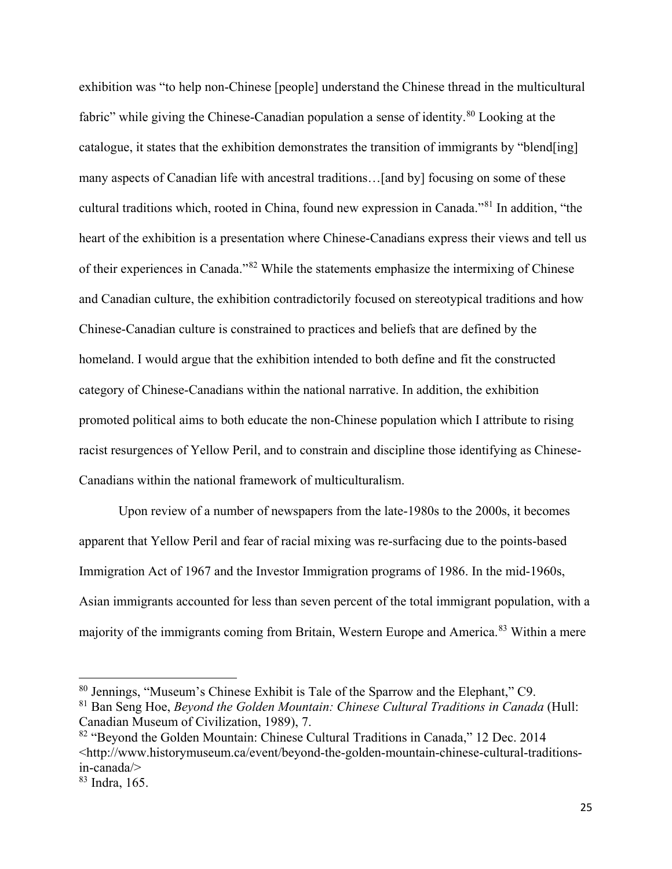exhibition was "to help non-Chinese [people] understand the Chinese thread in the multicultural fabric" while giving the Chinese-Canadian population a sense of identity.<sup>[80](#page-33-0)</sup> Looking at the catalogue, it states that the exhibition demonstrates the transition of immigrants by "blend[ing] many aspects of Canadian life with ancestral traditions…[and by] focusing on some of these cultural traditions which, rooted in China, found new expression in Canada."[81](#page-33-1) In addition, "the heart of the exhibition is a presentation where Chinese-Canadians express their views and tell us of their experiences in Canada."[82](#page-33-2) While the statements emphasize the intermixing of Chinese and Canadian culture, the exhibition contradictorily focused on stereotypical traditions and how Chinese-Canadian culture is constrained to practices and beliefs that are defined by the homeland. I would argue that the exhibition intended to both define and fit the constructed category of Chinese-Canadians within the national narrative. In addition, the exhibition promoted political aims to both educate the non-Chinese population which I attribute to rising racist resurgences of Yellow Peril, and to constrain and discipline those identifying as Chinese-Canadians within the national framework of multiculturalism.

Upon review of a number of newspapers from the late-1980s to the 2000s, it becomes apparent that Yellow Peril and fear of racial mixing was re-surfacing due to the points-based Immigration Act of 1967 and the Investor Immigration programs of 1986. In the mid-1960s, Asian immigrants accounted for less than seven percent of the total immigrant population, with a majority of the immigrants coming from Britain, Western Europe and America.<sup>[83](#page-33-3)</sup> Within a mere

 $\overline{\phantom{a}}$ 

<span id="page-33-0"></span><sup>80</sup> Jennings, "Museum's Chinese Exhibit is Tale of the Sparrow and the Elephant," C9.

<span id="page-33-1"></span><sup>81</sup> Ban Seng Hoe, *Beyond the Golden Mountain: Chinese Cultural Traditions in Canada* (Hull: Canadian Museum of Civilization, 1989), 7.

<span id="page-33-2"></span><sup>&</sup>lt;sup>82</sup> "Beyond the Golden Mountain: Chinese Cultural Traditions in Canada," 12 Dec. 2014 <http://www.historymuseum.ca/event/beyond-the-golden-mountain-chinese-cultural-traditionsin-canada/>

<span id="page-33-3"></span><sup>83</sup> Indra, 165.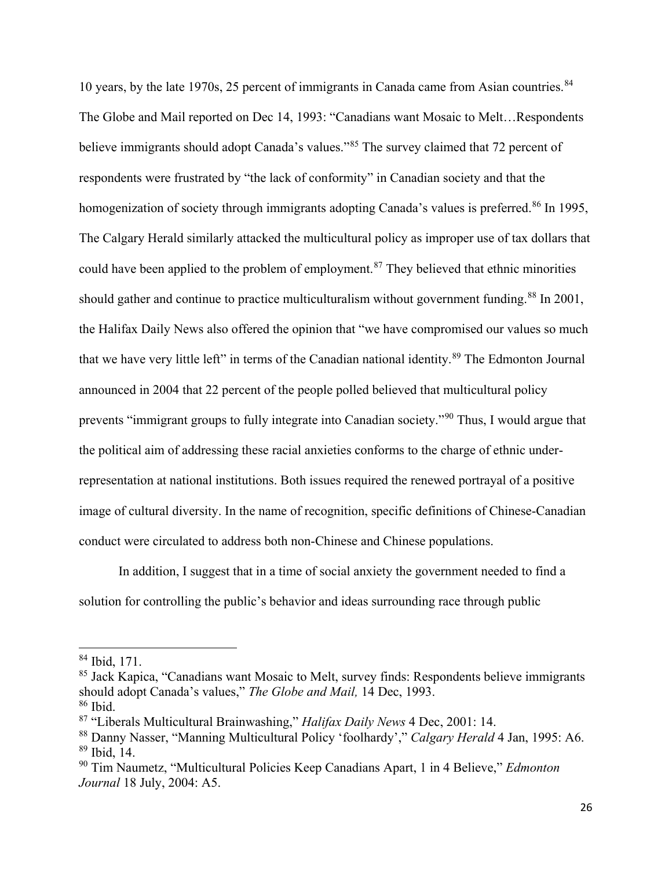10 years, by the late 1970s, 25 percent of immigrants in Canada came from Asian countries.<sup>[84](#page-34-0)</sup> The Globe and Mail reported on Dec 14, 1993: "Canadians want Mosaic to Melt…Respondents believe immigrants should adopt Canada's values."<sup>[85](#page-34-1)</sup> The survey claimed that 72 percent of respondents were frustrated by "the lack of conformity" in Canadian society and that the homogenization of society through immigrants adopting Canada's values is preferred.<sup>[86](#page-34-2)</sup> In 1995, The Calgary Herald similarly attacked the multicultural policy as improper use of tax dollars that could have been applied to the problem of employment.<sup>[87](#page-34-3)</sup> They believed that ethnic minorities should gather and continue to practice multiculturalism without government funding.<sup>[88](#page-34-4)</sup> In 2001, the Halifax Daily News also offered the opinion that "we have compromised our values so much that we have very little left" in terms of the Canadian national identity.[89](#page-34-5) The Edmonton Journal announced in 2004 that 22 percent of the people polled believed that multicultural policy prevents "immigrant groups to fully integrate into Canadian society."[90](#page-34-6) Thus, I would argue that the political aim of addressing these racial anxieties conforms to the charge of ethnic underrepresentation at national institutions. Both issues required the renewed portrayal of a positive image of cultural diversity. In the name of recognition, specific definitions of Chinese-Canadian conduct were circulated to address both non-Chinese and Chinese populations.

In addition, I suggest that in a time of social anxiety the government needed to find a solution for controlling the public's behavior and ideas surrounding race through public

<span id="page-34-0"></span><sup>84</sup> Ibid, 171.

<span id="page-34-1"></span> $85$  Jack Kapica, "Canadians want Mosaic to Melt, survey finds: Respondents believe immigrants should adopt Canada's values," *The Globe and Mail,* 14 Dec, 1993. <sup>86</sup> Ibid.

<span id="page-34-2"></span>

<span id="page-34-3"></span><sup>87</sup> "Liberals Multicultural Brainwashing," *Halifax Daily News* 4 Dec, 2001: 14.

<span id="page-34-5"></span><span id="page-34-4"></span><sup>88</sup> Danny Nasser, "Manning Multicultural Policy 'foolhardy'," *Calgary Herald* 4 Jan, 1995: A6.  $89$  Ibid, 14.

<span id="page-34-6"></span><sup>90</sup> Tim Naumetz, "Multicultural Policies Keep Canadians Apart, 1 in 4 Believe," *Edmonton Journal* 18 July, 2004: A5.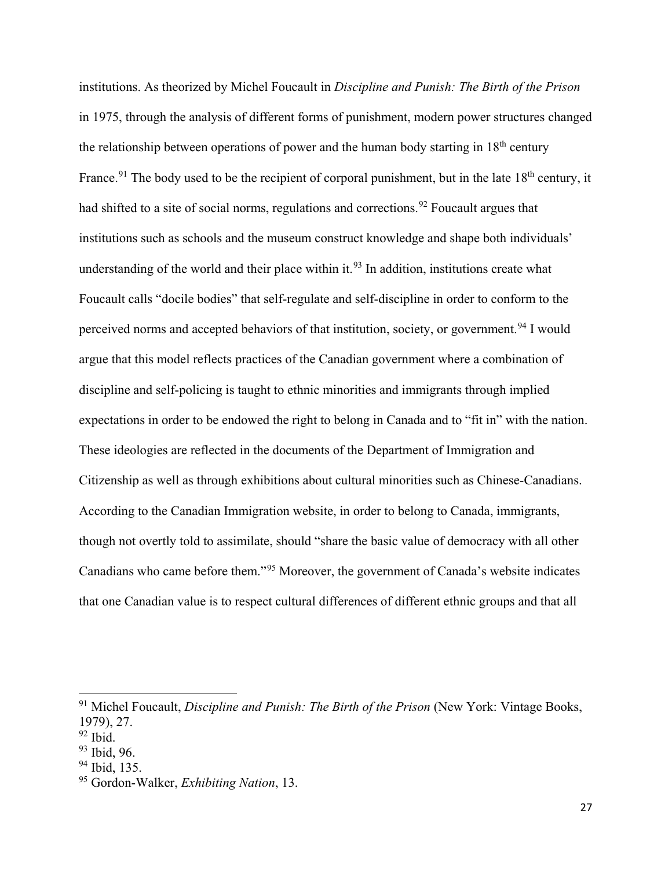institutions. As theorized by Michel Foucault in *Discipline and Punish: The Birth of the Prison* in 1975, through the analysis of different forms of punishment, modern power structures changed the relationship between operations of power and the human body starting in  $18<sup>th</sup>$  century France.<sup>[91](#page-35-0)</sup> The body used to be the recipient of corporal punishment, but in the late  $18<sup>th</sup>$  century, it had shifted to a site of social norms, regulations and corrections.<sup>[92](#page-35-1)</sup> Foucault argues that institutions such as schools and the museum construct knowledge and shape both individuals' understanding of the world and their place within it.<sup>[93](#page-35-2)</sup> In addition, institutions create what Foucault calls "docile bodies" that self-regulate and self-discipline in order to conform to the perceived norms and accepted behaviors of that institution, society, or government.<sup>[94](#page-35-3)</sup> I would argue that this model reflects practices of the Canadian government where a combination of discipline and self-policing is taught to ethnic minorities and immigrants through implied expectations in order to be endowed the right to belong in Canada and to "fit in" with the nation. These ideologies are reflected in the documents of the Department of Immigration and Citizenship as well as through exhibitions about cultural minorities such as Chinese-Canadians. According to the Canadian Immigration website, in order to belong to Canada, immigrants, though not overtly told to assimilate, should "share the basic value of democracy with all other Canadians who came before them."[95](#page-35-4) Moreover, the government of Canada's website indicates that one Canadian value is to respect cultural differences of different ethnic groups and that all

l

<span id="page-35-0"></span><sup>&</sup>lt;sup>91</sup> Michel Foucault, *Discipline and Punish: The Birth of the Prison* (New York: Vintage Books, 1979), 27.

<span id="page-35-1"></span> $92$  Ibid.

<span id="page-35-2"></span><sup>93</sup> Ibid, 96.

<span id="page-35-3"></span><sup>94</sup> Ibid, 135.

<span id="page-35-4"></span><sup>95</sup> Gordon-Walker, *Exhibiting Nation*, 13.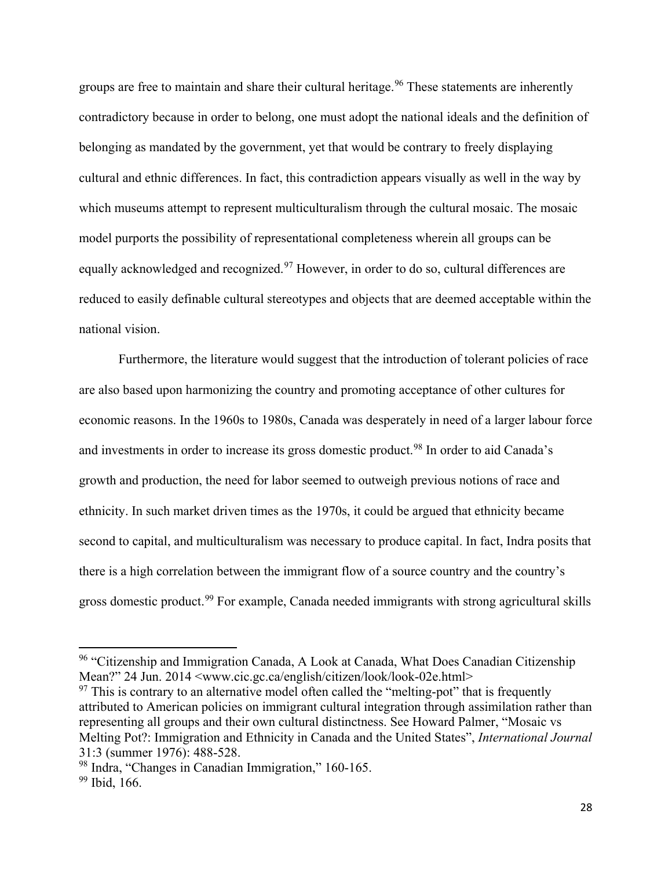groups are free to maintain and share their cultural heritage.<sup>[96](#page-36-0)</sup> These statements are inherently contradictory because in order to belong, one must adopt the national ideals and the definition of belonging as mandated by the government, yet that would be contrary to freely displaying cultural and ethnic differences. In fact, this contradiction appears visually as well in the way by which museums attempt to represent multiculturalism through the cultural mosaic. The mosaic model purports the possibility of representational completeness wherein all groups can be equally acknowledged and recognized.<sup>[97](#page-36-1)</sup> However, in order to do so, cultural differences are reduced to easily definable cultural stereotypes and objects that are deemed acceptable within the national vision.

Furthermore, the literature would suggest that the introduction of tolerant policies of race are also based upon harmonizing the country and promoting acceptance of other cultures for economic reasons. In the 1960s to 1980s, Canada was desperately in need of a larger labour force and investments in order to increase its gross domestic product.<sup>[98](#page-36-2)</sup> In order to aid Canada's growth and production, the need for labor seemed to outweigh previous notions of race and ethnicity. In such market driven times as the 1970s, it could be argued that ethnicity became second to capital, and multiculturalism was necessary to produce capital. In fact, Indra posits that there is a high correlation between the immigrant flow of a source country and the country's gross domestic product.<sup>[99](#page-36-3)</sup> For example, Canada needed immigrants with strong agricultural skills

<span id="page-36-0"></span><sup>&</sup>lt;sup>96</sup> "Citizenship and Immigration Canada, A Look at Canada, What Does Canadian Citizenship Mean?" 24 Jun. 2014 <www.cic.gc.ca/english/citizen/look/look-02e.html>

<span id="page-36-1"></span> $97$  This is contrary to an alternative model often called the "melting-pot" that is frequently attributed to American policies on immigrant cultural integration through assimilation rather than representing all groups and their own cultural distinctness. See Howard Palmer, "Mosaic vs Melting Pot?: Immigration and Ethnicity in Canada and the United States", *International Journal*  31:3 (summer 1976): 488-528.

<span id="page-36-2"></span><sup>98</sup> Indra, "Changes in Canadian Immigration," 160-165.

<span id="page-36-3"></span><sup>&</sup>lt;sup>99</sup> Ibid, 166.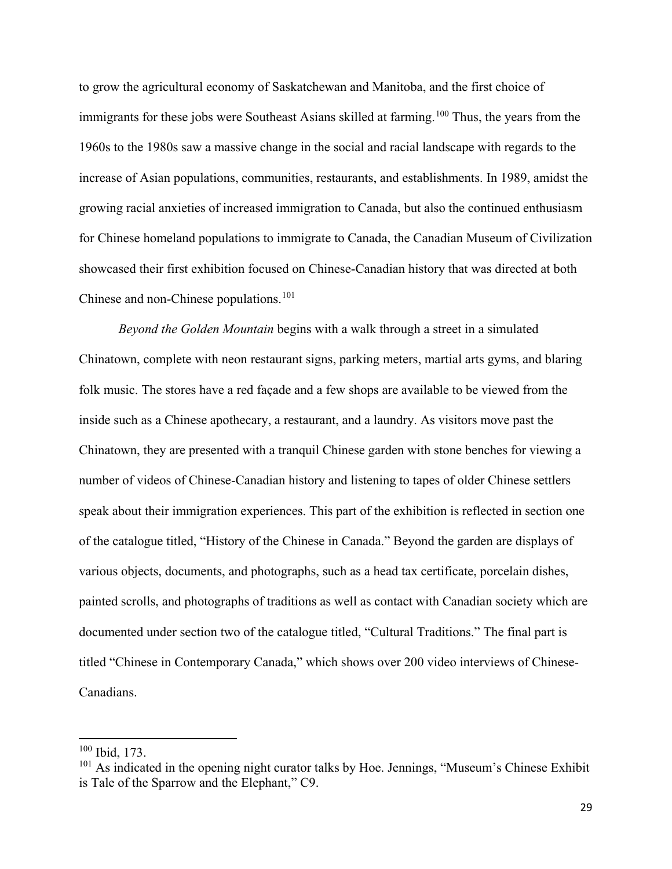to grow the agricultural economy of Saskatchewan and Manitoba, and the first choice of immigrants for these jobs were Southeast Asians skilled at farming.<sup>[100](#page-37-0)</sup> Thus, the years from the 1960s to the 1980s saw a massive change in the social and racial landscape with regards to the increase of Asian populations, communities, restaurants, and establishments. In 1989, amidst the growing racial anxieties of increased immigration to Canada, but also the continued enthusiasm for Chinese homeland populations to immigrate to Canada, the Canadian Museum of Civilization showcased their first exhibition focused on Chinese-Canadian history that was directed at both Chinese and non-Chinese populations.<sup>[101](#page-37-1)</sup>

*Beyond the Golden Mountain* begins with a walk through a street in a simulated Chinatown, complete with neon restaurant signs, parking meters, martial arts gyms, and blaring folk music. The stores have a red façade and a few shops are available to be viewed from the inside such as a Chinese apothecary, a restaurant, and a laundry. As visitors move past the Chinatown, they are presented with a tranquil Chinese garden with stone benches for viewing a number of videos of Chinese-Canadian history and listening to tapes of older Chinese settlers speak about their immigration experiences. This part of the exhibition is reflected in section one of the catalogue titled, "History of the Chinese in Canada." Beyond the garden are displays of various objects, documents, and photographs, such as a head tax certificate, porcelain dishes, painted scrolls, and photographs of traditions as well as contact with Canadian society which are documented under section two of the catalogue titled, "Cultural Traditions." The final part is titled "Chinese in Contemporary Canada," which shows over 200 video interviews of Chinese-Canadians.

<span id="page-37-0"></span><sup>100</sup> Ibid, 173.

<span id="page-37-1"></span> $101$  As indicated in the opening night curator talks by Hoe. Jennings, "Museum's Chinese Exhibit is Tale of the Sparrow and the Elephant," C9.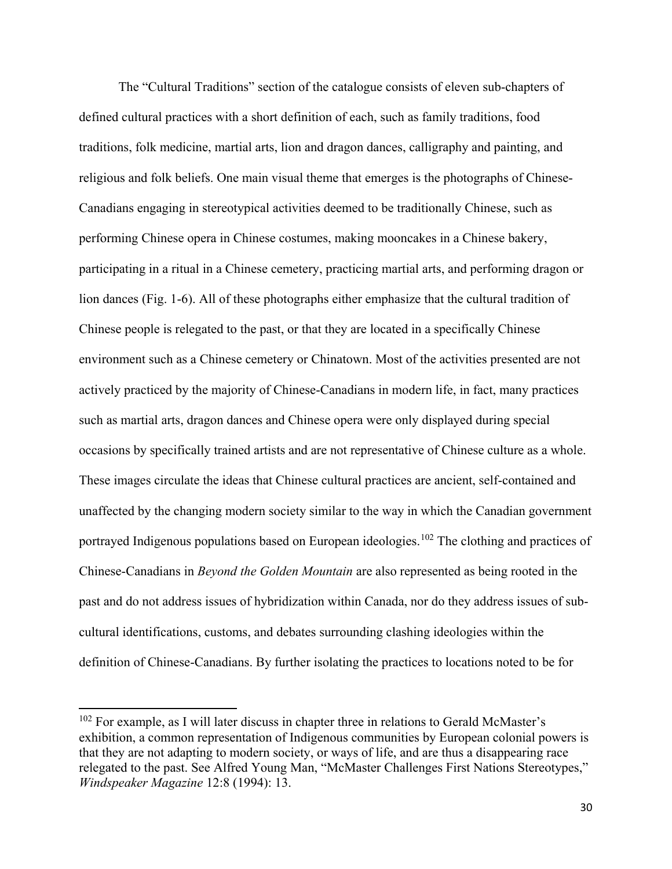The "Cultural Traditions" section of the catalogue consists of eleven sub-chapters of defined cultural practices with a short definition of each, such as family traditions, food traditions, folk medicine, martial arts, lion and dragon dances, calligraphy and painting, and religious and folk beliefs. One main visual theme that emerges is the photographs of Chinese-Canadians engaging in stereotypical activities deemed to be traditionally Chinese, such as performing Chinese opera in Chinese costumes, making mooncakes in a Chinese bakery, participating in a ritual in a Chinese cemetery, practicing martial arts, and performing dragon or lion dances (Fig. 1-6). All of these photographs either emphasize that the cultural tradition of Chinese people is relegated to the past, or that they are located in a specifically Chinese environment such as a Chinese cemetery or Chinatown. Most of the activities presented are not actively practiced by the majority of Chinese-Canadians in modern life, in fact, many practices such as martial arts, dragon dances and Chinese opera were only displayed during special occasions by specifically trained artists and are not representative of Chinese culture as a whole. These images circulate the ideas that Chinese cultural practices are ancient, self-contained and unaffected by the changing modern society similar to the way in which the Canadian government portrayed Indigenous populations based on European ideologies.<sup>[102](#page-38-0)</sup> The clothing and practices of Chinese-Canadians in *Beyond the Golden Mountain* are also represented as being rooted in the past and do not address issues of hybridization within Canada, nor do they address issues of subcultural identifications, customs, and debates surrounding clashing ideologies within the definition of Chinese-Canadians. By further isolating the practices to locations noted to be for

<span id="page-38-0"></span> $102$  For example, as I will later discuss in chapter three in relations to Gerald McMaster's exhibition, a common representation of Indigenous communities by European colonial powers is that they are not adapting to modern society, or ways of life, and are thus a disappearing race relegated to the past. See Alfred Young Man, "McMaster Challenges First Nations Stereotypes," *Windspeaker Magazine* 12:8 (1994): 13.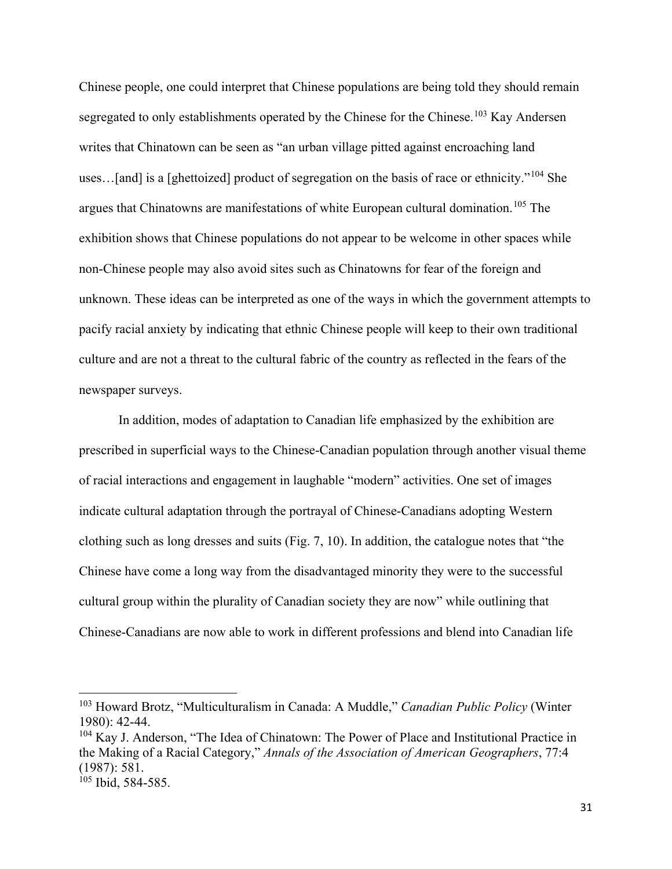Chinese people, one could interpret that Chinese populations are being told they should remain segregated to only establishments operated by the Chinese for the Chinese.<sup>[103](#page-39-0)</sup> Kay Andersen writes that Chinatown can be seen as "an urban village pitted against encroaching land uses...[and] is a [ghettoized] product of segregation on the basis of race or ethnicity."<sup>[104](#page-39-1)</sup> She argues that Chinatowns are manifestations of white European cultural domination.<sup>[105](#page-39-2)</sup> The exhibition shows that Chinese populations do not appear to be welcome in other spaces while non-Chinese people may also avoid sites such as Chinatowns for fear of the foreign and unknown. These ideas can be interpreted as one of the ways in which the government attempts to pacify racial anxiety by indicating that ethnic Chinese people will keep to their own traditional culture and are not a threat to the cultural fabric of the country as reflected in the fears of the newspaper surveys.

In addition, modes of adaptation to Canadian life emphasized by the exhibition are prescribed in superficial ways to the Chinese-Canadian population through another visual theme of racial interactions and engagement in laughable "modern" activities. One set of images indicate cultural adaptation through the portrayal of Chinese-Canadians adopting Western clothing such as long dresses and suits (Fig. 7, 10). In addition, the catalogue notes that "the Chinese have come a long way from the disadvantaged minority they were to the successful cultural group within the plurality of Canadian society they are now" while outlining that Chinese-Canadians are now able to work in different professions and blend into Canadian life

l

<span id="page-39-0"></span><sup>103</sup> Howard Brotz, "Multiculturalism in Canada: A Muddle," *Canadian Public Policy* (Winter 1980): 42-44.

<span id="page-39-1"></span><sup>&</sup>lt;sup>104</sup> Kay J. Anderson, "The Idea of Chinatown: The Power of Place and Institutional Practice in the Making of a Racial Category," *Annals of the Association of American Geographers*, 77:4 (1987): 581.

<span id="page-39-2"></span> $105$  Ibid, 584-585.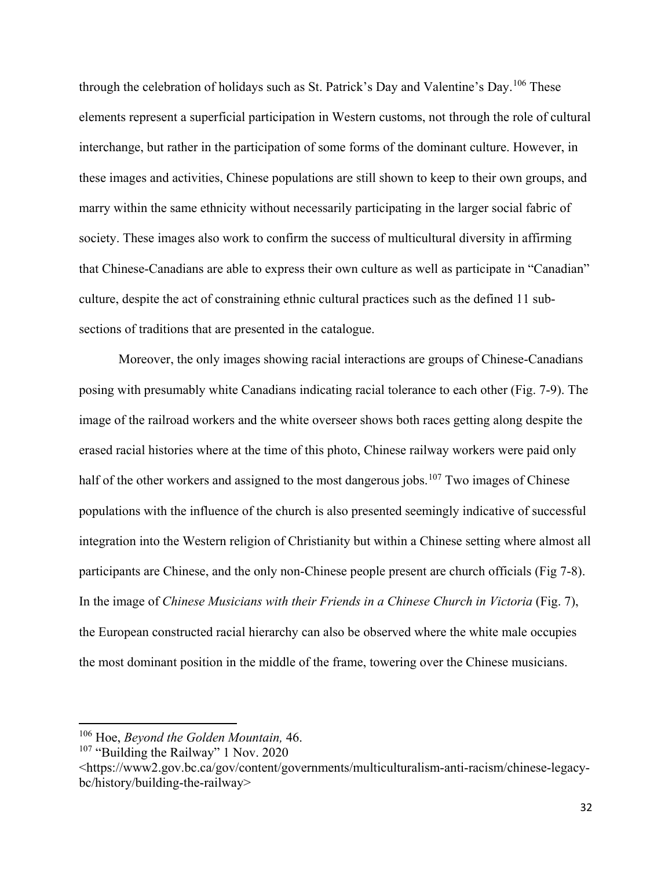through the celebration of holidays such as St. Patrick's Day and Valentine's Day.<sup>[106](#page-40-0)</sup> These elements represent a superficial participation in Western customs, not through the role of cultural interchange, but rather in the participation of some forms of the dominant culture. However, in these images and activities, Chinese populations are still shown to keep to their own groups, and marry within the same ethnicity without necessarily participating in the larger social fabric of society. These images also work to confirm the success of multicultural diversity in affirming that Chinese-Canadians are able to express their own culture as well as participate in "Canadian" culture, despite the act of constraining ethnic cultural practices such as the defined 11 subsections of traditions that are presented in the catalogue.

Moreover, the only images showing racial interactions are groups of Chinese-Canadians posing with presumably white Canadians indicating racial tolerance to each other (Fig. 7-9). The image of the railroad workers and the white overseer shows both races getting along despite the erased racial histories where at the time of this photo, Chinese railway workers were paid only half of the other workers and assigned to the most dangerous jobs.<sup>[107](#page-40-1)</sup> Two images of Chinese populations with the influence of the church is also presented seemingly indicative of successful integration into the Western religion of Christianity but within a Chinese setting where almost all participants are Chinese, and the only non-Chinese people present are church officials (Fig 7-8). In the image of *Chinese Musicians with their Friends in a Chinese Church in Victoria* (Fig. 7), the European constructed racial hierarchy can also be observed where the white male occupies the most dominant position in the middle of the frame, towering over the Chinese musicians.

<span id="page-40-0"></span><sup>106</sup> Hoe, *Beyond the Golden Mountain,* 46.

<span id="page-40-1"></span><sup>&</sup>lt;sup>107</sup> "Building the Railway" 1 Nov. 2020

<sup>&</sup>lt;https://www2.gov.bc.ca/gov/content/governments/multiculturalism-anti-racism/chinese-legacybc/history/building-the-railway>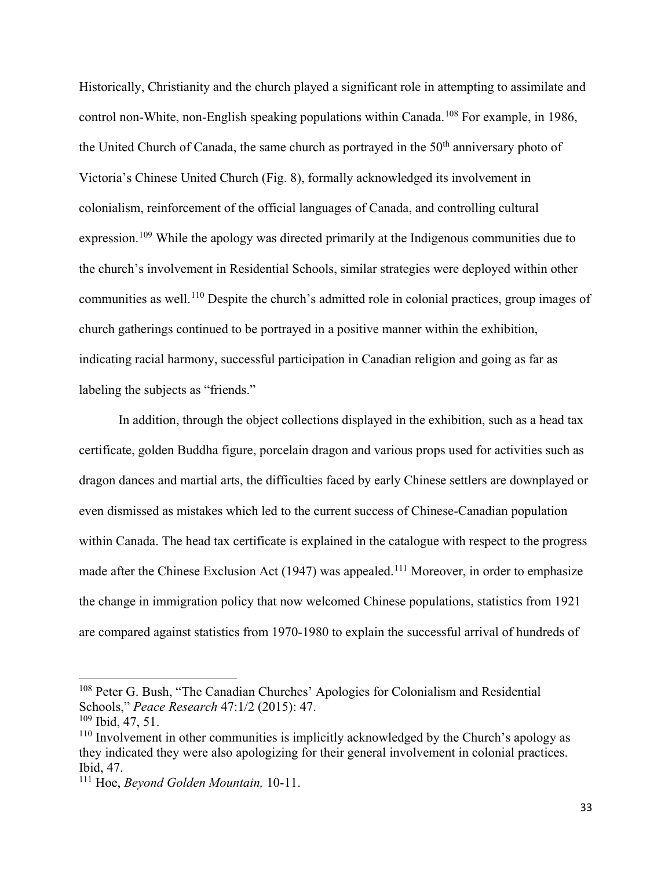Historically, Christianity and the church played a significant role in attempting to assimilate and control non-White, non-English speaking populations within Canada.<sup>[108](#page-41-0)</sup> For example, in 1986, the United Church of Canada, the same church as portrayed in the  $50<sup>th</sup>$  anniversary photo of Victoria's Chinese United Church (Fig. 8), formally acknowledged its involvement in colonialism, reinforcement of the official languages of Canada, and controlling cultural expression.<sup>[109](#page-41-1)</sup> While the apology was directed primarily at the Indigenous communities due to the church's involvement in Residential Schools, similar strategies were deployed within other communities as well.<sup>[110](#page-41-2)</sup> Despite the church's admitted role in colonial practices, group images of church gatherings continued to be portrayed in a positive manner within the exhibition, indicating racial harmony, successful participation in Canadian religion and going as far as labeling the subjects as "friends."

In addition, through the object collections displayed in the exhibition, such as a head tax certificate, golden Buddha figure, porcelain dragon and various props used for activities such as dragon dances and martial arts, the difficulties faced by early Chinese settlers are downplayed or even dismissed as mistakes which led to the current success of Chinese-Canadian population within Canada. The head tax certificate is explained in the catalogue with respect to the progress made after the Chinese Exclusion Act (1947) was appealed.<sup>[111](#page-41-3)</sup> Moreover, in order to emphasize the change in immigration policy that now welcomed Chinese populations, statistics from 1921 are compared against statistics from 1970-1980 to explain the successful arrival of hundreds of

<span id="page-41-0"></span><sup>108</sup> Peter G. Bush, "The Canadian Churches' Apologies for Colonialism and Residential Schools," *Peace Research* 47:1/2 (2015): 47.

<span id="page-41-1"></span> $109$  Ibid, 47, 51.

<span id="page-41-2"></span><sup>&</sup>lt;sup>110</sup> Involvement in other communities is implicitly acknowledged by the Church's apology as they indicated they were also apologizing for their general involvement in colonial practices. Ibid, 47.

<span id="page-41-3"></span><sup>111</sup> Hoe, *Beyond Golden Mountain,* 10-11.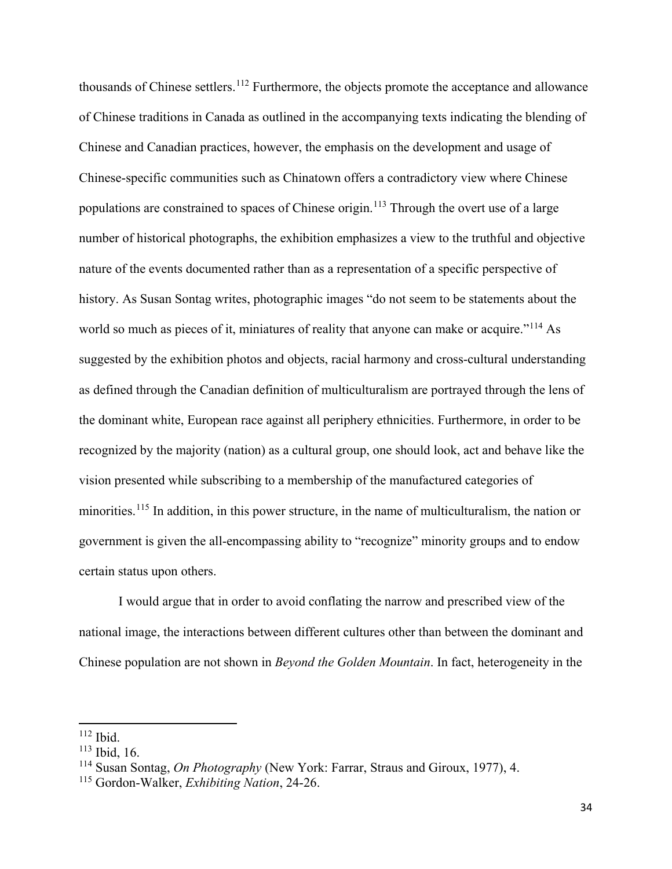thousands of Chinese settlers.[112](#page-42-0) Furthermore, the objects promote the acceptance and allowance of Chinese traditions in Canada as outlined in the accompanying texts indicating the blending of Chinese and Canadian practices, however, the emphasis on the development and usage of Chinese-specific communities such as Chinatown offers a contradictory view where Chinese populations are constrained to spaces of Chinese origin.<sup>[113](#page-42-1)</sup> Through the overt use of a large number of historical photographs, the exhibition emphasizes a view to the truthful and objective nature of the events documented rather than as a representation of a specific perspective of history. As Susan Sontag writes, photographic images "do not seem to be statements about the world so much as pieces of it, miniatures of reality that anyone can make or acquire."<sup>[114](#page-42-2)</sup> As suggested by the exhibition photos and objects, racial harmony and cross-cultural understanding as defined through the Canadian definition of multiculturalism are portrayed through the lens of the dominant white, European race against all periphery ethnicities. Furthermore, in order to be recognized by the majority (nation) as a cultural group, one should look, act and behave like the vision presented while subscribing to a membership of the manufactured categories of minorities.<sup>[115](#page-42-3)</sup> In addition, in this power structure, in the name of multiculturalism, the nation or government is given the all-encompassing ability to "recognize" minority groups and to endow certain status upon others.

I would argue that in order to avoid conflating the narrow and prescribed view of the national image, the interactions between different cultures other than between the dominant and Chinese population are not shown in *Beyond the Golden Mountain*. In fact, heterogeneity in the

 $112$  Ibid.

<span id="page-42-1"></span><span id="page-42-0"></span><sup>113</sup> Ibid, 16.

<span id="page-42-2"></span><sup>114</sup> Susan Sontag, *On Photography* (New York: Farrar, Straus and Giroux, 1977), 4.

<span id="page-42-3"></span><sup>115</sup> Gordon-Walker, *Exhibiting Nation*, 24-26.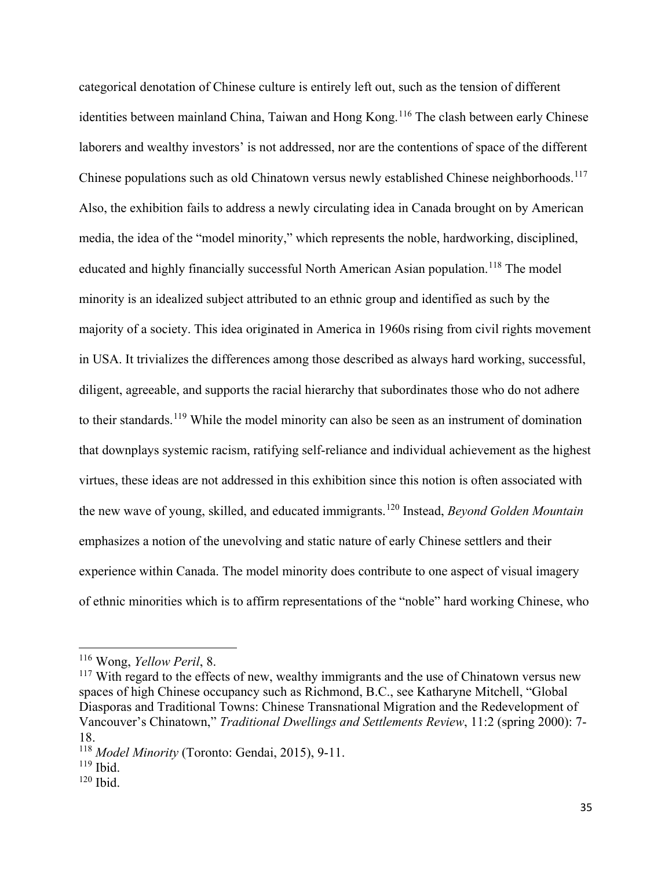categorical denotation of Chinese culture is entirely left out, such as the tension of different identities between mainland China, Taiwan and Hong Kong.<sup>[116](#page-43-0)</sup> The clash between early Chinese laborers and wealthy investors' is not addressed, nor are the contentions of space of the different Chinese populations such as old Chinatown versus newly established Chinese neighborhoods.<sup>[117](#page-43-1)</sup> Also, the exhibition fails to address a newly circulating idea in Canada brought on by American media, the idea of the "model minority," which represents the noble, hardworking, disciplined, educated and highly financially successful North American Asian population.<sup>[118](#page-43-2)</sup> The model minority is an idealized subject attributed to an ethnic group and identified as such by the majority of a society. This idea originated in America in 1960s rising from civil rights movement in USA. It trivializes the differences among those described as always hard working, successful, diligent, agreeable, and supports the racial hierarchy that subordinates those who do not adhere to their standards.<sup>[119](#page-43-3)</sup> While the model minority can also be seen as an instrument of domination that downplays systemic racism, ratifying self-reliance and individual achievement as the highest virtues, these ideas are not addressed in this exhibition since this notion is often associated with the new wave of young, skilled, and educated immigrants.[120](#page-43-4) Instead, *Beyond Golden Mountain* emphasizes a notion of the unevolving and static nature of early Chinese settlers and their experience within Canada. The model minority does contribute to one aspect of visual imagery of ethnic minorities which is to affirm representations of the "noble" hard working Chinese, who

<span id="page-43-0"></span><sup>116</sup> Wong, *Yellow Peril*, 8.

<span id="page-43-1"></span> $117$  With regard to the effects of new, wealthy immigrants and the use of Chinatown versus new spaces of high Chinese occupancy such as Richmond, B.C., see Katharyne Mitchell, "Global Diasporas and Traditional Towns: Chinese Transnational Migration and the Redevelopment of Vancouver's Chinatown," *Traditional Dwellings and Settlements Review*, 11:2 (spring 2000): 7- 18.

<span id="page-43-2"></span><sup>118</sup> *Model Minority* (Toronto: Gendai, 2015), 9-11.

<span id="page-43-3"></span><sup>119</sup> Ibid.

<span id="page-43-4"></span> $120$  Ibid.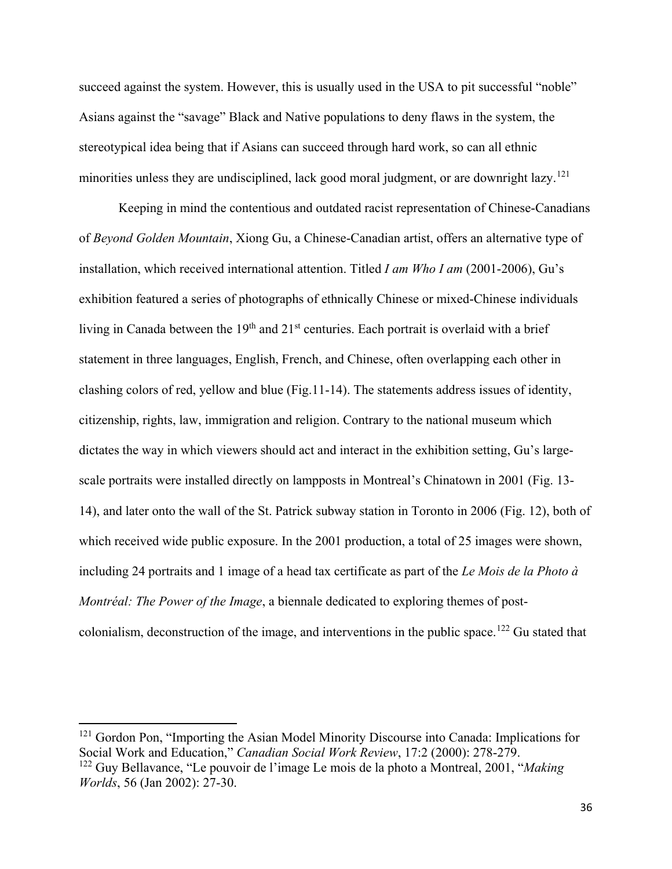succeed against the system. However, this is usually used in the USA to pit successful "noble" Asians against the "savage" Black and Native populations to deny flaws in the system, the stereotypical idea being that if Asians can succeed through hard work, so can all ethnic minorities unless they are undisciplined, lack good moral judgment, or are downright lazy.<sup>[121](#page-44-0)</sup>

Keeping in mind the contentious and outdated racist representation of Chinese-Canadians of *Beyond Golden Mountain*, Xiong Gu, a Chinese-Canadian artist, offers an alternative type of installation, which received international attention. Titled *I am Who I am* (2001-2006), Gu's exhibition featured a series of photographs of ethnically Chinese or mixed-Chinese individuals living in Canada between the  $19<sup>th</sup>$  and  $21<sup>st</sup>$  centuries. Each portrait is overlaid with a brief statement in three languages, English, French, and Chinese, often overlapping each other in clashing colors of red, yellow and blue (Fig.11-14). The statements address issues of identity, citizenship, rights, law, immigration and religion. Contrary to the national museum which dictates the way in which viewers should act and interact in the exhibition setting, Gu's largescale portraits were installed directly on lampposts in Montreal's Chinatown in 2001 (Fig. 13- 14), and later onto the wall of the St. Patrick subway station in Toronto in 2006 (Fig. 12), both of which received wide public exposure. In the 2001 production, a total of 25 images were shown, including 24 portraits and 1 image of a head tax certificate as part of the *Le Mois de la Photo à Montréal: The Power of the Image*, a biennale dedicated to exploring themes of post-colonialism, deconstruction of the image, and interventions in the public space.<sup>[122](#page-44-1)</sup> Gu stated that

<span id="page-44-1"></span><span id="page-44-0"></span><sup>&</sup>lt;sup>121</sup> Gordon Pon, "Importing the Asian Model Minority Discourse into Canada: Implications for Social Work and Education," *Canadian Social Work Review*, 17:2 (2000): 278-279. <sup>122</sup> Guy Bellavance, "Le pouvoir de l'image Le mois de la photo a Montreal, 2001, "*Making Worlds*, 56 (Jan 2002): 27-30.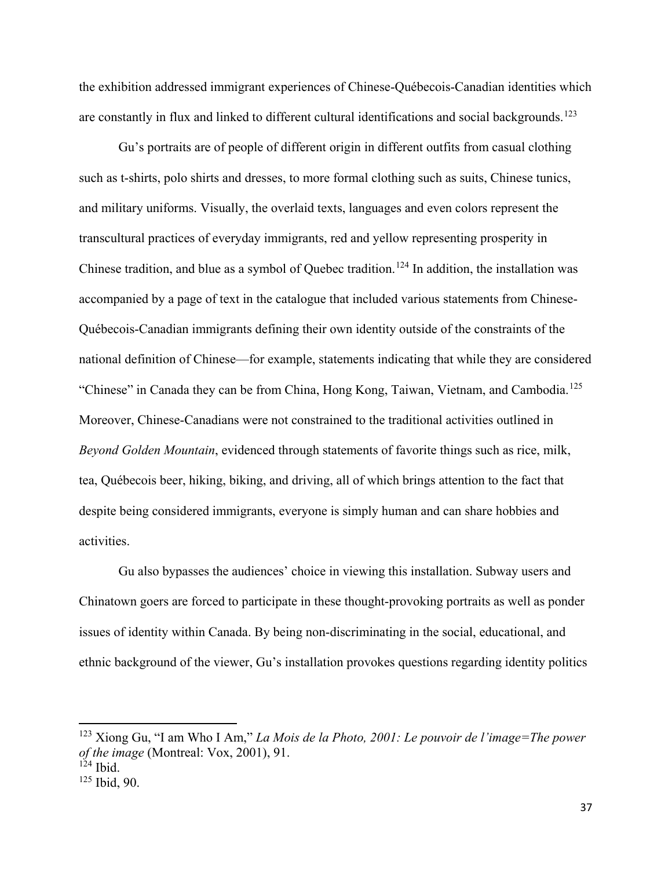the exhibition addressed immigrant experiences of Chinese-Québecois-Canadian identities which are constantly in flux and linked to different cultural identifications and social backgrounds.<sup>[123](#page-45-0)</sup>

Gu's portraits are of people of different origin in different outfits from casual clothing such as t-shirts, polo shirts and dresses, to more formal clothing such as suits, Chinese tunics, and military uniforms. Visually, the overlaid texts, languages and even colors represent the transcultural practices of everyday immigrants, red and yellow representing prosperity in Chinese tradition, and blue as a symbol of Quebec tradition.<sup>[124](#page-45-1)</sup> In addition, the installation was accompanied by a page of text in the catalogue that included various statements from Chinese-Québecois-Canadian immigrants defining their own identity outside of the constraints of the national definition of Chinese—for example, statements indicating that while they are considered "Chinese" in Canada they can be from China, Hong Kong, Taiwan, Vietnam, and Cambodia.<sup>[125](#page-45-2)</sup> Moreover, Chinese-Canadians were not constrained to the traditional activities outlined in *Beyond Golden Mountain*, evidenced through statements of favorite things such as rice, milk, tea, Québecois beer, hiking, biking, and driving, all of which brings attention to the fact that despite being considered immigrants, everyone is simply human and can share hobbies and activities.

Gu also bypasses the audiences' choice in viewing this installation. Subway users and Chinatown goers are forced to participate in these thought-provoking portraits as well as ponder issues of identity within Canada. By being non-discriminating in the social, educational, and ethnic background of the viewer, Gu's installation provokes questions regarding identity politics

<span id="page-45-0"></span><sup>123</sup> Xiong Gu, "I am Who I Am," *La Mois de la Photo, 2001: Le pouvoir de l'image=The power of the image* (Montreal: Vox, 2001), 91.

<span id="page-45-1"></span> $124$  Ibid.

<span id="page-45-2"></span><sup>125</sup> Ibid, 90.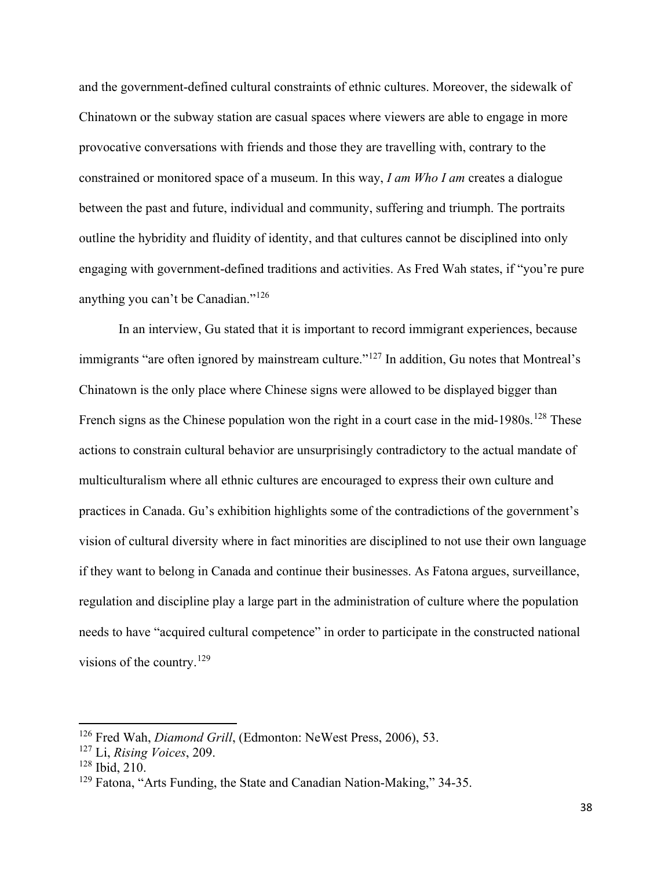and the government-defined cultural constraints of ethnic cultures. Moreover, the sidewalk of Chinatown or the subway station are casual spaces where viewers are able to engage in more provocative conversations with friends and those they are travelling with, contrary to the constrained or monitored space of a museum. In this way, *I am Who I am* creates a dialogue between the past and future, individual and community, suffering and triumph. The portraits outline the hybridity and fluidity of identity, and that cultures cannot be disciplined into only engaging with government-defined traditions and activities. As Fred Wah states, if "you're pure anything you can't be Canadian."[126](#page-46-0)

In an interview, Gu stated that it is important to record immigrant experiences, because immigrants "are often ignored by mainstream culture."<sup>[127](#page-46-1)</sup> In addition, Gu notes that Montreal's Chinatown is the only place where Chinese signs were allowed to be displayed bigger than French signs as the Chinese population won the right in a court case in the mid-1980s.<sup>[128](#page-46-2)</sup> These actions to constrain cultural behavior are unsurprisingly contradictory to the actual mandate of multiculturalism where all ethnic cultures are encouraged to express their own culture and practices in Canada. Gu's exhibition highlights some of the contradictions of the government's vision of cultural diversity where in fact minorities are disciplined to not use their own language if they want to belong in Canada and continue their businesses. As Fatona argues, surveillance, regulation and discipline play a large part in the administration of culture where the population needs to have "acquired cultural competence" in order to participate in the constructed national visions of the country.<sup>[129](#page-46-3)</sup>

<span id="page-46-0"></span><sup>126</sup> Fred Wah, *Diamond Grill*, (Edmonton: NeWest Press, 2006), 53.

<span id="page-46-1"></span><sup>127</sup> Li, *Rising Voices*, 209.

<span id="page-46-2"></span><sup>128</sup> Ibid, 210.

<span id="page-46-3"></span><sup>129</sup> Fatona, "Arts Funding, the State and Canadian Nation-Making," 34-35.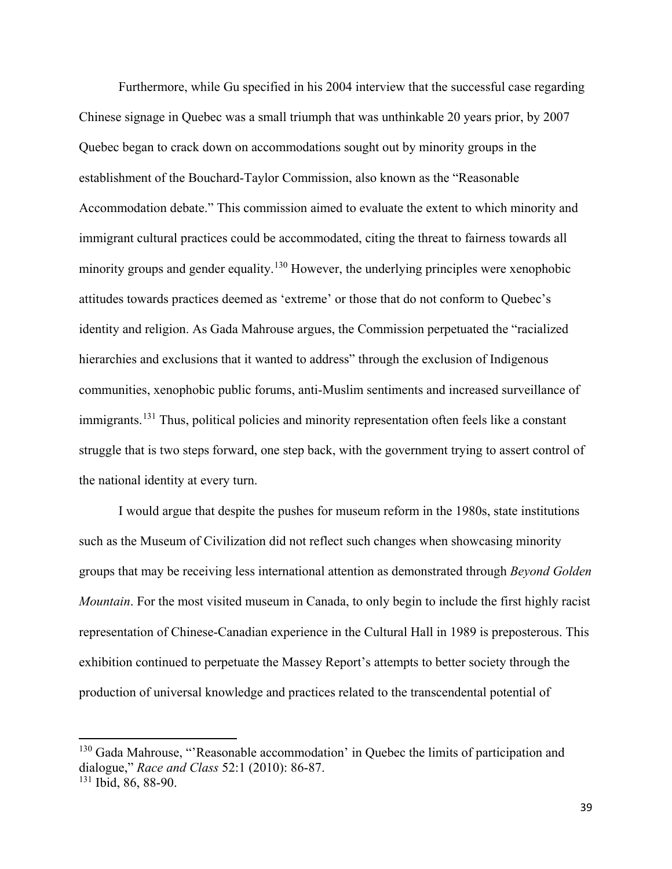Furthermore, while Gu specified in his 2004 interview that the successful case regarding Chinese signage in Quebec was a small triumph that was unthinkable 20 years prior, by 2007 Quebec began to crack down on accommodations sought out by minority groups in the establishment of the Bouchard-Taylor Commission, also known as the "Reasonable Accommodation debate." This commission aimed to evaluate the extent to which minority and immigrant cultural practices could be accommodated, citing the threat to fairness towards all minority groups and gender equality.<sup>[130](#page-47-0)</sup> However, the underlying principles were xenophobic attitudes towards practices deemed as 'extreme' or those that do not conform to Quebec's identity and religion. As Gada Mahrouse argues, the Commission perpetuated the "racialized hierarchies and exclusions that it wanted to address" through the exclusion of Indigenous communities, xenophobic public forums, anti-Muslim sentiments and increased surveillance of immigrants.<sup>[131](#page-47-1)</sup> Thus, political policies and minority representation often feels like a constant struggle that is two steps forward, one step back, with the government trying to assert control of the national identity at every turn.

I would argue that despite the pushes for museum reform in the 1980s, state institutions such as the Museum of Civilization did not reflect such changes when showcasing minority groups that may be receiving less international attention as demonstrated through *Beyond Golden Mountain*. For the most visited museum in Canada, to only begin to include the first highly racist representation of Chinese-Canadian experience in the Cultural Hall in 1989 is preposterous. This exhibition continued to perpetuate the Massey Report's attempts to better society through the production of universal knowledge and practices related to the transcendental potential of

<span id="page-47-0"></span><sup>&</sup>lt;sup>130</sup> Gada Mahrouse, "'Reasonable accommodation' in Quebec the limits of participation and dialogue," *Race and Class* 52:1 (2010): 86-87.

<span id="page-47-1"></span><sup>131</sup> Ibid, 86, 88-90.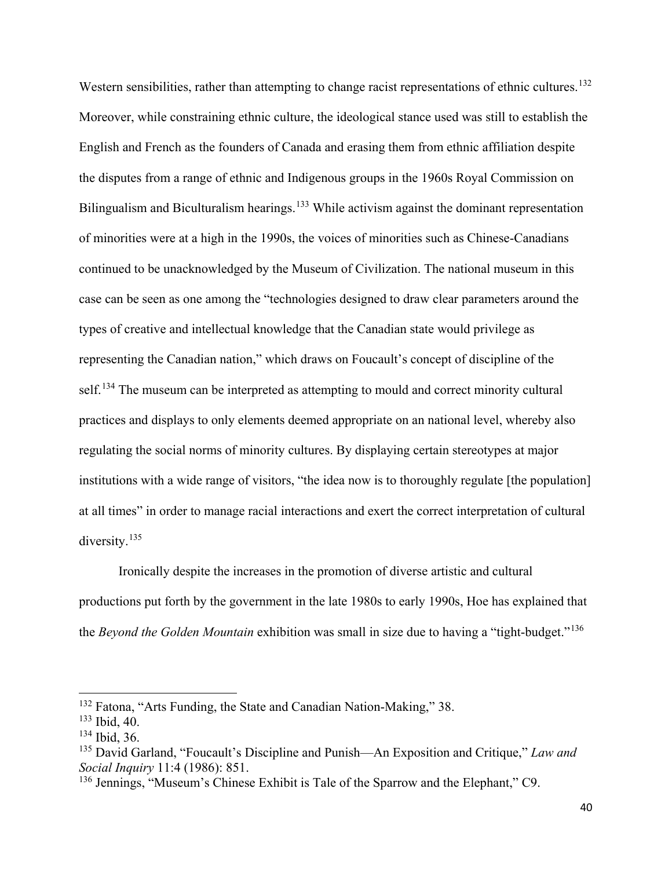Western sensibilities, rather than attempting to change racist representations of ethnic cultures.<sup>[132](#page-48-0)</sup> Moreover, while constraining ethnic culture, the ideological stance used was still to establish the English and French as the founders of Canada and erasing them from ethnic affiliation despite the disputes from a range of ethnic and Indigenous groups in the 1960s Royal Commission on Bilingualism and Biculturalism hearings.<sup>[133](#page-48-1)</sup> While activism against the dominant representation of minorities were at a high in the 1990s, the voices of minorities such as Chinese-Canadians continued to be unacknowledged by the Museum of Civilization. The national museum in this case can be seen as one among the "technologies designed to draw clear parameters around the types of creative and intellectual knowledge that the Canadian state would privilege as representing the Canadian nation," which draws on Foucault's concept of discipline of the self.<sup>[134](#page-48-2)</sup> The museum can be interpreted as attempting to mould and correct minority cultural practices and displays to only elements deemed appropriate on an national level, whereby also regulating the social norms of minority cultures. By displaying certain stereotypes at major institutions with a wide range of visitors, "the idea now is to thoroughly regulate [the population] at all times" in order to manage racial interactions and exert the correct interpretation of cultural diversity.<sup>[135](#page-48-3)</sup>

Ironically despite the increases in the promotion of diverse artistic and cultural productions put forth by the government in the late 1980s to early 1990s, Hoe has explained that the *Beyond the Golden Mountain* exhibition was small in size due to having a "tight-budget."[136](#page-48-4)

l

<span id="page-48-0"></span><sup>132</sup> Fatona, "Arts Funding, the State and Canadian Nation-Making," 38.

<span id="page-48-1"></span><sup>133</sup> Ibid, 40.

<span id="page-48-2"></span><sup>134</sup> Ibid, 36.

<span id="page-48-3"></span><sup>135</sup> David Garland, "Foucault's Discipline and Punish—An Exposition and Critique," *Law and Social Inquiry* 11:4 (1986): 851.

<span id="page-48-4"></span><sup>136</sup> Jennings, "Museum's Chinese Exhibit is Tale of the Sparrow and the Elephant," C9.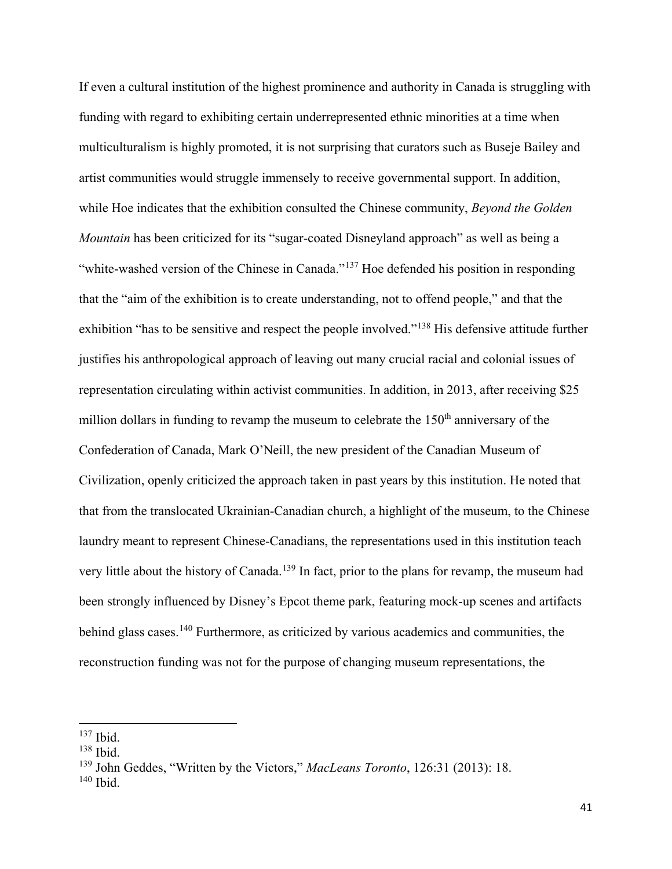If even a cultural institution of the highest prominence and authority in Canada is struggling with funding with regard to exhibiting certain underrepresented ethnic minorities at a time when multiculturalism is highly promoted, it is not surprising that curators such as Buseje Bailey and artist communities would struggle immensely to receive governmental support. In addition, while Hoe indicates that the exhibition consulted the Chinese community, *Beyond the Golden Mountain* has been criticized for its "sugar-coated Disneyland approach" as well as being a "white-washed version of the Chinese in Canada."<sup>[137](#page-49-0)</sup> Hoe defended his position in responding that the "aim of the exhibition is to create understanding, not to offend people," and that the exhibition "has to be sensitive and respect the people involved."[138](#page-49-1) His defensive attitude further justifies his anthropological approach of leaving out many crucial racial and colonial issues of representation circulating within activist communities. In addition, in 2013, after receiving \$25 million dollars in funding to revamp the museum to celebrate the  $150<sup>th</sup>$  anniversary of the Confederation of Canada, Mark O'Neill, the new president of the Canadian Museum of Civilization, openly criticized the approach taken in past years by this institution. He noted that that from the translocated Ukrainian-Canadian church, a highlight of the museum, to the Chinese laundry meant to represent Chinese-Canadians, the representations used in this institution teach very little about the history of Canada.<sup>[139](#page-49-2)</sup> In fact, prior to the plans for revamp, the museum had been strongly influenced by Disney's Epcot theme park, featuring mock-up scenes and artifacts behind glass cases.<sup>[140](#page-49-3)</sup> Furthermore, as criticized by various academics and communities, the reconstruction funding was not for the purpose of changing museum representations, the

<sup>137</sup> Ibid.

<span id="page-49-1"></span><span id="page-49-0"></span><sup>138</sup> Ibid.

<span id="page-49-2"></span><sup>139</sup> John Geddes, "Written by the Victors," *MacLeans Toronto*, 126:31 (2013): 18.

<span id="page-49-3"></span><sup>140</sup> Ibid.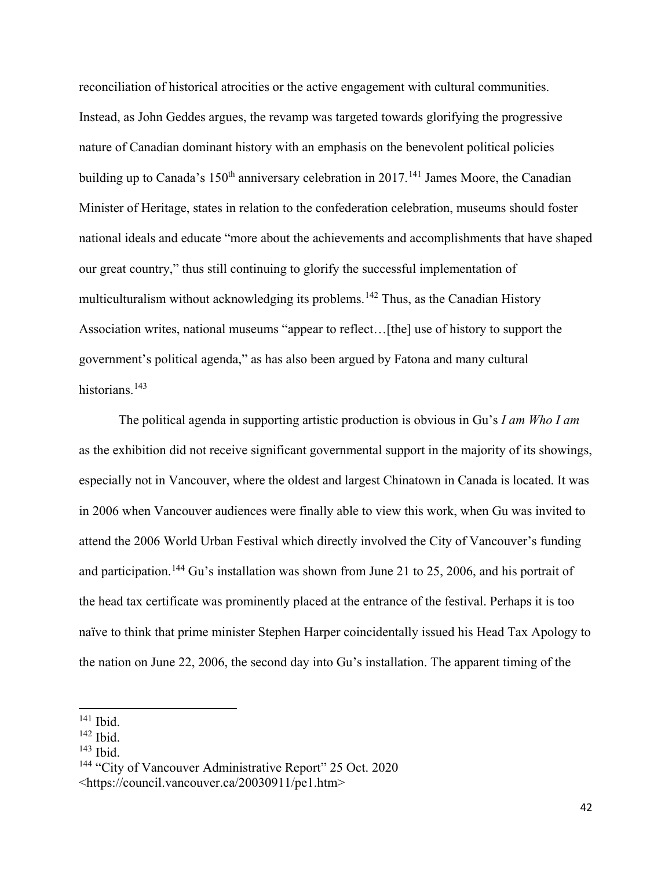reconciliation of historical atrocities or the active engagement with cultural communities. Instead, as John Geddes argues, the revamp was targeted towards glorifying the progressive nature of Canadian dominant history with an emphasis on the benevolent political policies building up to Canada's  $150<sup>th</sup>$  anniversary celebration in 2017.<sup>[141](#page-50-0)</sup> James Moore, the Canadian Minister of Heritage, states in relation to the confederation celebration, museums should foster national ideals and educate "more about the achievements and accomplishments that have shaped our great country," thus still continuing to glorify the successful implementation of multiculturalism without acknowledging its problems.<sup>[142](#page-50-1)</sup> Thus, as the Canadian History Association writes, national museums "appear to reflect...[the] use of history to support the government's political agenda," as has also been argued by Fatona and many cultural historians.<sup>[143](#page-50-2)</sup>

The political agenda in supporting artistic production is obvious in Gu's *I am Who I am*  as the exhibition did not receive significant governmental support in the majority of its showings, especially not in Vancouver, where the oldest and largest Chinatown in Canada is located. It was in 2006 when Vancouver audiences were finally able to view this work, when Gu was invited to attend the 2006 World Urban Festival which directly involved the City of Vancouver's funding and participation.<sup>[144](#page-50-3)</sup> Gu's installation was shown from June 21 to 25, 2006, and his portrait of the head tax certificate was prominently placed at the entrance of the festival. Perhaps it is too naïve to think that prime minister Stephen Harper coincidentally issued his Head Tax Apology to the nation on June 22, 2006, the second day into Gu's installation. The apparent timing of the

 $\overline{a}$ 

<span id="page-50-2"></span> $143$  Ibid.

<span id="page-50-3"></span><sup>144</sup> "City of Vancouver Administrative Report" 25 Oct. 2020

<span id="page-50-0"></span> $141$  Ibid.

<span id="page-50-1"></span><sup>142</sup> Ibid.

<sup>&</sup>lt;https://council.vancouver.ca/20030911/pe1.htm>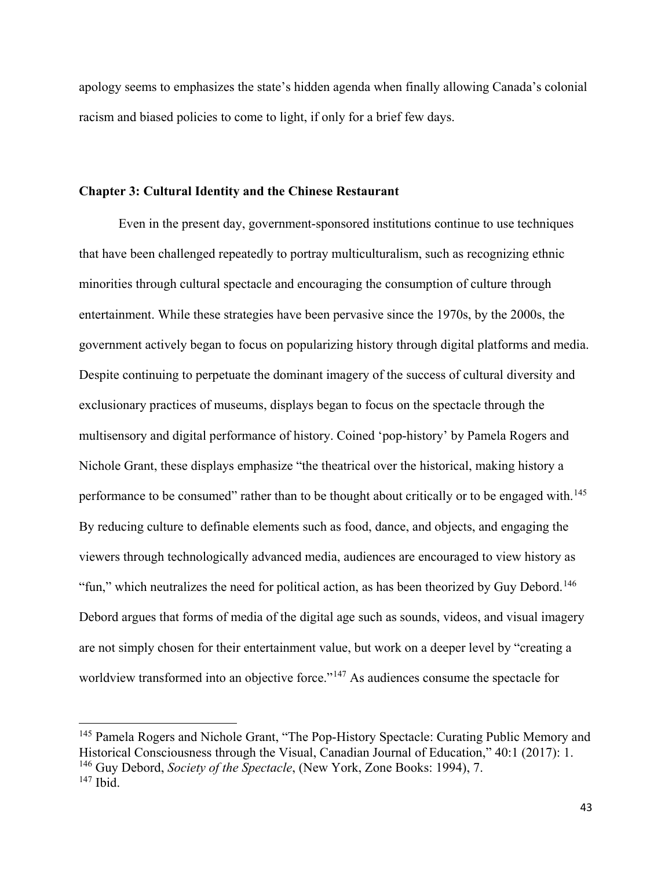apology seems to emphasizes the state's hidden agenda when finally allowing Canada's colonial racism and biased policies to come to light, if only for a brief few days.

## **Chapter 3: Cultural Identity and the Chinese Restaurant**

Even in the present day, government-sponsored institutions continue to use techniques that have been challenged repeatedly to portray multiculturalism, such as recognizing ethnic minorities through cultural spectacle and encouraging the consumption of culture through entertainment. While these strategies have been pervasive since the 1970s, by the 2000s, the government actively began to focus on popularizing history through digital platforms and media. Despite continuing to perpetuate the dominant imagery of the success of cultural diversity and exclusionary practices of museums, displays began to focus on the spectacle through the multisensory and digital performance of history. Coined 'pop-history' by Pamela Rogers and Nichole Grant, these displays emphasize "the theatrical over the historical, making history a performance to be consumed" rather than to be thought about critically or to be engaged with.<sup>[145](#page-51-0)</sup> By reducing culture to definable elements such as food, dance, and objects, and engaging the viewers through technologically advanced media, audiences are encouraged to view history as "fun," which neutralizes the need for political action, as has been theorized by Guy Debord.<sup>[146](#page-51-1)</sup> Debord argues that forms of media of the digital age such as sounds, videos, and visual imagery are not simply chosen for their entertainment value, but work on a deeper level by "creating a worldview transformed into an objective force."<sup>[147](#page-51-2)</sup> As audiences consume the spectacle for

<span id="page-51-2"></span><span id="page-51-1"></span><span id="page-51-0"></span><sup>&</sup>lt;sup>145</sup> Pamela Rogers and Nichole Grant, "The Pop-History Spectacle: Curating Public Memory and Historical Consciousness through the Visual, Canadian Journal of Education," 40:1 (2017): 1. <sup>146</sup> Guy Debord, *Society of the Spectacle*, (New York, Zone Books: 1994), 7.  $147$  Ibid.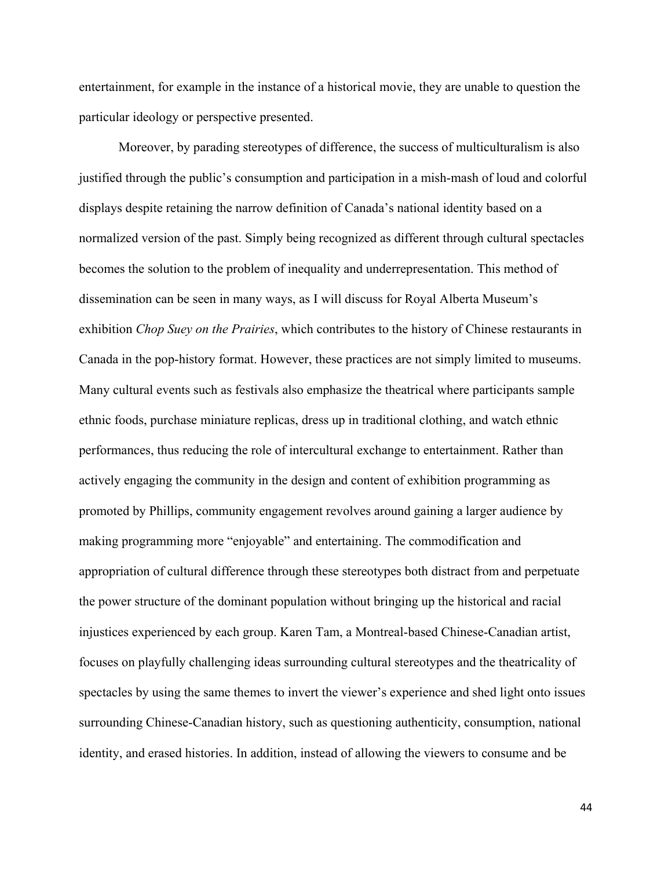entertainment, for example in the instance of a historical movie, they are unable to question the particular ideology or perspective presented.

Moreover, by parading stereotypes of difference, the success of multiculturalism is also justified through the public's consumption and participation in a mish-mash of loud and colorful displays despite retaining the narrow definition of Canada's national identity based on a normalized version of the past. Simply being recognized as different through cultural spectacles becomes the solution to the problem of inequality and underrepresentation. This method of dissemination can be seen in many ways, as I will discuss for Royal Alberta Museum's exhibition *Chop Suey on the Prairies*, which contributes to the history of Chinese restaurants in Canada in the pop-history format. However, these practices are not simply limited to museums. Many cultural events such as festivals also emphasize the theatrical where participants sample ethnic foods, purchase miniature replicas, dress up in traditional clothing, and watch ethnic performances, thus reducing the role of intercultural exchange to entertainment. Rather than actively engaging the community in the design and content of exhibition programming as promoted by Phillips, community engagement revolves around gaining a larger audience by making programming more "enjoyable" and entertaining. The commodification and appropriation of cultural difference through these stereotypes both distract from and perpetuate the power structure of the dominant population without bringing up the historical and racial injustices experienced by each group. Karen Tam, a Montreal-based Chinese-Canadian artist, focuses on playfully challenging ideas surrounding cultural stereotypes and the theatricality of spectacles by using the same themes to invert the viewer's experience and shed light onto issues surrounding Chinese-Canadian history, such as questioning authenticity, consumption, national identity, and erased histories. In addition, instead of allowing the viewers to consume and be

44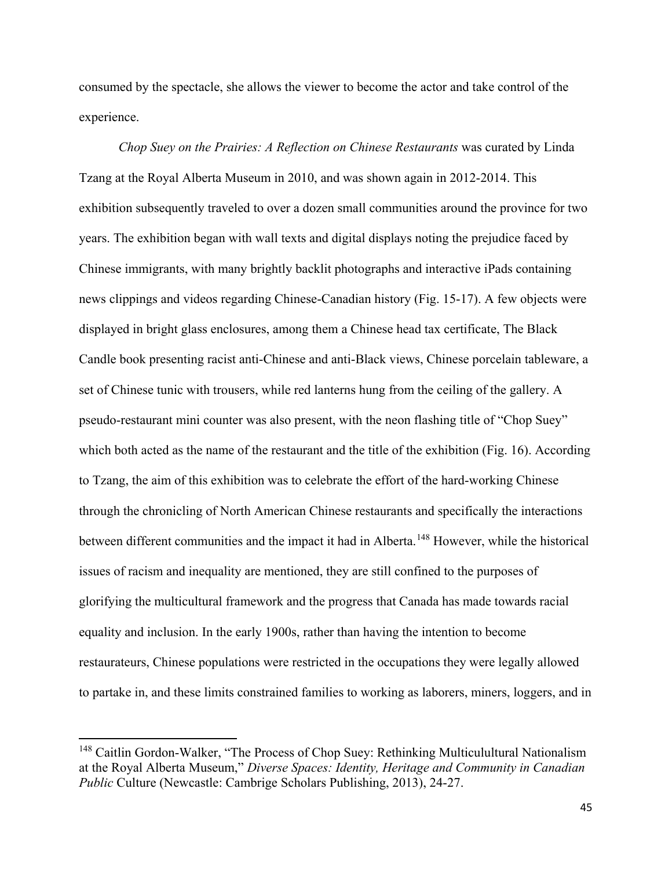consumed by the spectacle, she allows the viewer to become the actor and take control of the experience.

*Chop Suey on the Prairies: A Reflection on Chinese Restaurants* was curated by Linda Tzang at the Royal Alberta Museum in 2010, and was shown again in 2012-2014. This exhibition subsequently traveled to over a dozen small communities around the province for two years. The exhibition began with wall texts and digital displays noting the prejudice faced by Chinese immigrants, with many brightly backlit photographs and interactive iPads containing news clippings and videos regarding Chinese-Canadian history (Fig. 15-17). A few objects were displayed in bright glass enclosures, among them a Chinese head tax certificate, The Black Candle book presenting racist anti-Chinese and anti-Black views, Chinese porcelain tableware, a set of Chinese tunic with trousers, while red lanterns hung from the ceiling of the gallery. A pseudo-restaurant mini counter was also present, with the neon flashing title of "Chop Suey" which both acted as the name of the restaurant and the title of the exhibition (Fig. 16). According to Tzang, the aim of this exhibition was to celebrate the effort of the hard-working Chinese through the chronicling of North American Chinese restaurants and specifically the interactions between different communities and the impact it had in Alberta.<sup>[148](#page-53-0)</sup> However, while the historical issues of racism and inequality are mentioned, they are still confined to the purposes of glorifying the multicultural framework and the progress that Canada has made towards racial equality and inclusion. In the early 1900s, rather than having the intention to become restaurateurs, Chinese populations were restricted in the occupations they were legally allowed to partake in, and these limits constrained families to working as laborers, miners, loggers, and in

<span id="page-53-0"></span><sup>&</sup>lt;sup>148</sup> Caitlin Gordon-Walker, "The Process of Chop Suey: Rethinking Multiculultural Nationalism at the Royal Alberta Museum," *Diverse Spaces: Identity, Heritage and Community in Canadian Public* Culture (Newcastle: Cambrige Scholars Publishing, 2013), 24-27.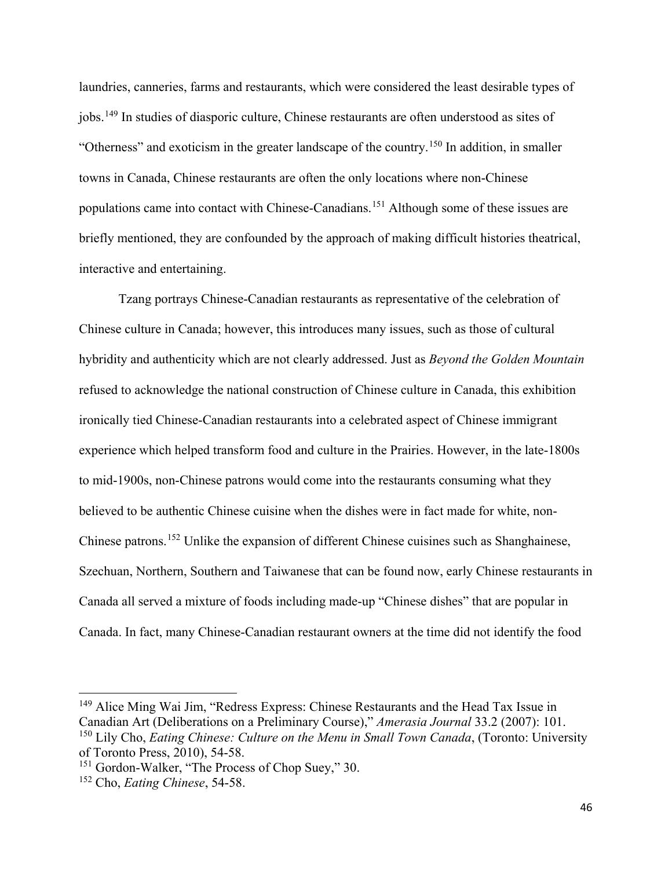laundries, canneries, farms and restaurants, which were considered the least desirable types of jobs.[149](#page-54-0) In studies of diasporic culture, Chinese restaurants are often understood as sites of "Otherness" and exoticism in the greater landscape of the country.<sup>[150](#page-54-1)</sup> In addition, in smaller towns in Canada, Chinese restaurants are often the only locations where non-Chinese populations came into contact with Chinese-Canadians.<sup>[151](#page-54-2)</sup> Although some of these issues are briefly mentioned, they are confounded by the approach of making difficult histories theatrical, interactive and entertaining.

Tzang portrays Chinese-Canadian restaurants as representative of the celebration of Chinese culture in Canada; however, this introduces many issues, such as those of cultural hybridity and authenticity which are not clearly addressed. Just as *Beyond the Golden Mountain* refused to acknowledge the national construction of Chinese culture in Canada, this exhibition ironically tied Chinese-Canadian restaurants into a celebrated aspect of Chinese immigrant experience which helped transform food and culture in the Prairies. However, in the late-1800s to mid-1900s, non-Chinese patrons would come into the restaurants consuming what they believed to be authentic Chinese cuisine when the dishes were in fact made for white, non-Chinese patrons.[152](#page-54-3) Unlike the expansion of different Chinese cuisines such as Shanghainese, Szechuan, Northern, Southern and Taiwanese that can be found now, early Chinese restaurants in Canada all served a mixture of foods including made-up "Chinese dishes" that are popular in Canada. In fact, many Chinese-Canadian restaurant owners at the time did not identify the food

l

<span id="page-54-0"></span><sup>149</sup> Alice Ming Wai Jim, "Redress Express: Chinese Restaurants and the Head Tax Issue in Canadian Art (Deliberations on a Preliminary Course)," *Amerasia Journal* 33.2 (2007): 101. <sup>150</sup> Lily Cho, *Eating Chinese: Culture on the Menu in Small Town Canada*, (Toronto: University of Toronto Press, 2010), 54-58.

<span id="page-54-2"></span><span id="page-54-1"></span><sup>&</sup>lt;sup>151</sup> Gordon-Walker, "The Process of Chop Suey," 30.

<span id="page-54-3"></span><sup>152</sup> Cho, *Eating Chinese*, 54-58.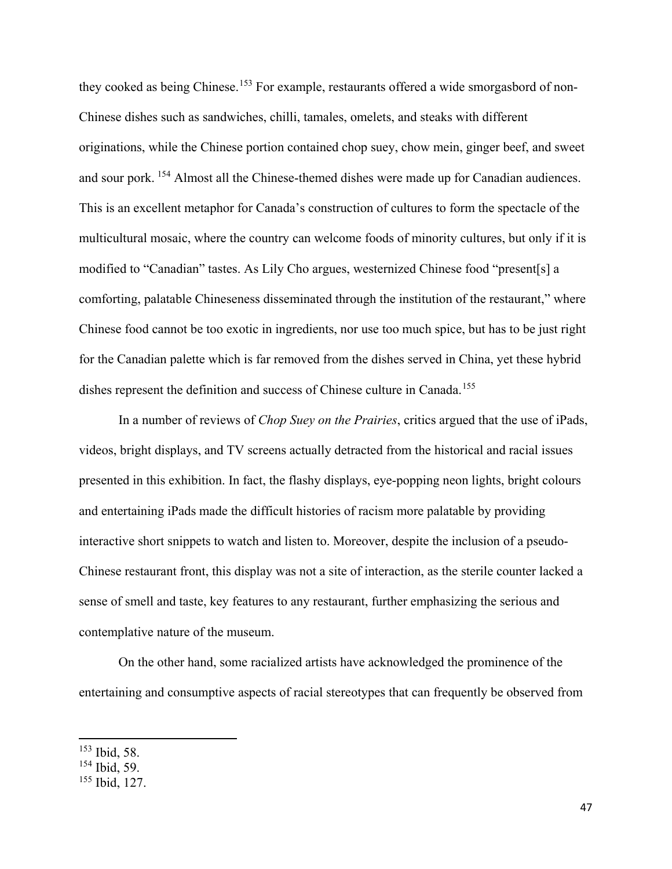they cooked as being Chinese.<sup>[153](#page-55-0)</sup> For example, restaurants offered a wide smorgasbord of non-Chinese dishes such as sandwiches, chilli, tamales, omelets, and steaks with different originations, while the Chinese portion contained chop suey, chow mein, ginger beef, and sweet and sour pork. [154](#page-55-1) Almost all the Chinese-themed dishes were made up for Canadian audiences. This is an excellent metaphor for Canada's construction of cultures to form the spectacle of the multicultural mosaic, where the country can welcome foods of minority cultures, but only if it is modified to "Canadian" tastes. As Lily Cho argues, westernized Chinese food "present[s] a comforting, palatable Chineseness disseminated through the institution of the restaurant," where Chinese food cannot be too exotic in ingredients, nor use too much spice, but has to be just right for the Canadian palette which is far removed from the dishes served in China, yet these hybrid dishes represent the definition and success of Chinese culture in Canada.<sup>[155](#page-55-2)</sup>

In a number of reviews of *Chop Suey on the Prairies*, critics argued that the use of iPads, videos, bright displays, and TV screens actually detracted from the historical and racial issues presented in this exhibition. In fact, the flashy displays, eye-popping neon lights, bright colours and entertaining iPads made the difficult histories of racism more palatable by providing interactive short snippets to watch and listen to. Moreover, despite the inclusion of a pseudo-Chinese restaurant front, this display was not a site of interaction, as the sterile counter lacked a sense of smell and taste, key features to any restaurant, further emphasizing the serious and contemplative nature of the museum.

On the other hand, some racialized artists have acknowledged the prominence of the entertaining and consumptive aspects of racial stereotypes that can frequently be observed from

<span id="page-55-0"></span><sup>153</sup> Ibid, 58.

<span id="page-55-1"></span><sup>154</sup> Ibid, 59.

<span id="page-55-2"></span><sup>155</sup> Ibid, 127.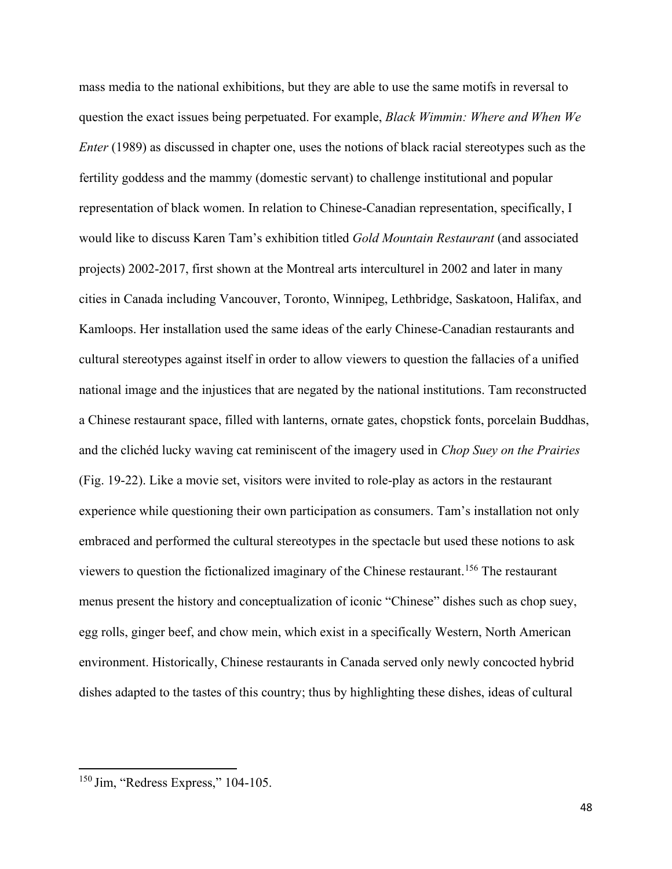mass media to the national exhibitions, but they are able to use the same motifs in reversal to question the exact issues being perpetuated. For example, *Black Wimmin: Where and When We Enter* (1989) as discussed in chapter one, uses the notions of black racial stereotypes such as the fertility goddess and the mammy (domestic servant) to challenge institutional and popular representation of black women. In relation to Chinese-Canadian representation, specifically, I would like to discuss Karen Tam's exhibition titled *Gold Mountain Restaurant* (and associated projects) 2002-2017, first shown at the Montreal arts interculturel in 2002 and later in many cities in Canada including Vancouver, Toronto, Winnipeg, Lethbridge, Saskatoon, Halifax, and Kamloops. Her installation used the same ideas of the early Chinese-Canadian restaurants and cultural stereotypes against itself in order to allow viewers to question the fallacies of a unified national image and the injustices that are negated by the national institutions. Tam reconstructed a Chinese restaurant space, filled with lanterns, ornate gates, chopstick fonts, porcelain Buddhas, and the clichéd lucky waving cat reminiscent of the imagery used in *Chop Suey on the Prairies*  (Fig. 19-22). Like a movie set, visitors were invited to role-play as actors in the restaurant experience while questioning their own participation as consumers. Tam's installation not only embraced and performed the cultural stereotypes in the spectacle but used these notions to ask viewers to question the fictionalized imaginary of the Chinese restaurant.<sup>[156](#page-56-0)</sup> The restaurant menus present the history and conceptualization of iconic "Chinese" dishes such as chop suey, egg rolls, ginger beef, and chow mein, which exist in a specifically Western, North American environment. Historically, Chinese restaurants in Canada served only newly concocted hybrid dishes adapted to the tastes of this country; thus by highlighting these dishes, ideas of cultural

<span id="page-56-0"></span><sup>&</sup>lt;sup>150</sup> Jim, "Redress Express," 104-105.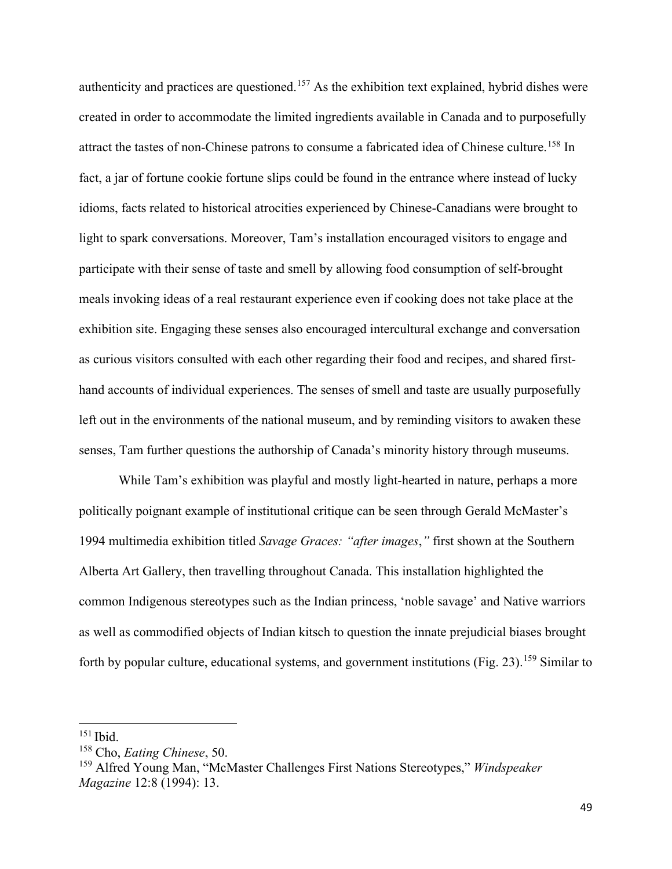authenticity and practices are questioned.<sup>[157](#page-57-0)</sup> As the exhibition text explained, hybrid dishes were created in order to accommodate the limited ingredients available in Canada and to purposefully attract the tastes of non-Chinese patrons to consume a fabricated idea of Chinese culture.<sup>[158](#page-57-1)</sup> In fact, a jar of fortune cookie fortune slips could be found in the entrance where instead of lucky idioms, facts related to historical atrocities experienced by Chinese-Canadians were brought to light to spark conversations. Moreover, Tam's installation encouraged visitors to engage and participate with their sense of taste and smell by allowing food consumption of self-brought meals invoking ideas of a real restaurant experience even if cooking does not take place at the exhibition site. Engaging these senses also encouraged intercultural exchange and conversation as curious visitors consulted with each other regarding their food and recipes, and shared firsthand accounts of individual experiences. The senses of smell and taste are usually purposefully left out in the environments of the national museum, and by reminding visitors to awaken these senses, Tam further questions the authorship of Canada's minority history through museums.

While Tam's exhibition was playful and mostly light-hearted in nature, perhaps a more politically poignant example of institutional critique can be seen through Gerald McMaster's 1994 multimedia exhibition titled *Savage Graces: "after images*,*"* first shown at the Southern Alberta Art Gallery, then travelling throughout Canada. This installation highlighted the common Indigenous stereotypes such as the Indian princess, 'noble savage' and Native warriors as well as commodified objects of Indian kitsch to question the innate prejudicial biases brought forth by popular culture, educational systems, and government institutions (Fig. 23).<sup>[159](#page-57-2)</sup> Similar to

<span id="page-57-0"></span><sup>151</sup> Ibid.

<span id="page-57-1"></span><sup>158</sup> Cho, *Eating Chinese*, 50.

<span id="page-57-2"></span><sup>159</sup> Alfred Young Man, "McMaster Challenges First Nations Stereotypes," *Windspeaker Magazine* 12:8 (1994): 13.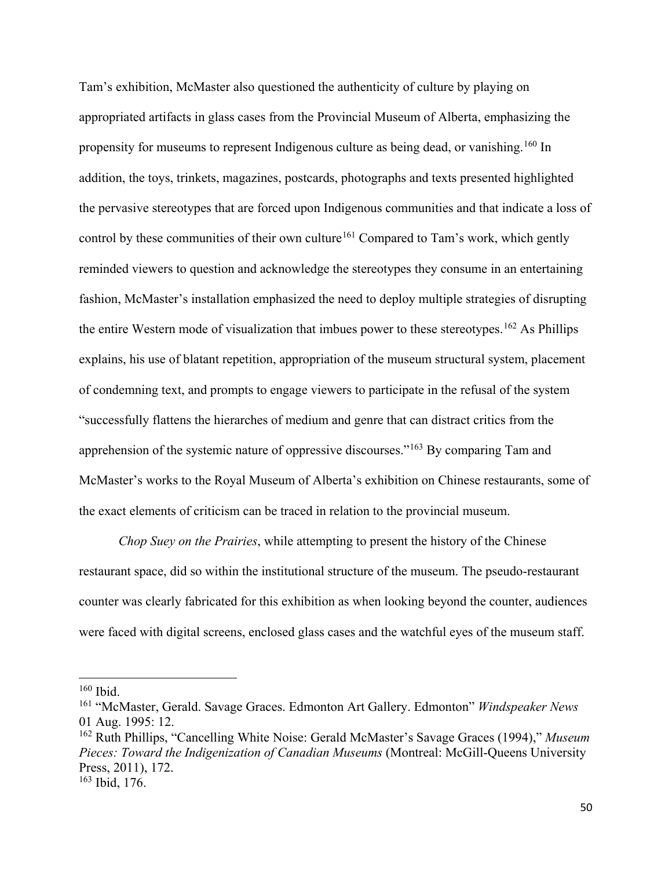Tam's exhibition, McMaster also questioned the authenticity of culture by playing on appropriated artifacts in glass cases from the Provincial Museum of Alberta, emphasizing the propensity for museums to represent Indigenous culture as being dead, or vanishing.<sup>[160](#page-58-0)</sup> In addition, the toys, trinkets, magazines, postcards, photographs and texts presented highlighted the pervasive stereotypes that are forced upon Indigenous communities and that indicate a loss of control by these communities of their own culture<sup>[161](#page-58-1)</sup> Compared to Tam's work, which gently reminded viewers to question and acknowledge the stereotypes they consume in an entertaining fashion, McMaster's installation emphasized the need to deploy multiple strategies of disrupting the entire Western mode of visualization that imbues power to these stereotypes.<sup>[162](#page-58-2)</sup> As Phillips explains, his use of blatant repetition, appropriation of the museum structural system, placement of condemning text, and prompts to engage viewers to participate in the refusal of the system "successfully flattens the hierarches of medium and genre that can distract critics from the apprehension of the systemic nature of oppressive discourses."[163](#page-58-3) By comparing Tam and McMaster's works to the Royal Museum of Alberta's exhibition on Chinese restaurants, some of the exact elements of criticism can be traced in relation to the provincial museum.

*Chop Suey on the Prairies*, while attempting to present the history of the Chinese restaurant space, did so within the institutional structure of the museum. The pseudo-restaurant counter was clearly fabricated for this exhibition as when looking beyond the counter, audiences were faced with digital screens, enclosed glass cases and the watchful eyes of the museum staff.

<span id="page-58-0"></span> $160$  Ibid.

<span id="page-58-1"></span><sup>161</sup> "McMaster, Gerald. Savage Graces. Edmonton Art Gallery. Edmonton" *Windspeaker News*  01 Aug. 1995: 12.

<span id="page-58-2"></span><sup>162</sup> Ruth Phillips, "Cancelling White Noise: Gerald McMaster's Savage Graces (1994)," *Museum Pieces: Toward the Indigenization of Canadian Museums* (Montreal: McGill-Queens University Press, 2011), 172.

<span id="page-58-3"></span><sup>163</sup> Ibid, 176.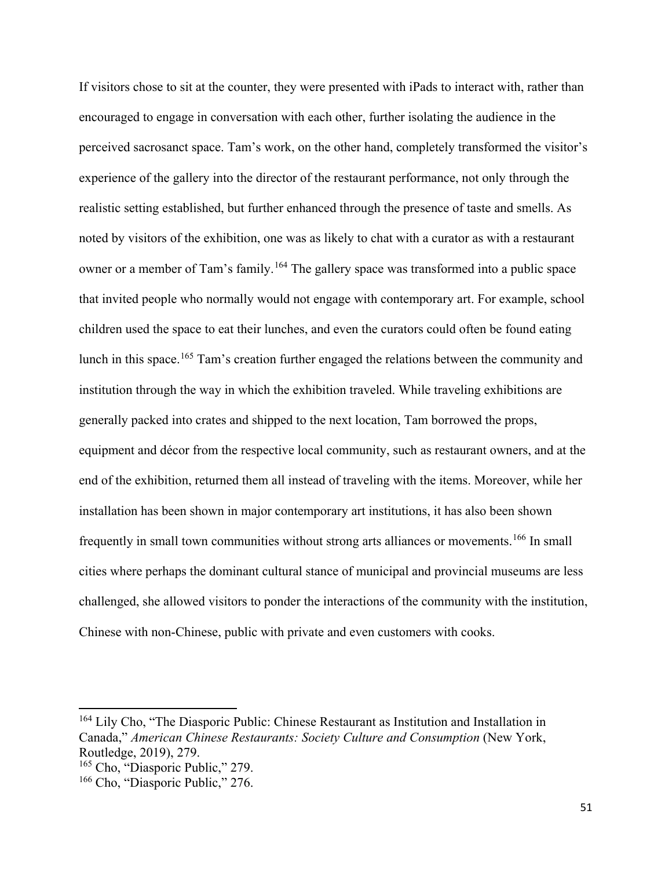If visitors chose to sit at the counter, they were presented with iPads to interact with, rather than encouraged to engage in conversation with each other, further isolating the audience in the perceived sacrosanct space. Tam's work, on the other hand, completely transformed the visitor's experience of the gallery into the director of the restaurant performance, not only through the realistic setting established, but further enhanced through the presence of taste and smells. As noted by visitors of the exhibition, one was as likely to chat with a curator as with a restaurant owner or a member of Tam's family.<sup>[164](#page-59-0)</sup> The gallery space was transformed into a public space that invited people who normally would not engage with contemporary art. For example, school children used the space to eat their lunches, and even the curators could often be found eating lunch in this space.<sup>[165](#page-59-1)</sup> Tam's creation further engaged the relations between the community and institution through the way in which the exhibition traveled. While traveling exhibitions are generally packed into crates and shipped to the next location, Tam borrowed the props, equipment and décor from the respective local community, such as restaurant owners, and at the end of the exhibition, returned them all instead of traveling with the items. Moreover, while her installation has been shown in major contemporary art institutions, it has also been shown frequently in small town communities without strong arts alliances or movements.<sup>[166](#page-59-2)</sup> In small cities where perhaps the dominant cultural stance of municipal and provincial museums are less challenged, she allowed visitors to ponder the interactions of the community with the institution, Chinese with non-Chinese, public with private and even customers with cooks.

<span id="page-59-0"></span><sup>164</sup> Lily Cho, "The Diasporic Public: Chinese Restaurant as Institution and Installation in Canada," *American Chinese Restaurants: Society Culture and Consumption* (New York, Routledge, 2019), 279.

<span id="page-59-1"></span><sup>165</sup> Cho, "Diasporic Public," 279.

<span id="page-59-2"></span><sup>&</sup>lt;sup>166</sup> Cho, "Diasporic Public," 276.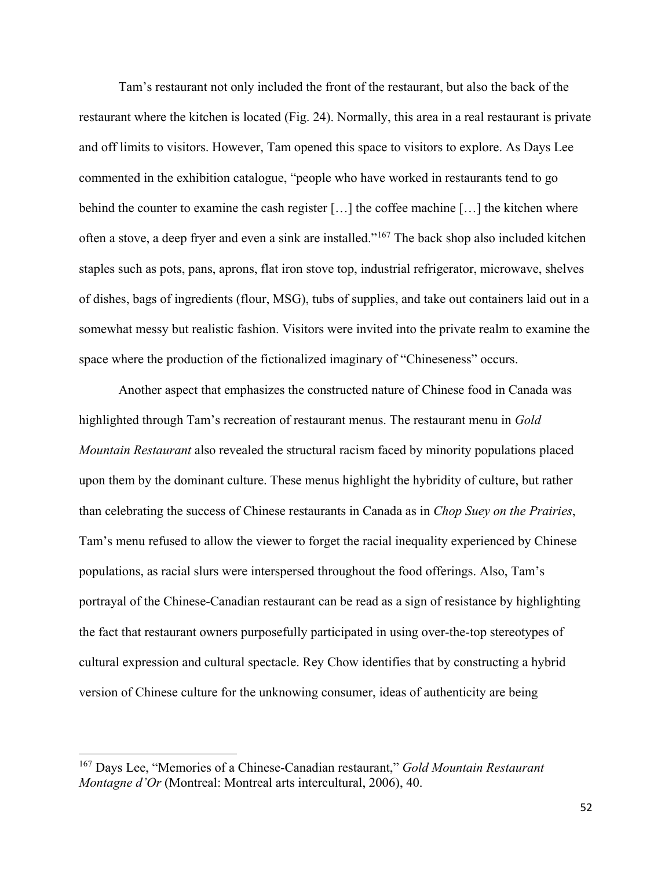Tam's restaurant not only included the front of the restaurant, but also the back of the restaurant where the kitchen is located (Fig. 24). Normally, this area in a real restaurant is private and off limits to visitors. However, Tam opened this space to visitors to explore. As Days Lee commented in the exhibition catalogue, "people who have worked in restaurants tend to go behind the counter to examine the cash register […] the coffee machine […] the kitchen where often a stove, a deep fryer and even a sink are installed."[167](#page-60-0) The back shop also included kitchen staples such as pots, pans, aprons, flat iron stove top, industrial refrigerator, microwave, shelves of dishes, bags of ingredients (flour, MSG), tubs of supplies, and take out containers laid out in a somewhat messy but realistic fashion. Visitors were invited into the private realm to examine the space where the production of the fictionalized imaginary of "Chineseness" occurs.

Another aspect that emphasizes the constructed nature of Chinese food in Canada was highlighted through Tam's recreation of restaurant menus. The restaurant menu in *Gold Mountain Restaurant* also revealed the structural racism faced by minority populations placed upon them by the dominant culture. These menus highlight the hybridity of culture, but rather than celebrating the success of Chinese restaurants in Canada as in *Chop Suey on the Prairies*, Tam's menu refused to allow the viewer to forget the racial inequality experienced by Chinese populations, as racial slurs were interspersed throughout the food offerings. Also, Tam's portrayal of the Chinese-Canadian restaurant can be read as a sign of resistance by highlighting the fact that restaurant owners purposefully participated in using over-the-top stereotypes of cultural expression and cultural spectacle. Rey Chow identifies that by constructing a hybrid version of Chinese culture for the unknowing consumer, ideas of authenticity are being

<span id="page-60-0"></span><sup>167</sup> Days Lee, "Memories of a Chinese-Canadian restaurant," *Gold Mountain Restaurant Montagne d'Or* (Montreal: Montreal arts intercultural, 2006), 40.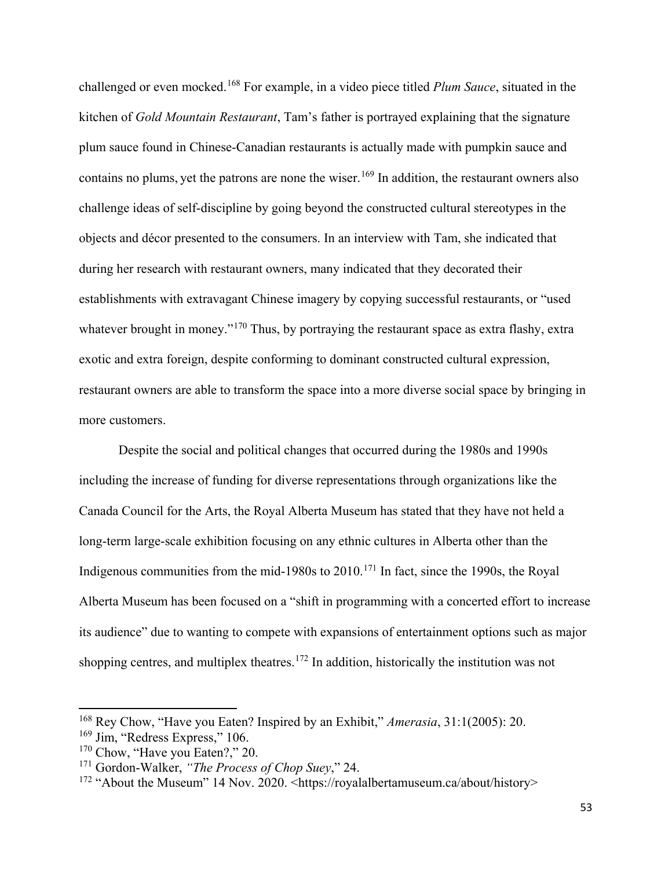challenged or even mocked.[168](#page-61-0) For example, in a video piece titled *Plum Sauce*, situated in the kitchen of *Gold Mountain Restaurant*, Tam's father is portrayed explaining that the signature plum sauce found in Chinese-Canadian restaurants is actually made with pumpkin sauce and contains no plums, yet the patrons are none the wiser.<sup>[169](#page-61-1)</sup> In addition, the restaurant owners also challenge ideas of self-discipline by going beyond the constructed cultural stereotypes in the objects and décor presented to the consumers. In an interview with Tam, she indicated that during her research with restaurant owners, many indicated that they decorated their establishments with extravagant Chinese imagery by copying successful restaurants, or "used whatever brought in money."<sup>[170](#page-61-2)</sup> Thus, by portraying the restaurant space as extra flashy, extra exotic and extra foreign, despite conforming to dominant constructed cultural expression, restaurant owners are able to transform the space into a more diverse social space by bringing in more customers.

Despite the social and political changes that occurred during the 1980s and 1990s including the increase of funding for diverse representations through organizations like the Canada Council for the Arts, the Royal Alberta Museum has stated that they have not held a long-term large-scale exhibition focusing on any ethnic cultures in Alberta other than the Indigenous communities from the mid-1980s to 2010.<sup>[171](#page-61-3)</sup> In fact, since the 1990s, the Royal Alberta Museum has been focused on a "shift in programming with a concerted effort to increase its audience" due to wanting to compete with expansions of entertainment options such as major shopping centres, and multiplex theatres.<sup>[172](#page-61-4)</sup> In addition, historically the institution was not

<span id="page-61-0"></span><sup>168</sup> Rey Chow, "Have you Eaten? Inspired by an Exhibit," *Amerasia*, 31:1(2005): 20.

<span id="page-61-1"></span><sup>&</sup>lt;sup>169</sup> Jim, "Redress Express," 106.

<span id="page-61-2"></span><sup>&</sup>lt;sup>170</sup> Chow, "Have you Eaten?," 20.

<span id="page-61-3"></span><sup>171</sup> Gordon-Walker, *"The Process of Chop Suey*," 24.

<span id="page-61-4"></span><sup>&</sup>lt;sup>172</sup> "About the Museum" 14 Nov. 2020. <https://royalalbertamuseum.ca/about/history>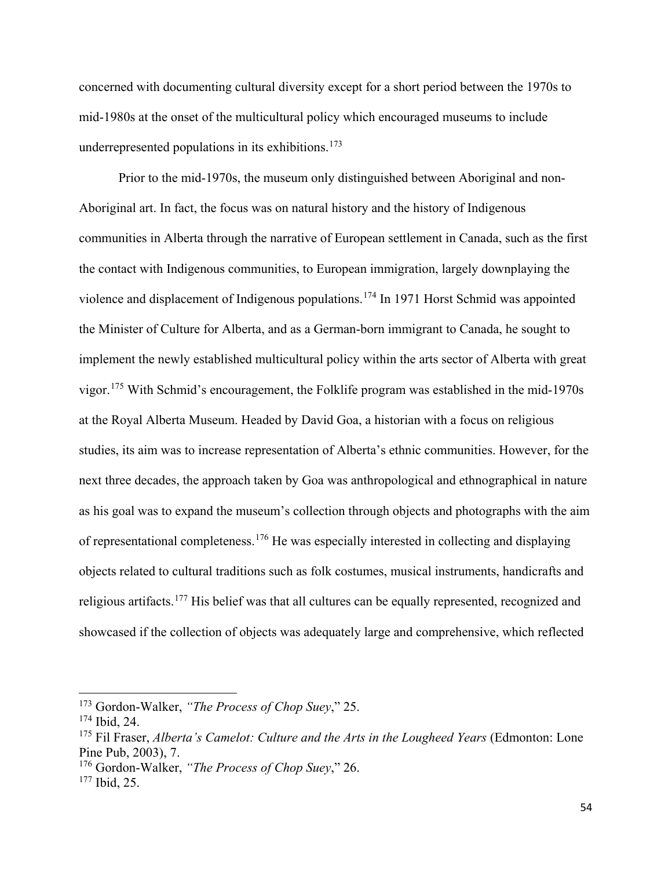concerned with documenting cultural diversity except for a short period between the 1970s to mid-1980s at the onset of the multicultural policy which encouraged museums to include underrepresented populations in its exhibitions.<sup>[173](#page-62-0)</sup>

Prior to the mid-1970s, the museum only distinguished between Aboriginal and non-Aboriginal art. In fact, the focus was on natural history and the history of Indigenous communities in Alberta through the narrative of European settlement in Canada, such as the first the contact with Indigenous communities, to European immigration, largely downplaying the violence and displacement of Indigenous populations.[174](#page-62-1) In 1971 Horst Schmid was appointed the Minister of Culture for Alberta, and as a German-born immigrant to Canada, he sought to implement the newly established multicultural policy within the arts sector of Alberta with great vigor.[175](#page-62-2) With Schmid's encouragement, the Folklife program was established in the mid-1970s at the Royal Alberta Museum. Headed by David Goa, a historian with a focus on religious studies, its aim was to increase representation of Alberta's ethnic communities. However, for the next three decades, the approach taken by Goa was anthropological and ethnographical in nature as his goal was to expand the museum's collection through objects and photographs with the aim of representational completeness.[176](#page-62-3) He was especially interested in collecting and displaying objects related to cultural traditions such as folk costumes, musical instruments, handicrafts and religious artifacts.<sup>[177](#page-62-4)</sup> His belief was that all cultures can be equally represented, recognized and showcased if the collection of objects was adequately large and comprehensive, which reflected

l

<span id="page-62-0"></span><sup>173</sup> Gordon-Walker, *"The Process of Chop Suey*," 25.

<span id="page-62-1"></span><sup>174</sup> Ibid, 24.

<span id="page-62-2"></span><sup>175</sup> Fil Fraser, *Alberta's Camelot: Culture and the Arts in the Lougheed Years* (Edmonton: Lone Pine Pub, 2003), 7.

<span id="page-62-3"></span><sup>176</sup> Gordon-Walker, *"The Process of Chop Suey*," 26.

<span id="page-62-4"></span><sup>177</sup> Ibid, 25.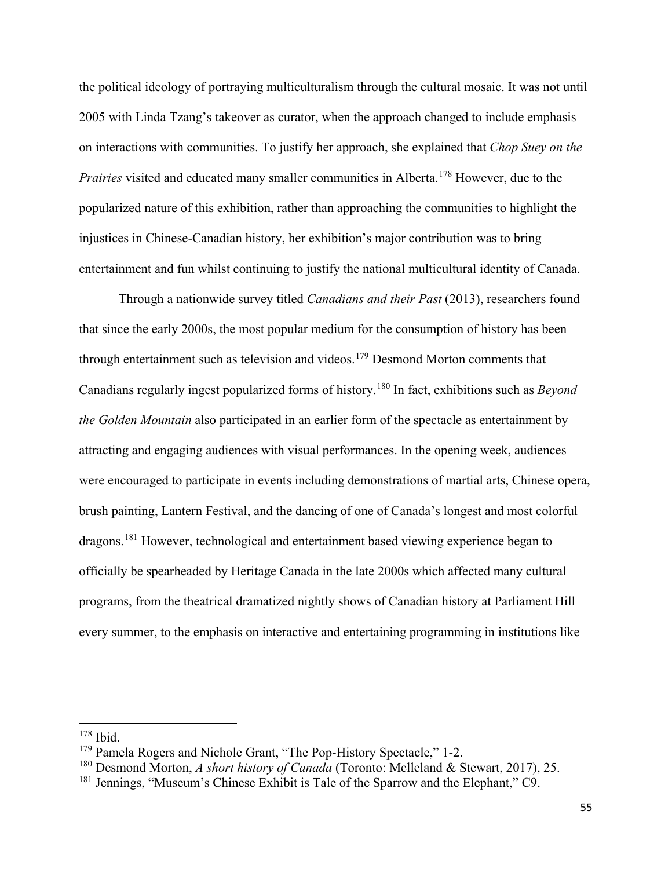the political ideology of portraying multiculturalism through the cultural mosaic. It was not until 2005 with Linda Tzang's takeover as curator, when the approach changed to include emphasis on interactions with communities. To justify her approach, she explained that *Chop Suey on the Prairies* visited and educated many smaller communities in Alberta.<sup>[178](#page-63-0)</sup> However, due to the popularized nature of this exhibition, rather than approaching the communities to highlight the injustices in Chinese-Canadian history, her exhibition's major contribution was to bring entertainment and fun whilst continuing to justify the national multicultural identity of Canada.

Through a nationwide survey titled *Canadians and their Past* (2013), researchers found that since the early 2000s, the most popular medium for the consumption of history has been through entertainment such as television and videos.<sup>[179](#page-63-1)</sup> Desmond Morton comments that Canadians regularly ingest popularized forms of history.[180](#page-63-2) In fact, exhibitions such as *Beyond the Golden Mountain* also participated in an earlier form of the spectacle as entertainment by attracting and engaging audiences with visual performances. In the opening week, audiences were encouraged to participate in events including demonstrations of martial arts, Chinese opera, brush painting, Lantern Festival, and the dancing of one of Canada's longest and most colorful dragons.<sup>[181](#page-63-3)</sup> However, technological and entertainment based viewing experience began to officially be spearheaded by Heritage Canada in the late 2000s which affected many cultural programs, from the theatrical dramatized nightly shows of Canadian history at Parliament Hill every summer, to the emphasis on interactive and entertaining programming in institutions like

<span id="page-63-0"></span><sup>178</sup> Ibid.

<span id="page-63-1"></span><sup>&</sup>lt;sup>179</sup> Pamela Rogers and Nichole Grant, "The Pop-History Spectacle," 1-2.

<span id="page-63-2"></span><sup>180</sup> Desmond Morton, *A short history of Canada* (Toronto: Mclleland & Stewart, 2017), 25.

<span id="page-63-3"></span><sup>181</sup> Jennings, "Museum's Chinese Exhibit is Tale of the Sparrow and the Elephant," C9.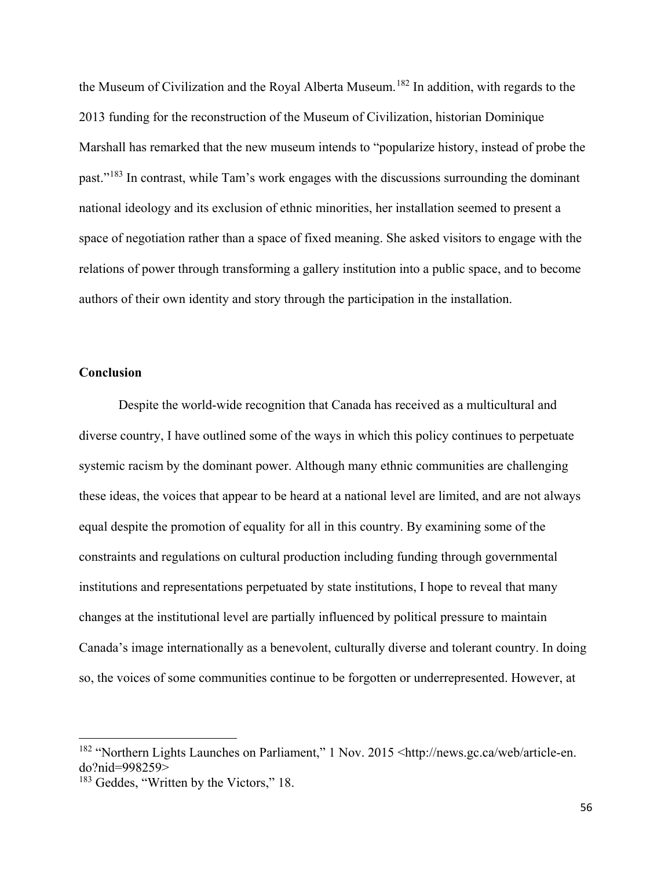the Museum of Civilization and the Royal Alberta Museum.<sup>[182](#page-64-0)</sup> In addition, with regards to the 2013 funding for the reconstruction of the Museum of Civilization, historian Dominique Marshall has remarked that the new museum intends to "popularize history, instead of probe the past."[183](#page-64-1) In contrast, while Tam's work engages with the discussions surrounding the dominant national ideology and its exclusion of ethnic minorities, her installation seemed to present a space of negotiation rather than a space of fixed meaning. She asked visitors to engage with the relations of power through transforming a gallery institution into a public space, and to become authors of their own identity and story through the participation in the installation.

## **Conclusion**

l

Despite the world-wide recognition that Canada has received as a multicultural and diverse country, I have outlined some of the ways in which this policy continues to perpetuate systemic racism by the dominant power. Although many ethnic communities are challenging these ideas, the voices that appear to be heard at a national level are limited, and are not always equal despite the promotion of equality for all in this country. By examining some of the constraints and regulations on cultural production including funding through governmental institutions and representations perpetuated by state institutions, I hope to reveal that many changes at the institutional level are partially influenced by political pressure to maintain Canada's image internationally as a benevolent, culturally diverse and tolerant country. In doing so, the voices of some communities continue to be forgotten or underrepresented. However, at

<span id="page-64-0"></span><sup>&</sup>lt;sup>182</sup> "Northern Lights Launches on Parliament," 1 Nov. 2015 <http://news.gc.ca/web/article-en. do?nid=998259>

<span id="page-64-1"></span><sup>&</sup>lt;sup>183</sup> Geddes, "Written by the Victors," 18.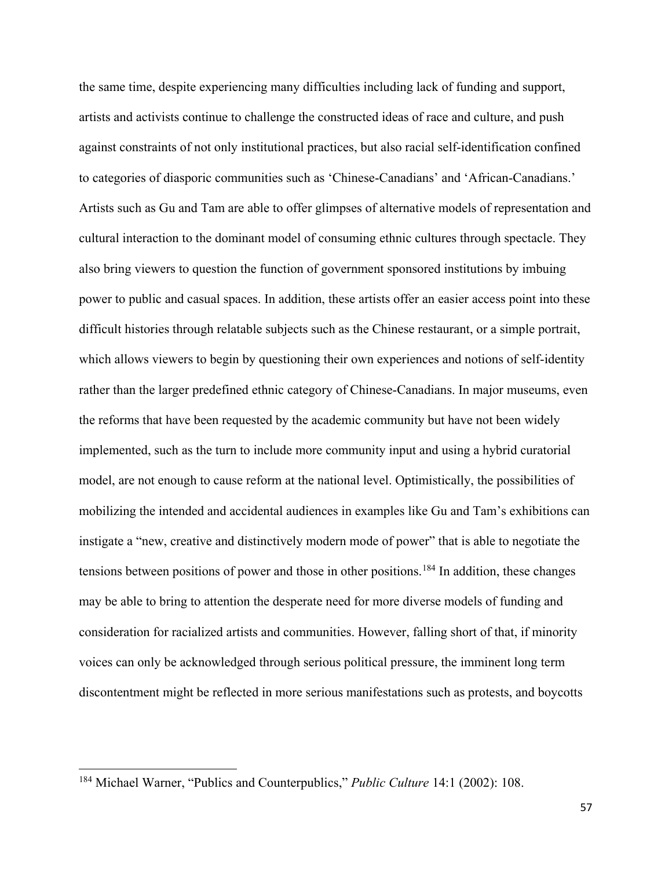the same time, despite experiencing many difficulties including lack of funding and support, artists and activists continue to challenge the constructed ideas of race and culture, and push against constraints of not only institutional practices, but also racial self-identification confined to categories of diasporic communities such as 'Chinese-Canadians' and 'African-Canadians.' Artists such as Gu and Tam are able to offer glimpses of alternative models of representation and cultural interaction to the dominant model of consuming ethnic cultures through spectacle. They also bring viewers to question the function of government sponsored institutions by imbuing power to public and casual spaces. In addition, these artists offer an easier access point into these difficult histories through relatable subjects such as the Chinese restaurant, or a simple portrait, which allows viewers to begin by questioning their own experiences and notions of self-identity rather than the larger predefined ethnic category of Chinese-Canadians. In major museums, even the reforms that have been requested by the academic community but have not been widely implemented, such as the turn to include more community input and using a hybrid curatorial model, are not enough to cause reform at the national level. Optimistically, the possibilities of mobilizing the intended and accidental audiences in examples like Gu and Tam's exhibitions can instigate a "new, creative and distinctively modern mode of power" that is able to negotiate the tensions between positions of power and those in other positions.<sup>[184](#page-65-0)</sup> In addition, these changes may be able to bring to attention the desperate need for more diverse models of funding and consideration for racialized artists and communities. However, falling short of that, if minority voices can only be acknowledged through serious political pressure, the imminent long term discontentment might be reflected in more serious manifestations such as protests, and boycotts

l

<span id="page-65-0"></span><sup>184</sup> Michael Warner, "Publics and Counterpublics," *Public Culture* 14:1 (2002): 108.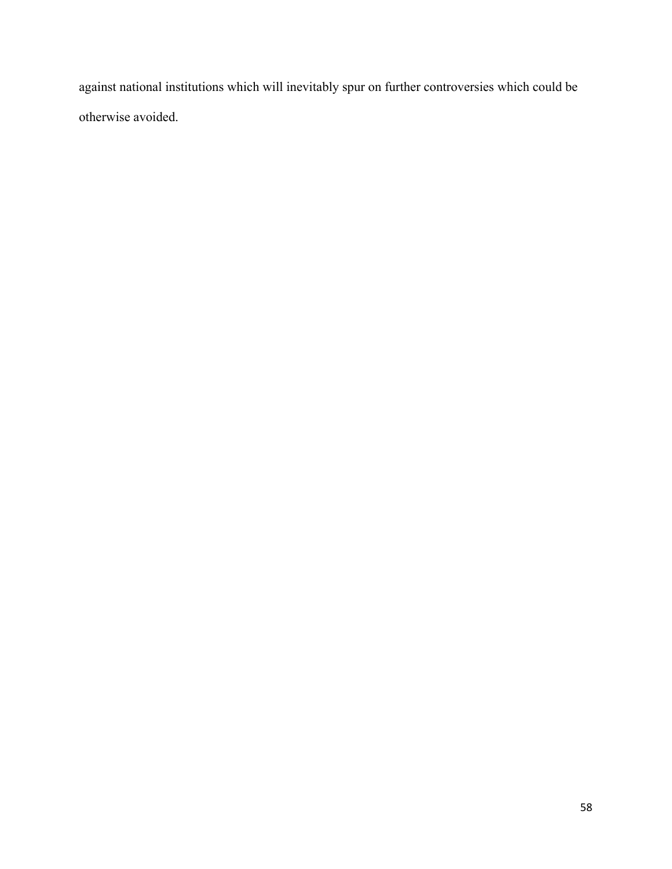against national institutions which will inevitably spur on further controversies which could be otherwise avoided.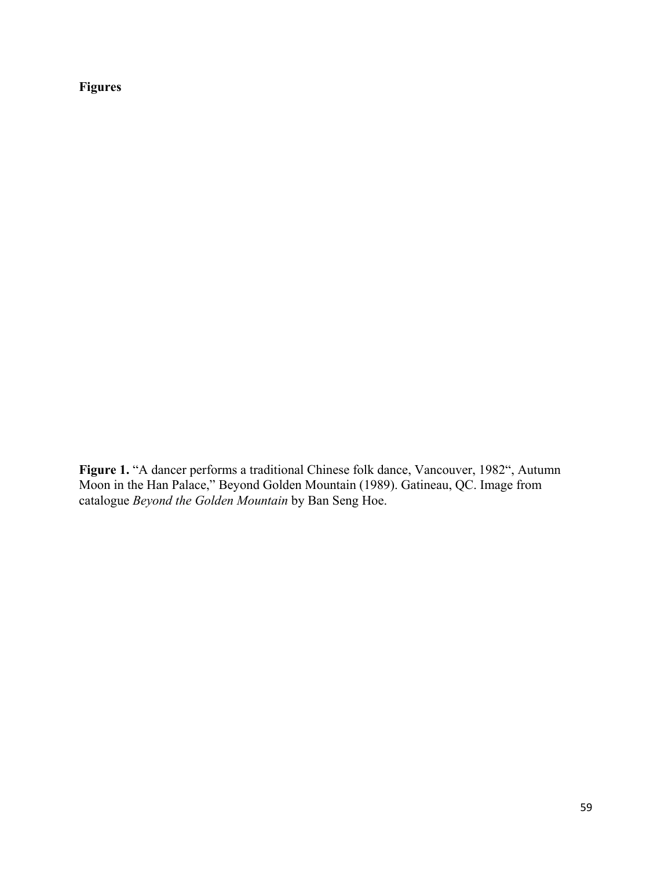**Figures**

**Figure 1.** "A dancer performs a traditional Chinese folk dance, Vancouver, 1982", Autumn Moon in the Han Palace," Beyond Golden Mountain (1989). Gatineau, QC. Image from catalogue *Beyond the Golden Mountain* by Ban Seng Hoe.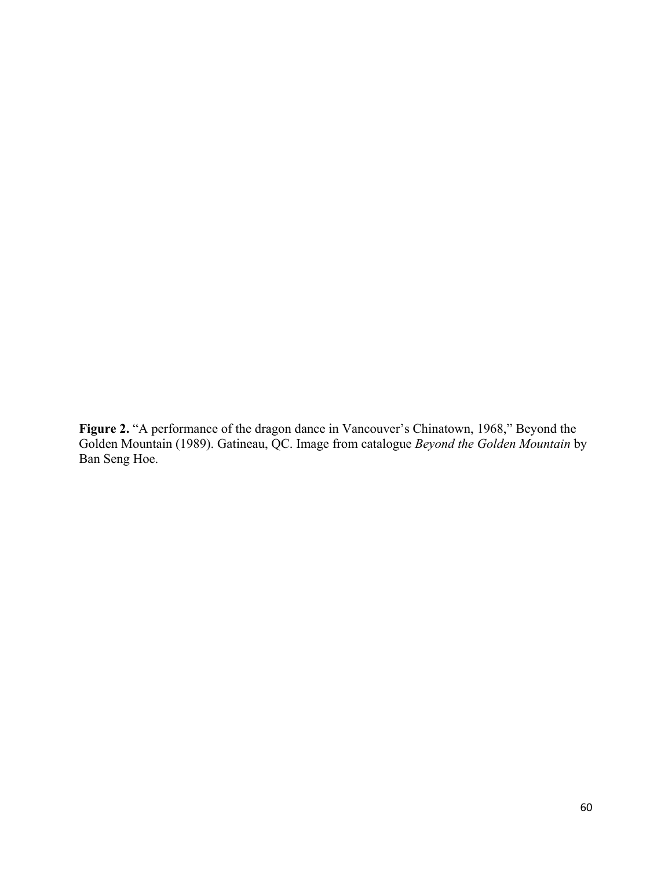**Figure 2.** "A performance of the dragon dance in Vancouver's Chinatown, 1968," Beyond the Golden Mountain (1989). Gatineau, QC. Image from catalogue *Beyond the Golden Mountain* by Ban Seng Hoe.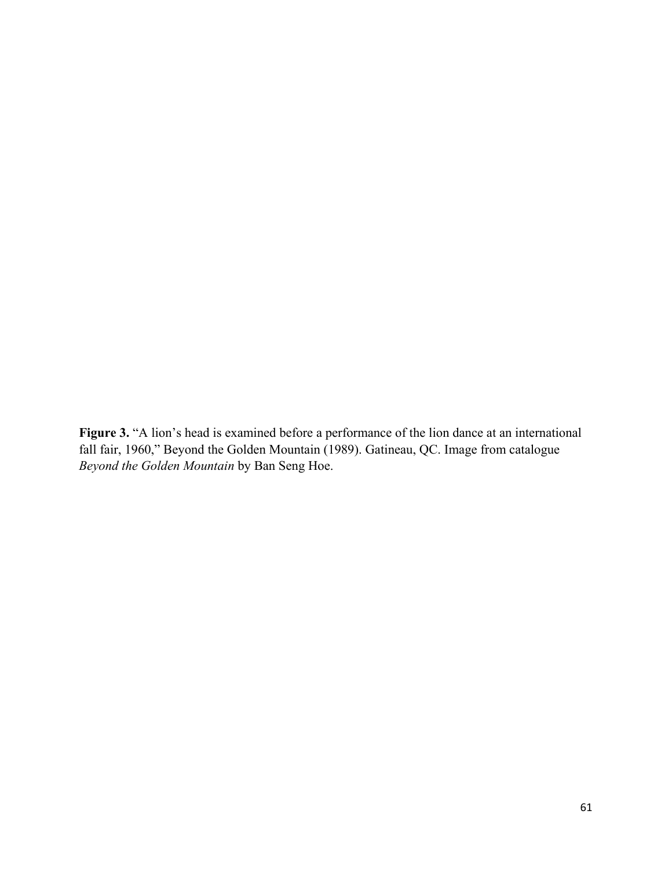**Figure 3.** "A lion's head is examined before a performance of the lion dance at an international fall fair, 1960," Beyond the Golden Mountain (1989). Gatineau, QC. Image from catalogue *Beyond the Golden Mountain* by Ban Seng Hoe.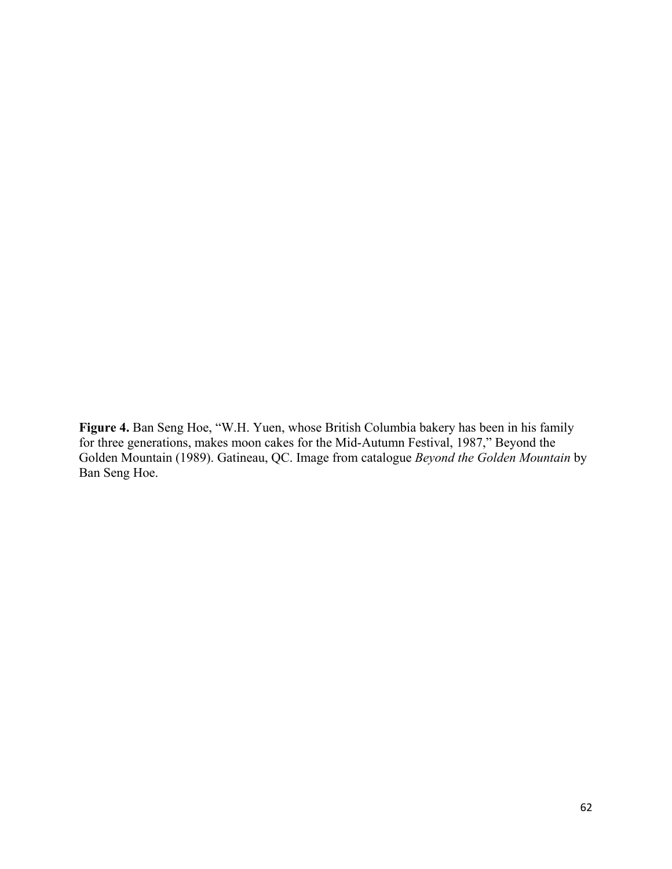**Figure 4.** Ban Seng Hoe, "W.H. Yuen, whose British Columbia bakery has been in his family for three generations, makes moon cakes for the Mid-Autumn Festival, 1987," Beyond the Golden Mountain (1989). Gatineau, QC. Image from catalogue *Beyond the Golden Mountain* by Ban Seng Hoe.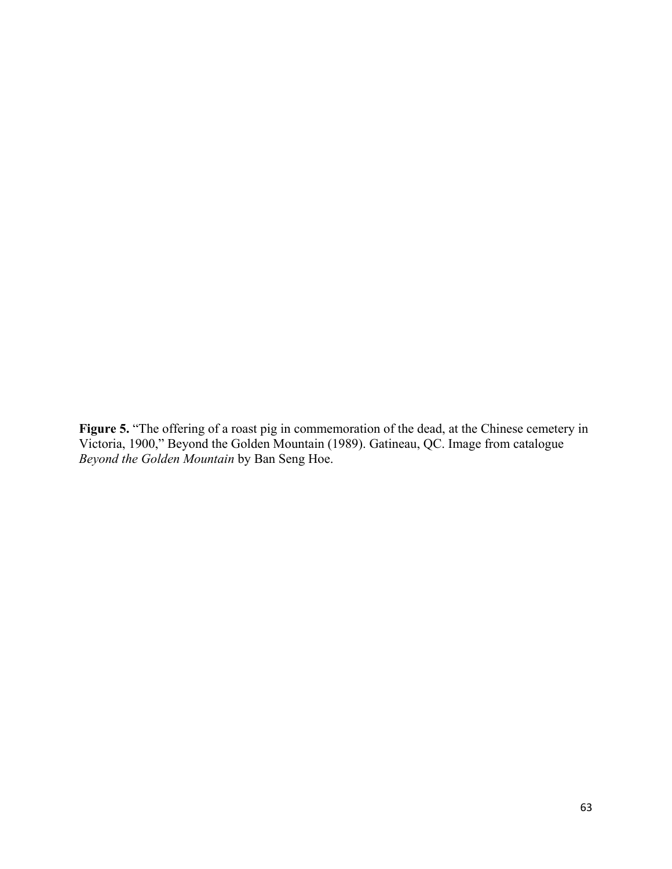**Figure 5.** "The offering of a roast pig in commemoration of the dead, at the Chinese cemetery in Victoria, 1900," Beyond the Golden Mountain (1989). Gatineau, QC. Image from catalogue *Beyond the Golden Mountain* by Ban Seng Hoe.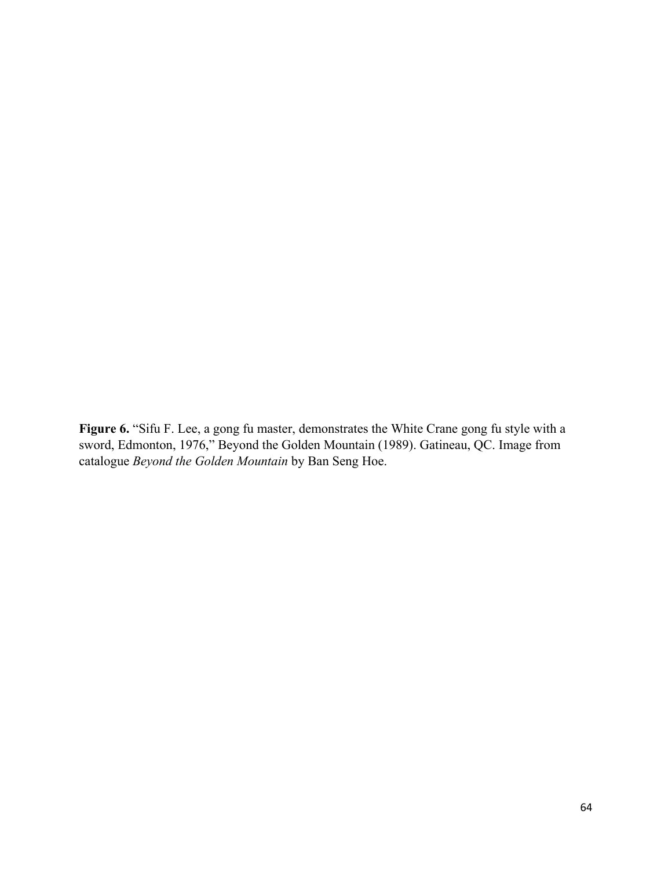**Figure 6.** "Sifu F. Lee, a gong fu master, demonstrates the White Crane gong fu style with a sword, Edmonton, 1976," Beyond the Golden Mountain (1989). Gatineau, QC. Image from catalogue *Beyond the Golden Mountain* by Ban Seng Hoe.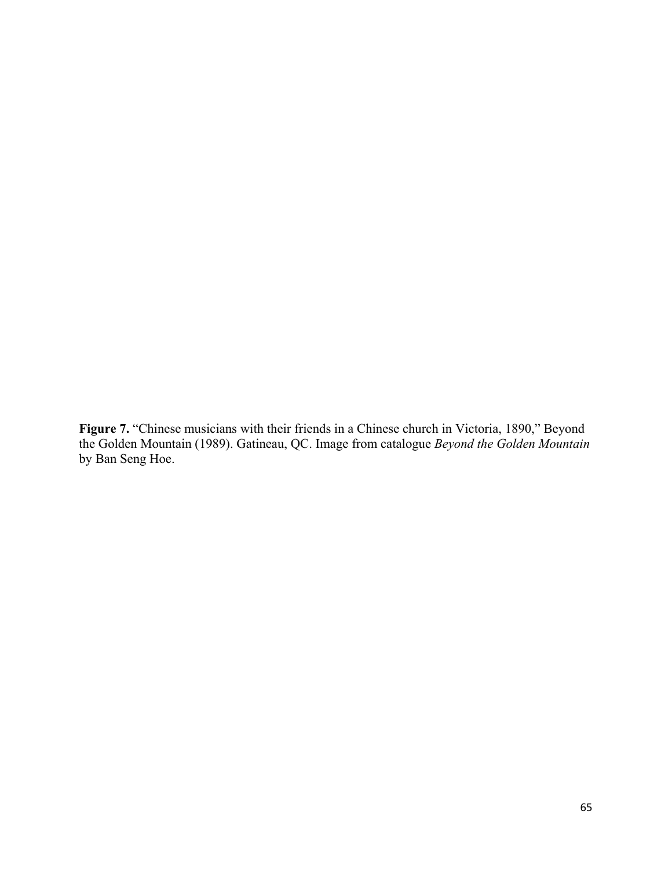**Figure 7.** "Chinese musicians with their friends in a Chinese church in Victoria, 1890," Beyond the Golden Mountain (1989). Gatineau, QC. Image from catalogue *Beyond the Golden Mountain* by Ban Seng Hoe.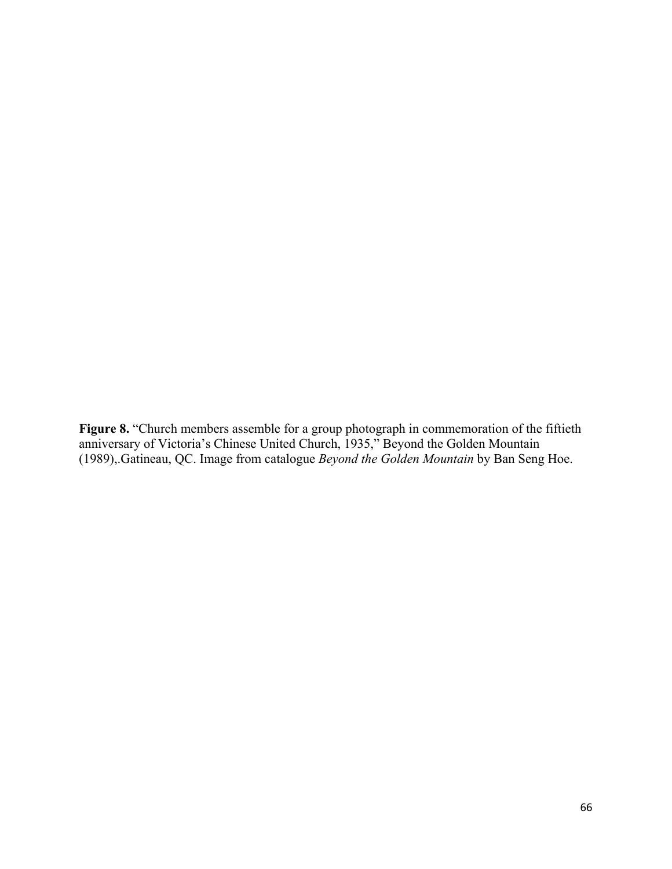**Figure 8.** "Church members assemble for a group photograph in commemoration of the fiftieth anniversary of Victoria's Chinese United Church, 1935," Beyond the Golden Mountain (1989),.Gatineau, QC. Image from catalogue *Beyond the Golden Mountain* by Ban Seng Hoe.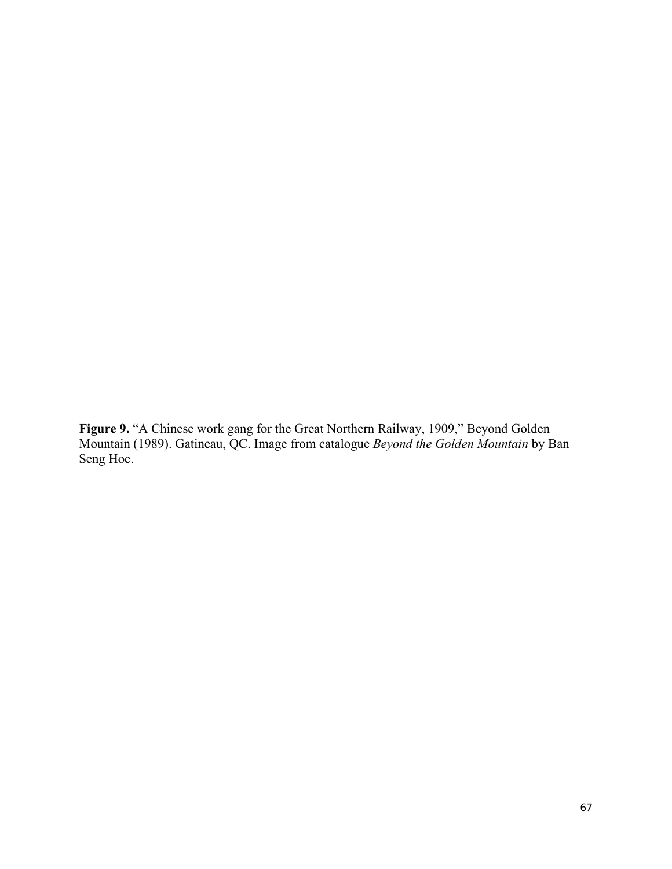**Figure 9.** "A Chinese work gang for the Great Northern Railway, 1909," Beyond Golden Mountain (1989). Gatineau, QC. Image from catalogue *Beyond the Golden Mountain* by Ban Seng Hoe.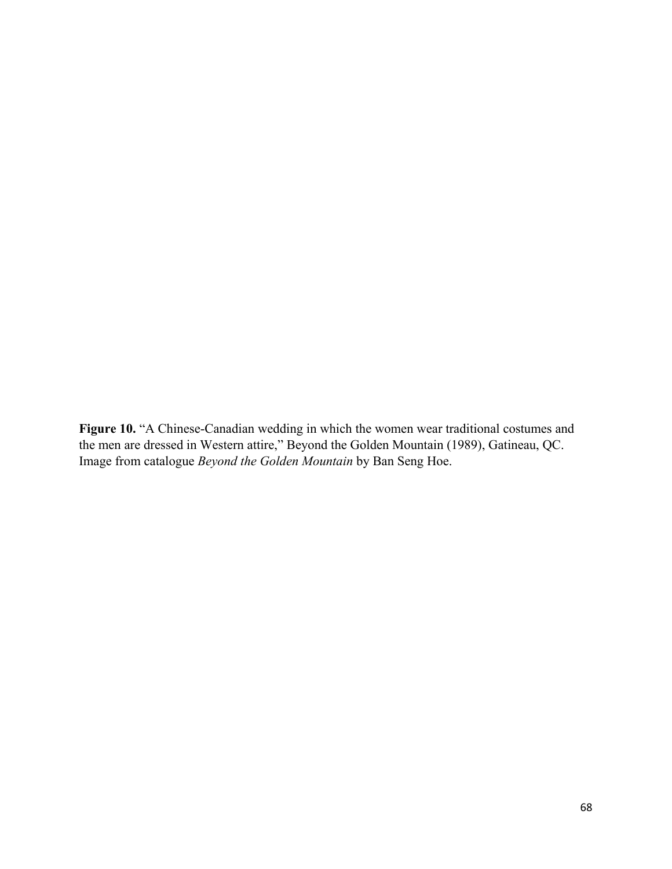**Figure 10.** "A Chinese-Canadian wedding in which the women wear traditional costumes and the men are dressed in Western attire," Beyond the Golden Mountain (1989), Gatineau, QC. Image from catalogue *Beyond the Golden Mountain* by Ban Seng Hoe.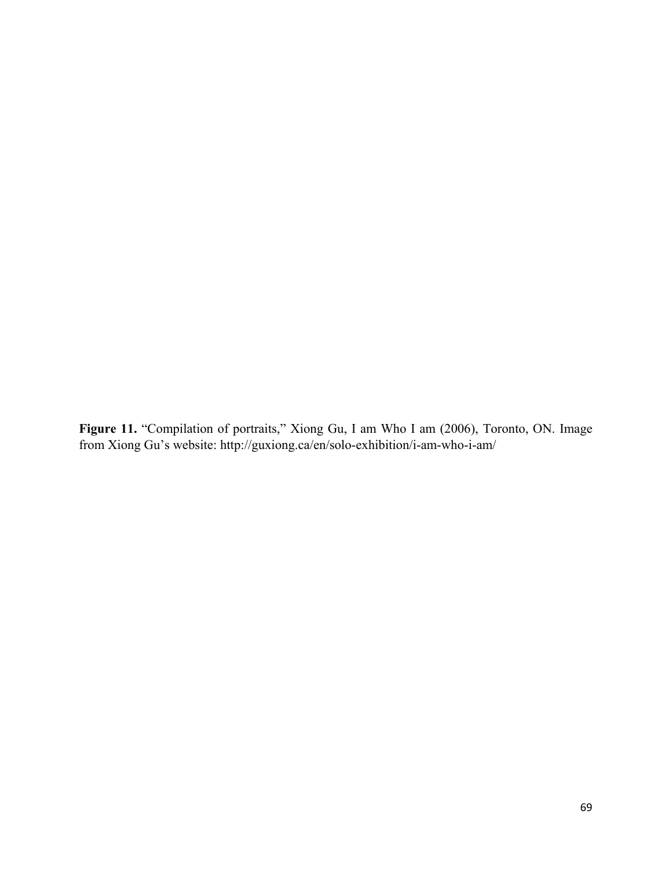**Figure 11.** "Compilation of portraits," Xiong Gu, I am Who I am (2006), Toronto, ON. Image from Xiong Gu's website: http://guxiong.ca/en/solo-exhibition/i-am-who-i-am/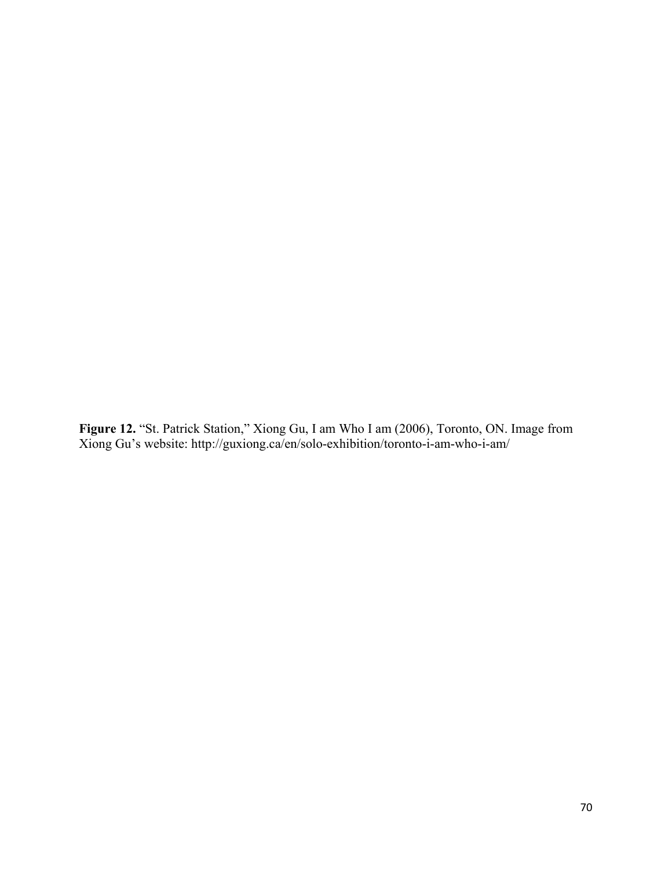**Figure 12.** "St. Patrick Station," Xiong Gu, I am Who I am (2006), Toronto, ON. Image from Xiong Gu's website: http://guxiong.ca/en/solo-exhibition/toronto-i-am-who-i-am/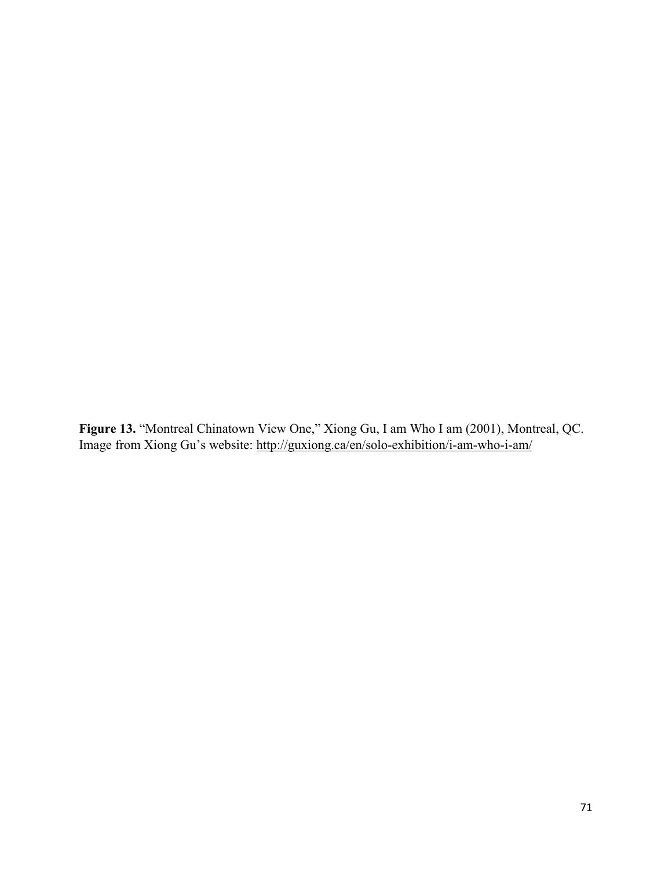**Figure 13.** "Montreal Chinatown View One," Xiong Gu, I am Who I am (2001), Montreal, QC. Image from Xiong Gu's website:<http://guxiong.ca/en/solo-exhibition/i-am-who-i-am/>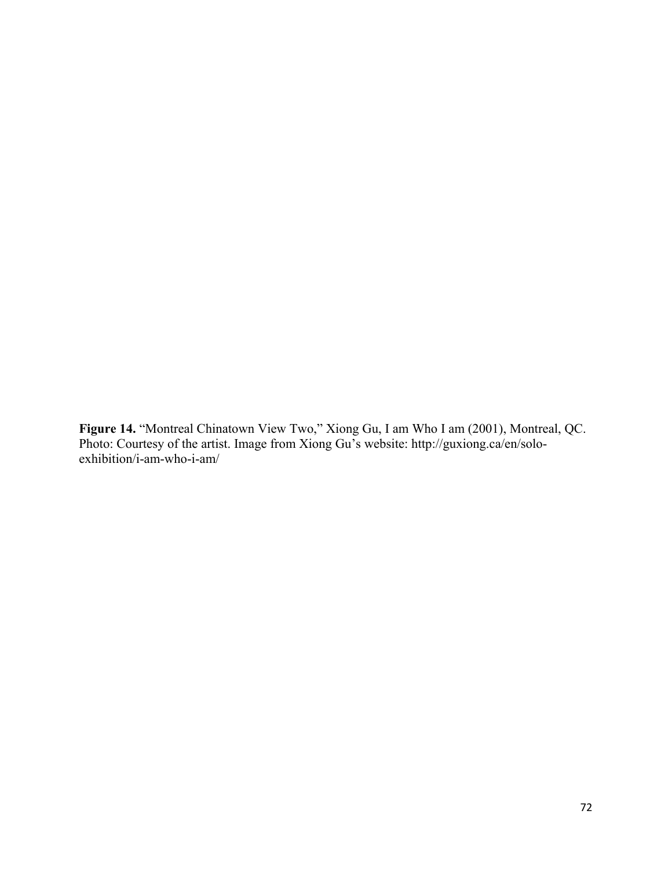**Figure 14.** "Montreal Chinatown View Two," Xiong Gu, I am Who I am (2001), Montreal, QC. Photo: Courtesy of the artist. Image from Xiong Gu's website: http://guxiong.ca/en/soloexhibition/i-am-who-i-am/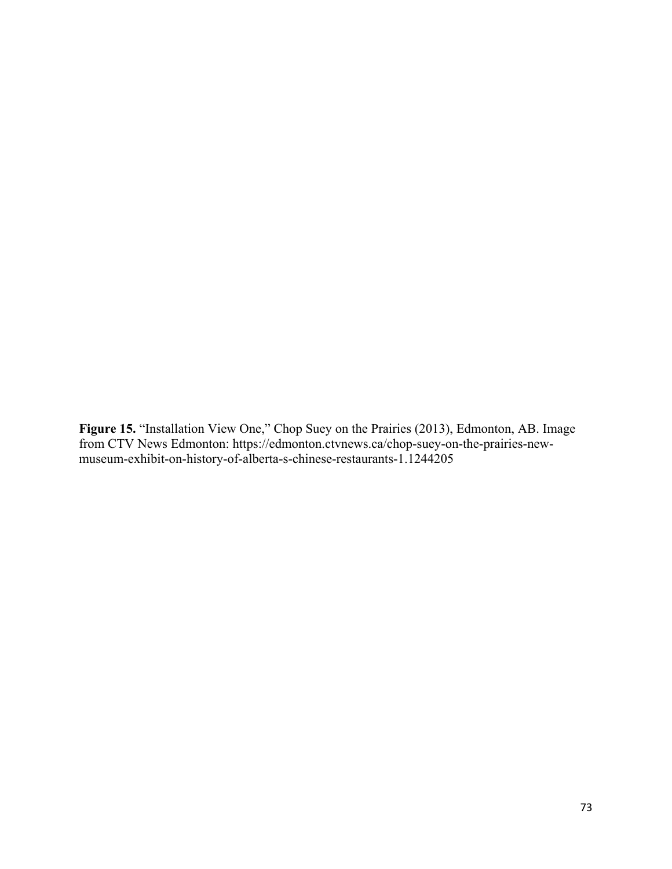**Figure 15.** "Installation View One," Chop Suey on the Prairies (2013), Edmonton, AB. Image from CTV News Edmonton: https://edmonton.ctvnews.ca/chop-suey-on-the-prairies-newmuseum-exhibit-on-history-of-alberta-s-chinese-restaurants-1.1244205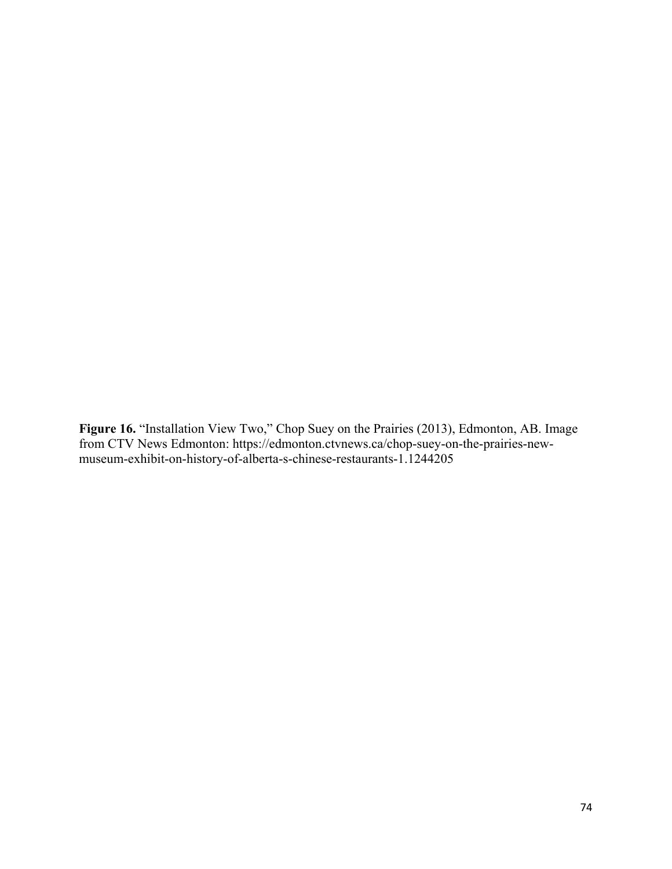**Figure 16.** "Installation View Two," Chop Suey on the Prairies (2013), Edmonton, AB. Image from CTV News Edmonton: https://edmonton.ctvnews.ca/chop-suey-on-the-prairies-newmuseum-exhibit-on-history-of-alberta-s-chinese-restaurants-1.1244205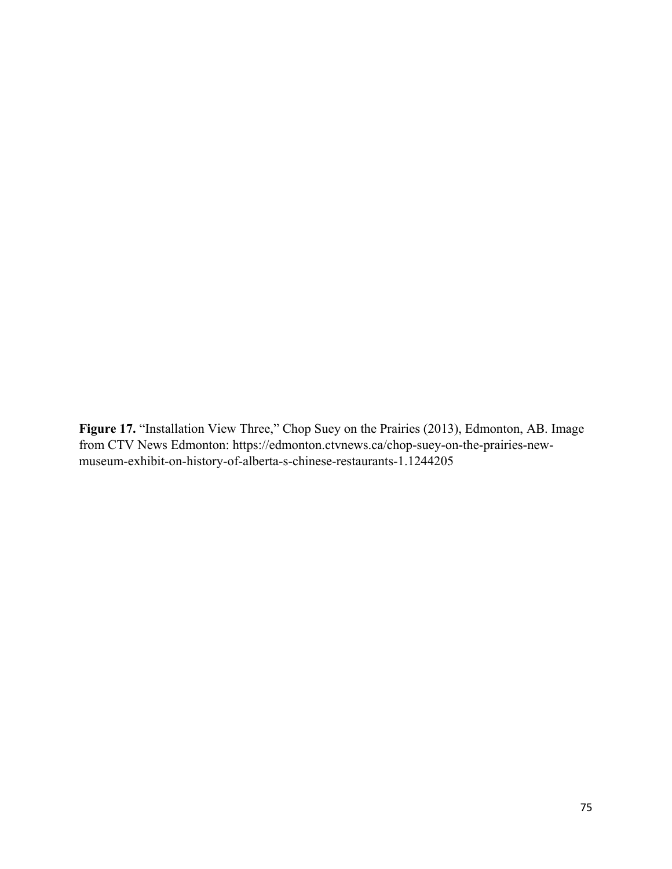Figure 17. "Installation View Three," Chop Suey on the Prairies (2013), Edmonton, AB. Image from CTV News Edmonton: https://edmonton.ctvnews.ca/chop-suey-on-the-prairies-newmuseum-exhibit-on-history-of-alberta-s-chinese-restaurants-1.1244205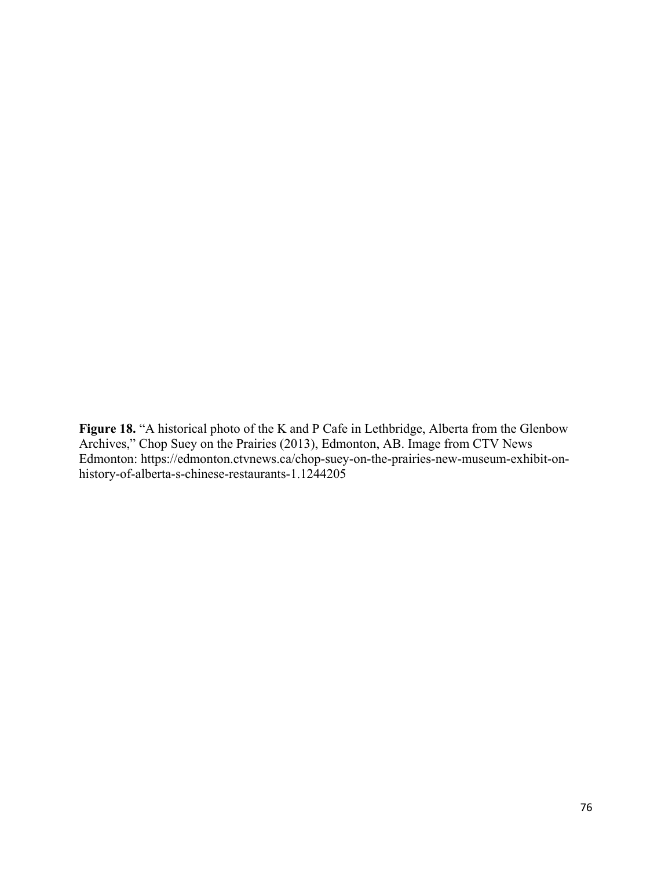Figure 18. "A historical photo of the K and P Cafe in Lethbridge, Alberta from the Glenbow Archives," Chop Suey on the Prairies (2013), Edmonton, AB. Image from CTV News Edmonton: https://edmonton.ctvnews.ca/chop-suey-on-the-prairies-new-museum-exhibit-onhistory-of-alberta-s-chinese-restaurants-1.1244205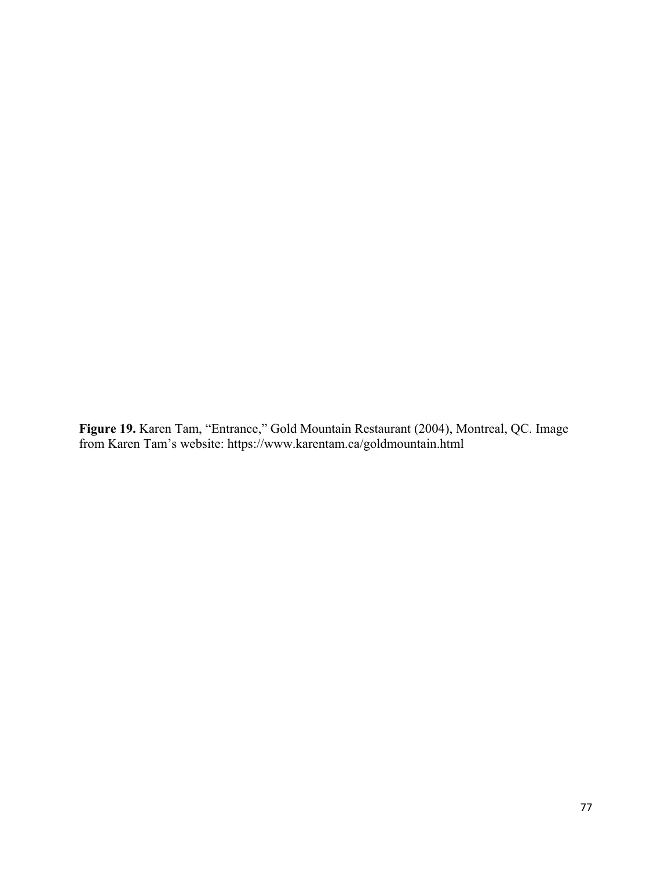**Figure 19.** Karen Tam, "Entrance," Gold Mountain Restaurant (2004), Montreal, QC. Image from Karen Tam's website: https://www.karentam.ca/goldmountain.html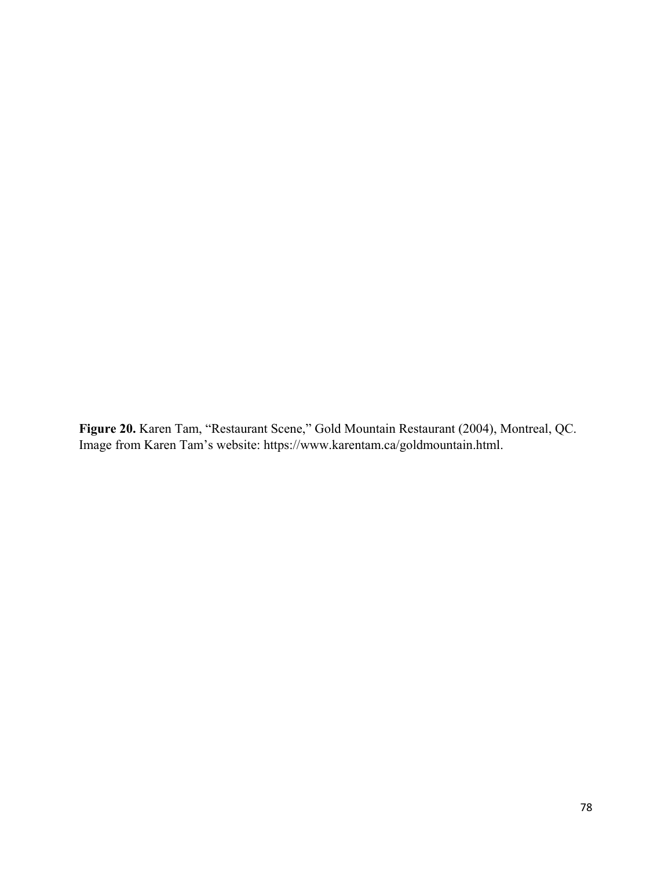**Figure 20.** Karen Tam, "Restaurant Scene," Gold Mountain Restaurant (2004), Montreal, QC. Image from Karen Tam's website: https://www.karentam.ca/goldmountain.html.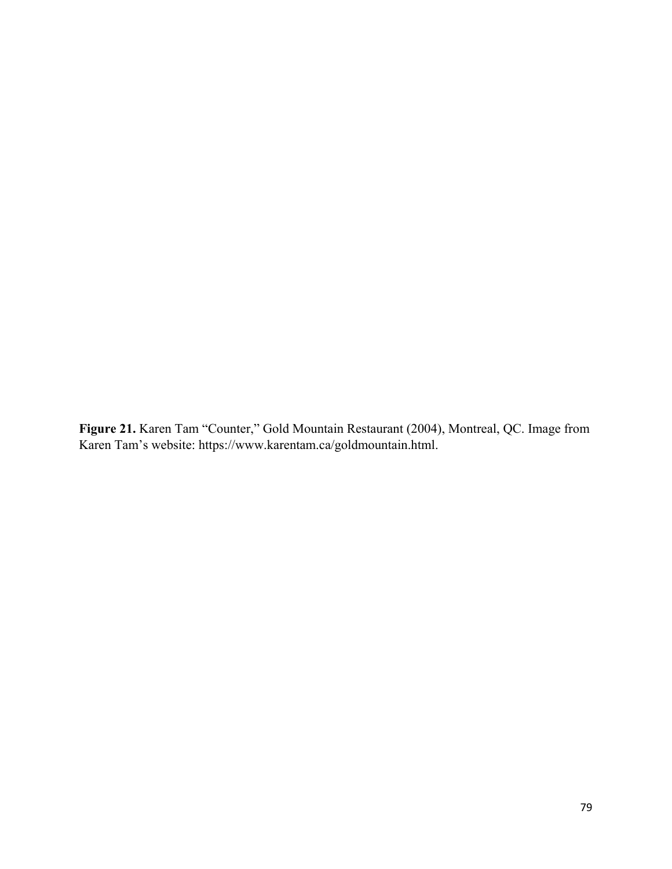**Figure 21.** Karen Tam "Counter," Gold Mountain Restaurant (2004), Montreal, QC. Image from Karen Tam's website: https://www.karentam.ca/goldmountain.html.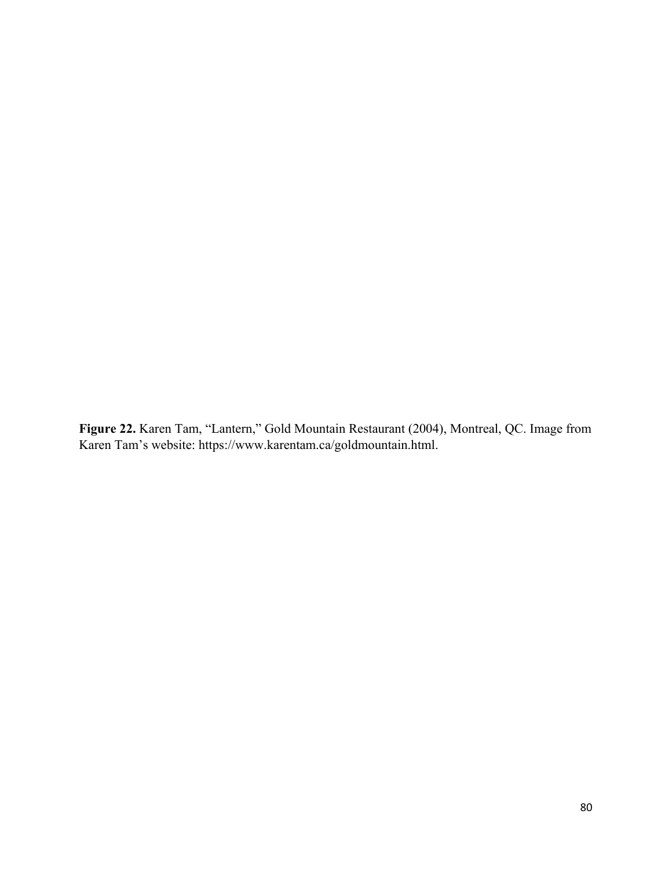**Figure 22.** Karen Tam, "Lantern," Gold Mountain Restaurant (2004), Montreal, QC. Image from Karen Tam's website: [https://www.karentam.ca/goldmountain.html.](https://www.karentam.ca/goldmountain.html)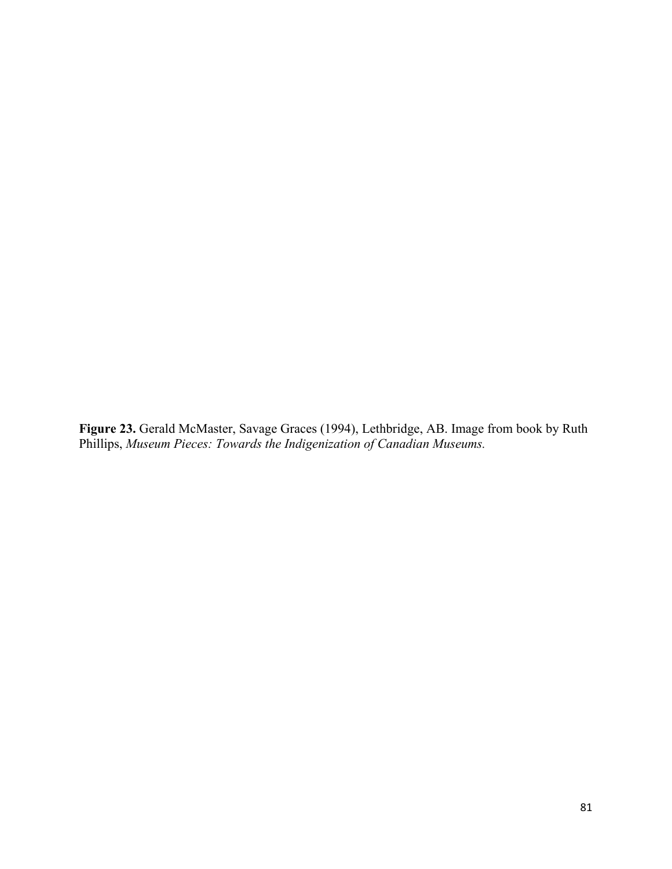**Figure 23.** Gerald McMaster, Savage Graces (1994), Lethbridge, AB. Image from book by Ruth Phillips, *Museum Pieces: Towards the Indigenization of Canadian Museums.*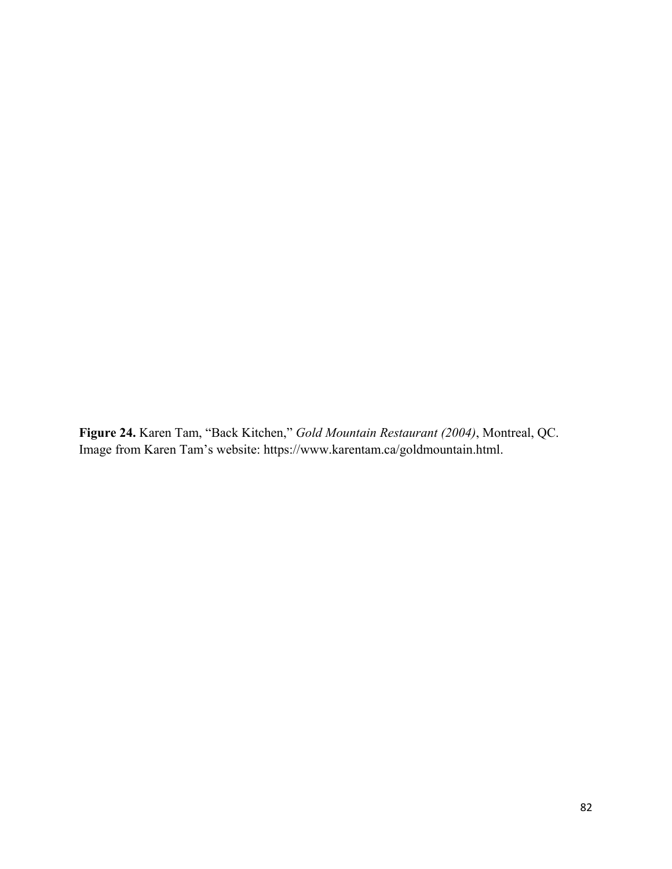**Figure 24.** Karen Tam, "Back Kitchen," *Gold Mountain Restaurant (2004)*, Montreal, QC. Image from Karen Tam's website: https://www.karentam.ca/goldmountain.html.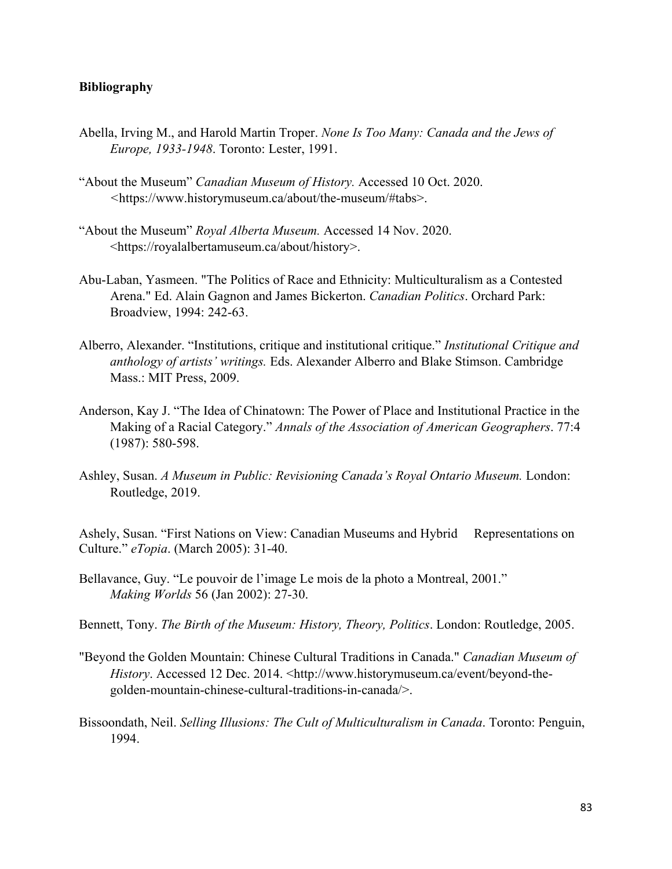## **Bibliography**

- Abella, Irving M., and Harold Martin Troper. *None Is Too Many: Canada and the Jews of Europe, 1933-1948*. Toronto: Lester, 1991.
- "About the Museum" *Canadian Museum of History.* Accessed 10 Oct. 2020. *<*https://www.historymuseum.ca/about/the-museum/#tabs>.
- "About the Museum" *Royal Alberta Museum.* Accessed 14 Nov. 2020. <https://royalalbertamuseum.ca/about/history>.
- Abu-Laban, Yasmeen. "The Politics of Race and Ethnicity: Multiculturalism as a Contested Arena." Ed. Alain Gagnon and James Bickerton. *Canadian Politics*. Orchard Park: Broadview, 1994: 242-63.
- Alberro, Alexander. "Institutions, critique and institutional critique." *Institutional Critique and anthology of artists' writings.* Eds. Alexander Alberro and Blake Stimson. Cambridge Mass.: MIT Press, 2009.
- Anderson, Kay J. "The Idea of Chinatown: The Power of Place and Institutional Practice in the Making of a Racial Category." *Annals of the Association of American Geographers*. 77:4 (1987): 580-598.
- Ashley, Susan. *A Museum in Public: Revisioning Canada's Royal Ontario Museum.* London: Routledge, 2019.

Ashely, Susan. "First Nations on View: Canadian Museums and Hybrid Representations on Culture." *eTopia*. (March 2005): 31-40.

- Bellavance, Guy. "Le pouvoir de l'image Le mois de la photo a Montreal, 2001." *Making Worlds* 56 (Jan 2002): 27-30.
- Bennett, Tony. *The Birth of the Museum: History, Theory, Politics*. London: Routledge, 2005.
- "Beyond the Golden Mountain: Chinese Cultural Traditions in Canada." *Canadian Museum of History*. Accessed 12 Dec. 2014. <http://www.historymuseum.ca/event/beyond-thegolden-mountain-chinese-cultural-traditions-in-canada/>.
- Bissoondath, Neil. *Selling Illusions: The Cult of Multiculturalism in Canada*. Toronto: Penguin, 1994.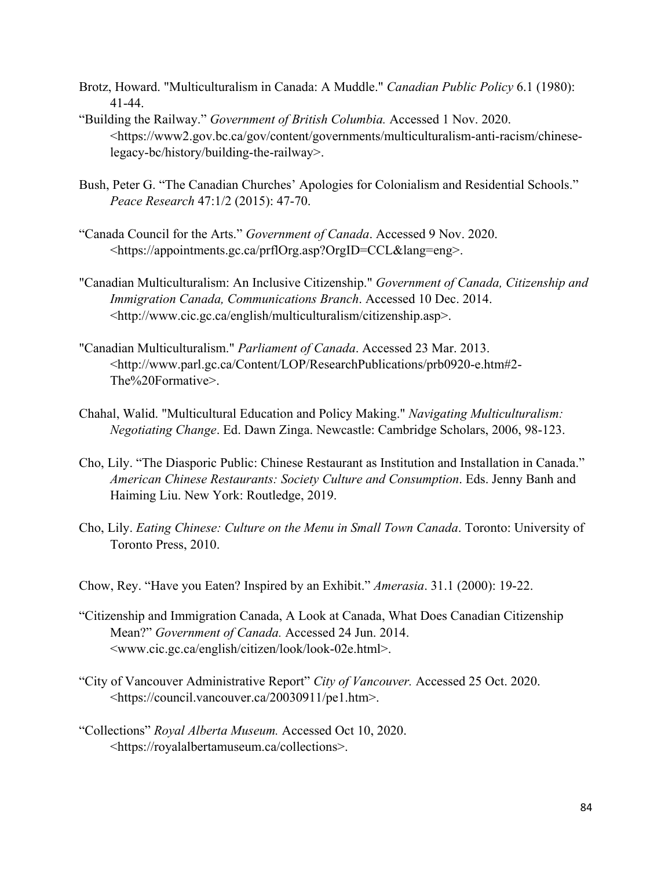- Brotz, Howard. "Multiculturalism in Canada: A Muddle." *Canadian Public Policy* 6.1 (1980): 41-44.
- "Building the Railway." *Government of British Columbia.* Accessed 1 Nov. 2020. <https://www2.gov.bc.ca/gov/content/governments/multiculturalism-anti-racism/chineselegacy-bc/history/building-the-railway>.
- Bush, Peter G. "The Canadian Churches' Apologies for Colonialism and Residential Schools." *Peace Research* 47:1/2 (2015): 47-70.
- "Canada Council for the Arts." *Government of Canada*. Accessed 9 Nov. 2020. <https://appointments.gc.ca/prflOrg.asp?OrgID=CCL&lang=eng>.
- "Canadian Multiculturalism: An Inclusive Citizenship." *Government of Canada, Citizenship and Immigration Canada, Communications Branch*. Accessed 10 Dec. 2014. <http://www.cic.gc.ca/english/multiculturalism/citizenship.asp>.
- "Canadian Multiculturalism." *Parliament of Canada*. Accessed 23 Mar. 2013. <http://www.parl.gc.ca/Content/LOP/ResearchPublications/prb0920-e.htm#2- The%20Formative>.
- Chahal, Walid. "Multicultural Education and Policy Making." *Navigating Multiculturalism: Negotiating Change*. Ed. Dawn Zinga. Newcastle: Cambridge Scholars, 2006, 98-123.
- Cho, Lily. "The Diasporic Public: Chinese Restaurant as Institution and Installation in Canada." *American Chinese Restaurants: Society Culture and Consumption*. Eds. Jenny Banh and Haiming Liu. New York: Routledge, 2019.
- Cho, Lily. *Eating Chinese: Culture on the Menu in Small Town Canada*. Toronto: University of Toronto Press, 2010.
- Chow, Rey. "Have you Eaten? Inspired by an Exhibit." *Amerasia*. 31.1 (2000): 19-22.
- "Citizenship and Immigration Canada, A Look at Canada, What Does Canadian Citizenship Mean?" *Government of Canada.* Accessed 24 Jun. 2014. <www.cic.gc.ca/english/citizen/look/look-02e.html>.
- "City of Vancouver Administrative Report" *City of Vancouver.* Accessed 25 Oct. 2020. <https://council.vancouver.ca/20030911/pe1.htm>.
- "Collections" *Royal Alberta Museum.* Accessed Oct 10, 2020. <https://royalalbertamuseum.ca/collections>.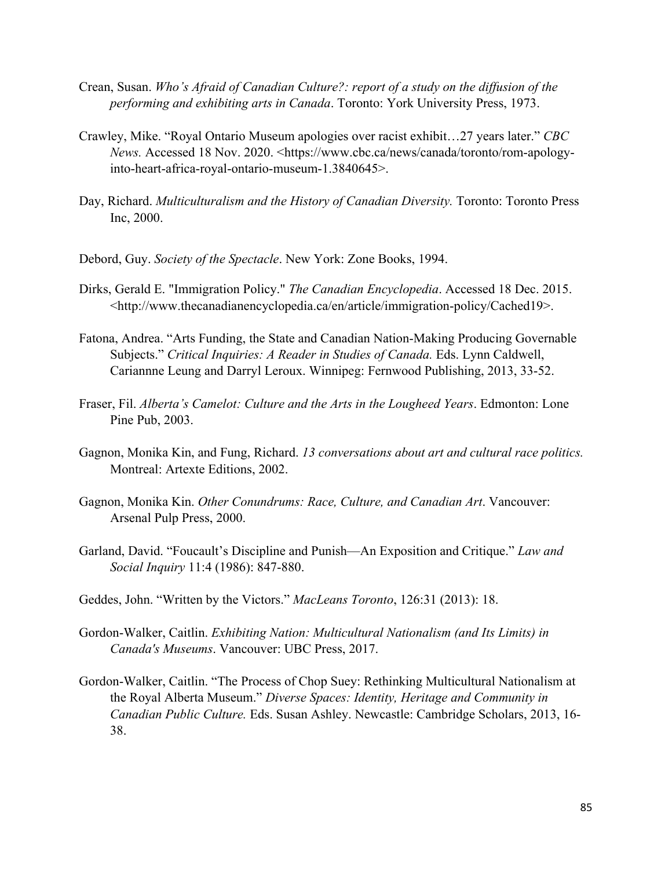- Crean, Susan. *Who's Afraid of Canadian Culture?: report of a study on the diffusion of the performing and exhibiting arts in Canada*. Toronto: York University Press, 1973.
- Crawley, Mike. "Royal Ontario Museum apologies over racist exhibit…27 years later." *CBC News.* Accessed 18 Nov. 2020. <https://www.cbc.ca/news/canada/toronto/rom-apologyinto-heart-africa-royal-ontario-museum-1.3840645>.
- Day, Richard. *Multiculturalism and the History of Canadian Diversity.* Toronto: Toronto Press Inc, 2000.
- Debord, Guy. *Society of the Spectacle*. New York: Zone Books, 1994.
- Dirks, Gerald E. "Immigration Policy." *The Canadian Encyclopedia*. Accessed 18 Dec. 2015. <http://www.thecanadianencyclopedia.ca/en/article/immigration-policy/Cached19>.
- Fatona, Andrea. "Arts Funding, the State and Canadian Nation-Making Producing Governable Subjects." *Critical Inquiries: A Reader in Studies of Canada.* Eds. Lynn Caldwell, Cariannne Leung and Darryl Leroux. Winnipeg: Fernwood Publishing, 2013, 33-52.
- Fraser, Fil. *Alberta's Camelot: Culture and the Arts in the Lougheed Years*. Edmonton: Lone Pine Pub, 2003.
- Gagnon, Monika Kin, and Fung, Richard. *13 conversations about art and cultural race politics.*  Montreal: Artexte Editions, 2002.
- Gagnon, Monika Kin. *Other Conundrums: Race, Culture, and Canadian Art*. Vancouver: Arsenal Pulp Press, 2000.
- Garland, David. "Foucault's Discipline and Punish—An Exposition and Critique." *Law and Social Inquiry* 11:4 (1986): 847-880.
- Geddes, John. "Written by the Victors." *MacLeans Toronto*, 126:31 (2013): 18.
- Gordon-Walker, Caitlin. *Exhibiting Nation: Multicultural Nationalism (and Its Limits) in Canada's Museums*. Vancouver: UBC Press, 2017.
- Gordon-Walker, Caitlin. "The Process of Chop Suey: Rethinking Multicultural Nationalism at the Royal Alberta Museum." *Diverse Spaces: Identity, Heritage and Community in Canadian Public Culture.* Eds. Susan Ashley. Newcastle: Cambridge Scholars, 2013, 16- 38.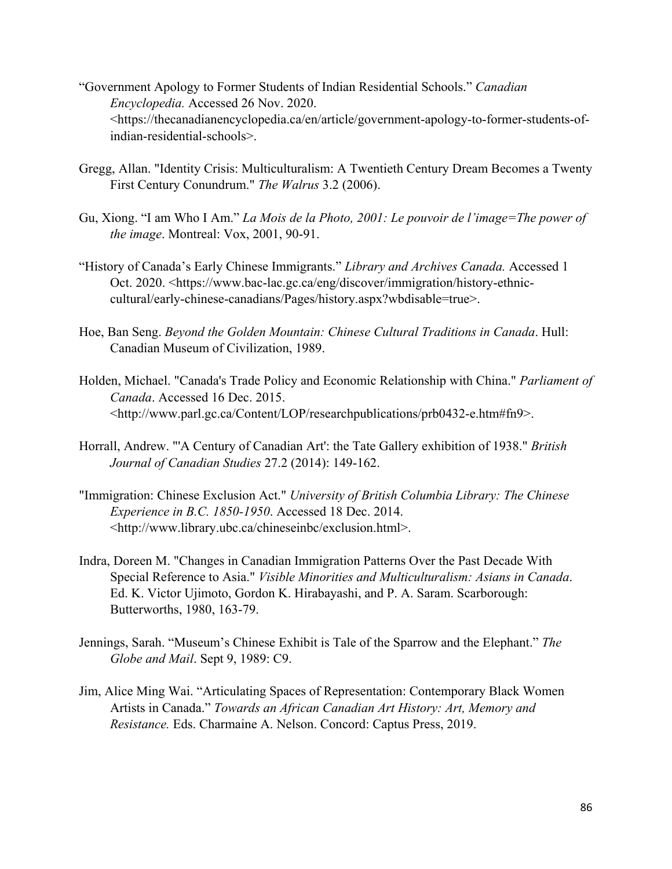- "Government Apology to Former Students of Indian Residential Schools." *Canadian Encyclopedia.* Accessed 26 Nov. 2020. <https://thecanadianencyclopedia.ca/en/article/government-apology-to-former-students-ofindian-residential-schools>.
- Gregg, Allan. "Identity Crisis: Multiculturalism: A Twentieth Century Dream Becomes a Twenty First Century Conundrum." *The Walrus* 3.2 (2006).
- Gu, Xiong. "I am Who I Am." *La Mois de la Photo, 2001: Le pouvoir de l'image=The power of the image*. Montreal: Vox, 2001, 90-91.
- "History of Canada's Early Chinese Immigrants." *Library and Archives Canada.* Accessed 1 Oct. 2020. <https://www.bac-lac.gc.ca/eng/discover/immigration/history-ethniccultural/early-chinese-canadians/Pages/history.aspx?wbdisable=true>.
- Hoe, Ban Seng. *Beyond the Golden Mountain: Chinese Cultural Traditions in Canada*. Hull: Canadian Museum of Civilization, 1989.
- Holden, Michael. "Canada's Trade Policy and Economic Relationship with China." *Parliament of Canada*. Accessed 16 Dec. 2015. <http://www.parl.gc.ca/Content/LOP/researchpublications/prb0432-e.htm#fn9>.
- Horrall, Andrew. "'A Century of Canadian Art': the Tate Gallery exhibition of 1938." *British Journal of Canadian Studies* 27.2 (2014): 149-162.
- "Immigration: Chinese Exclusion Act." *University of British Columbia Library: The Chinese Experience in B.C. 1850-1950*. Accessed 18 Dec. 2014. <http://www.library.ubc.ca/chineseinbc/exclusion.html>.
- Indra, Doreen M. "Changes in Canadian Immigration Patterns Over the Past Decade With Special Reference to Asia." *Visible Minorities and Multiculturalism: Asians in Canada*. Ed. K. Victor Ujimoto, Gordon K. Hirabayashi, and P. A. Saram. Scarborough: Butterworths, 1980, 163-79.
- Jennings, Sarah. "Museum's Chinese Exhibit is Tale of the Sparrow and the Elephant." *The Globe and Mail*. Sept 9, 1989: C9.
- Jim, Alice Ming Wai. "Articulating Spaces of Representation: Contemporary Black Women Artists in Canada." *Towards an African Canadian Art History: Art, Memory and Resistance.* Eds. Charmaine A. Nelson. Concord: Captus Press, 2019.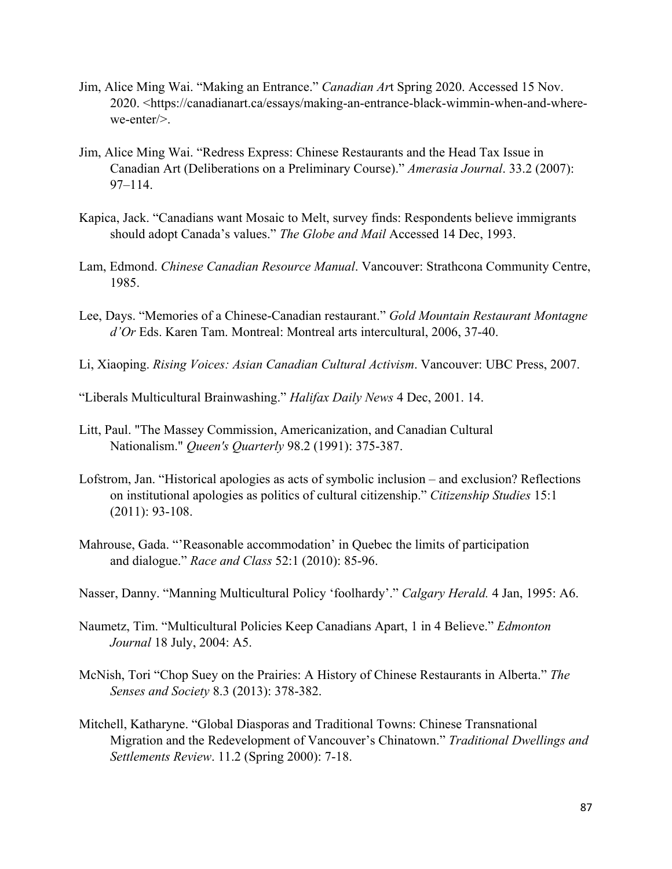- Jim, Alice Ming Wai. "Making an Entrance." *Canadian Ar*t Spring 2020. Accessed 15 Nov. 2020. <https://canadianart.ca/essays/making-an-entrance-black-wimmin-when-and-wherewe-enter/>.
- Jim, Alice Ming Wai. "Redress Express: Chinese Restaurants and the Head Tax Issue in Canadian Art (Deliberations on a Preliminary Course)." *Amerasia Journal*. 33.2 (2007): 97–114.
- Kapica, Jack. "Canadians want Mosaic to Melt, survey finds: Respondents believe immigrants should adopt Canada's values." *The Globe and Mail* Accessed 14 Dec, 1993.
- Lam, Edmond. *Chinese Canadian Resource Manual*. Vancouver: Strathcona Community Centre, 1985.
- Lee, Days. "Memories of a Chinese-Canadian restaurant." *Gold Mountain Restaurant Montagne d'Or* Eds. Karen Tam. Montreal: Montreal arts intercultural, 2006, 37-40.
- Li, Xiaoping. *Rising Voices: Asian Canadian Cultural Activism*. Vancouver: UBC Press, 2007.
- "Liberals Multicultural Brainwashing." *Halifax Daily News* 4 Dec, 2001. 14.
- Litt, Paul. "The Massey Commission, Americanization, and Canadian Cultural Nationalism." *[Queen's Quarterly](https://en.wikipedia.org/wiki/Queen%27s_Quarterly)* 98.2 (1991): 375-387.
- Lofstrom, Jan. "Historical apologies as acts of symbolic inclusion and exclusion? Reflections on institutional apologies as politics of cultural citizenship." *Citizenship Studies* 15:1 (2011): 93-108.
- Mahrouse, Gada. "'Reasonable accommodation' in Quebec the limits of participation and dialogue." *Race and Class* 52:1 (2010): 85-96.
- Nasser, Danny. "Manning Multicultural Policy 'foolhardy'." *Calgary Herald.* 4 Jan, 1995: A6.
- Naumetz, Tim. "Multicultural Policies Keep Canadians Apart, 1 in 4 Believe." *Edmonton Journal* 18 July, 2004: A5.
- McNish, Tori "Chop Suey on the Prairies: A History of Chinese Restaurants in Alberta." *The Senses and Society* 8.3 (2013): 378-382.
- Mitchell, Katharyne. "Global Diasporas and Traditional Towns: Chinese Transnational Migration and the Redevelopment of Vancouver's Chinatown." *Traditional Dwellings and Settlements Review*. 11.2 (Spring 2000): 7-18.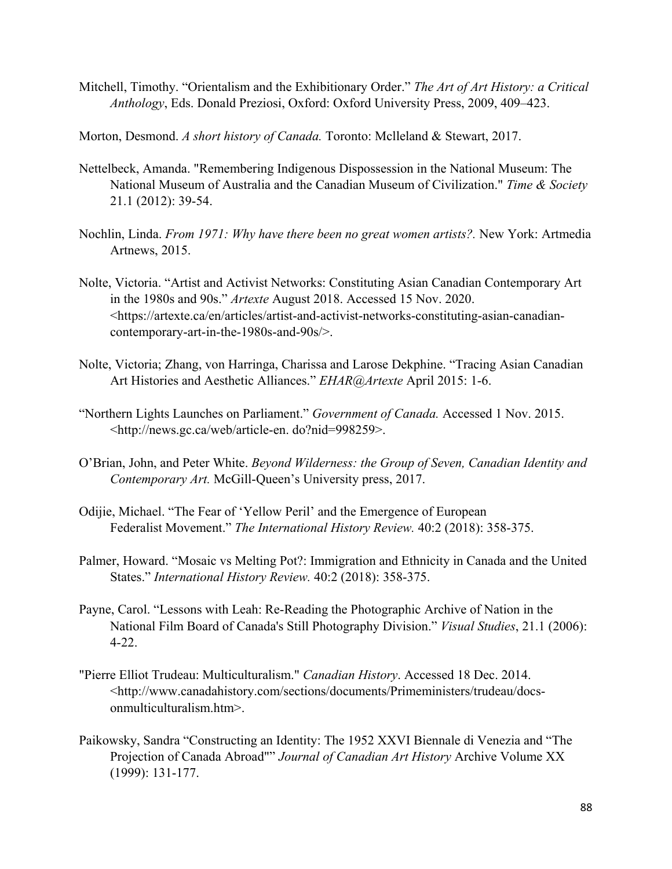- Mitchell, Timothy. "Orientalism and the Exhibitionary Order." *The Art of Art History: a Critical Anthology*, Eds. Donald Preziosi, Oxford: Oxford University Press, 2009, 409–423.
- Morton, Desmond. *A short history of Canada.* Toronto: Mclleland & Stewart, 2017.
- Nettelbeck, Amanda. "Remembering Indigenous Dispossession in the National Museum: The National Museum of Australia and the Canadian Museum of Civilization." *Time & Society* 21.1 (2012): 39-54.
- Nochlin, Linda. *From 1971: Why have there been no great women artists?.* New York: Artmedia Artnews, 2015.
- Nolte, Victoria. "Artist and Activist Networks: Constituting Asian Canadian Contemporary Art in the 1980s and 90s." *Artexte* August 2018. Accessed 15 Nov. 2020. [<https://artexte.ca/en/articles/artist-and-activist-networks-constituting-asian-canadian](https://artexte.ca/en/articles/artist-and-activist-networks-constituting-asian-canadian-contemporary-art-in-the-1980s-and-90s/)[contemporary-art-in-the-1980s-and-90s/>](https://artexte.ca/en/articles/artist-and-activist-networks-constituting-asian-canadian-contemporary-art-in-the-1980s-and-90s/).
- Nolte, Victoria; Zhang, von Harringa, Charissa and Larose Dekphine. "Tracing Asian Canadian Art Histories and Aesthetic Alliances." *EHAR@Artexte* April 2015: 1-6.
- "Northern Lights Launches on Parliament." *Government of Canada.* Accessed 1 Nov. 2015. <http://news.gc.ca/web/article-en. do?nid=998259>.
- O'Brian, John, and Peter White. *Beyond Wilderness: the Group of Seven, Canadian Identity and Contemporary Art.* McGill-Queen's University press, 2017.
- Odijie, Michael. "The Fear of 'Yellow Peril' and the Emergence of European Federalist Movement." *The International History Review.* 40:2 (2018): 358-375.
- Palmer, Howard. "Mosaic vs Melting Pot?: Immigration and Ethnicity in Canada and the United States." *International History Review.* 40:2 (2018): 358-375.
- Payne, Carol. "Lessons with Leah: Re‐Reading the Photographic Archive of Nation in the National Film Board of Canada's Still Photography Division." *Visual Studies*, 21.1 (2006): 4-22.
- "Pierre Elliot Trudeau: Multiculturalism." *Canadian History*. Accessed 18 Dec. 2014. [<http://www.canadahistory.com/sections/documents/Primeministers/trudeau/docs](http://www.canadahistory.com/sections/documents/Primeministers/trudeau/docs-onmulticulturalism.htm)[onmulticulturalism.htm>](http://www.canadahistory.com/sections/documents/Primeministers/trudeau/docs-onmulticulturalism.htm).
- Paikowsky, Sandra "Constructing an Identity: The 1952 XXVI Biennale di Venezia and "The Projection of Canada Abroad"" *Journal of Canadian Art History* Archive Volume XX (1999): 131-177.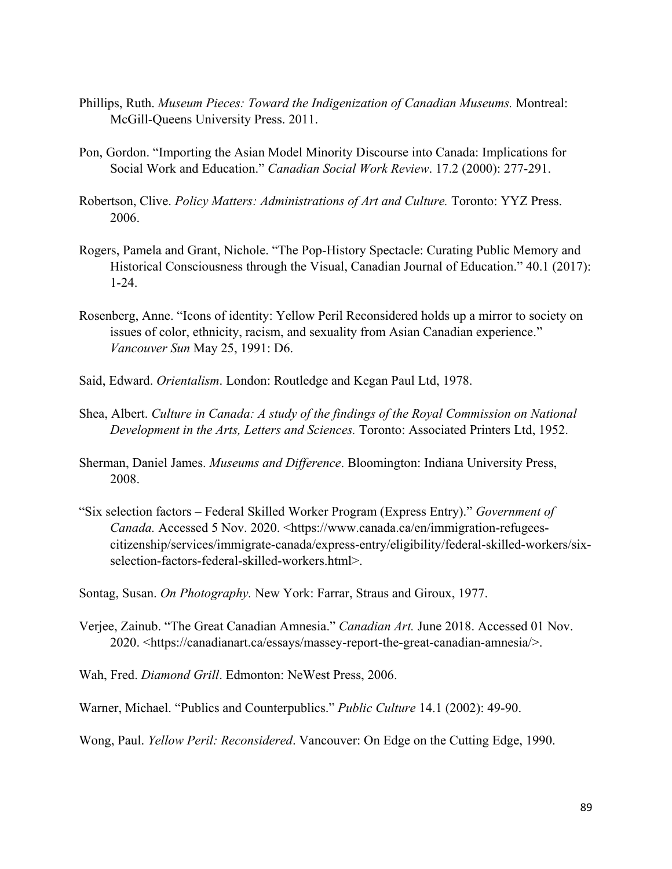- Phillips, Ruth. *Museum Pieces: Toward the Indigenization of Canadian Museums.* Montreal: McGill-Queens University Press. 2011.
- Pon, Gordon. "Importing the Asian Model Minority Discourse into Canada: Implications for Social Work and Education." *Canadian Social Work Review*. 17.2 (2000): 277-291.
- Robertson, Clive. *Policy Matters: Administrations of Art and Culture.* Toronto: YYZ Press. 2006.
- Rogers, Pamela and Grant, Nichole. "The Pop-History Spectacle: Curating Public Memory and Historical Consciousness through the Visual, Canadian Journal of Education." 40.1 (2017): 1-24.
- Rosenberg, Anne. "Icons of identity: Yellow Peril Reconsidered holds up a mirror to society on issues of color, ethnicity, racism, and sexuality from Asian Canadian experience." *Vancouver Sun* May 25, 1991: D6.
- Said, Edward. *Orientalism*. London: Routledge and Kegan Paul Ltd, 1978.
- Shea, Albert. *Culture in Canada: A study of the findings of the Royal Commission on National Development in the Arts, Letters and Sciences.* Toronto: Associated Printers Ltd, 1952.
- Sherman, Daniel James. *Museums and Difference*. Bloomington: Indiana University Press, 2008.
- "Six selection factors Federal Skilled Worker Program (Express Entry)." *Government of Canada.* Accessed 5 Nov. 2020. [<https://www.canada.ca/en/immigration-refugees](https://www.canada.ca/en/immigration-refugees-citizenship/services/immigrate-canada/express-entry/eligibility/federal-skilled-workers/six-selection-factors-federal-skilled-workers.html)[citizenship/services/immigrate-canada/express-entry/eligibility/federal-skilled-workers/six](https://www.canada.ca/en/immigration-refugees-citizenship/services/immigrate-canada/express-entry/eligibility/federal-skilled-workers/six-selection-factors-federal-skilled-workers.html)[selection-factors-federal-skilled-workers.html>](https://www.canada.ca/en/immigration-refugees-citizenship/services/immigrate-canada/express-entry/eligibility/federal-skilled-workers/six-selection-factors-federal-skilled-workers.html).
- Sontag, Susan. *On Photography.* New York: Farrar, Straus and Giroux, 1977.
- Verjee, Zainub. "The Great Canadian Amnesia." *Canadian Art.* June 2018. Accessed 01 Nov. 2020. <https://canadianart.ca/essays/massey-report-the-great-canadian-amnesia/>.
- Wah, Fred. *Diamond Grill*. Edmonton: NeWest Press, 2006.

Warner, Michael. "Publics and Counterpublics." *Public Culture* 14.1 (2002): 49-90.

Wong, Paul. *Yellow Peril: Reconsidered*. Vancouver: On Edge on the Cutting Edge, 1990.